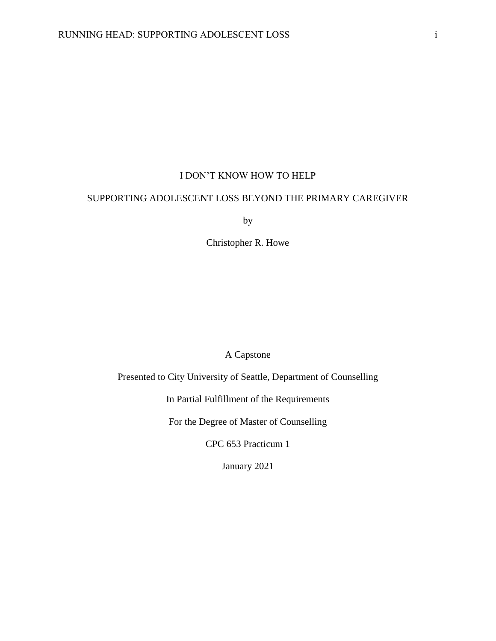## I DON'T KNOW HOW TO HELP

## SUPPORTING ADOLESCENT LOSS BEYOND THE PRIMARY CAREGIVER

by

Christopher R. Howe

A Capstone

Presented to City University of Seattle, Department of Counselling

In Partial Fulfillment of the Requirements

For the Degree of Master of Counselling

CPC 653 Practicum 1

January 2021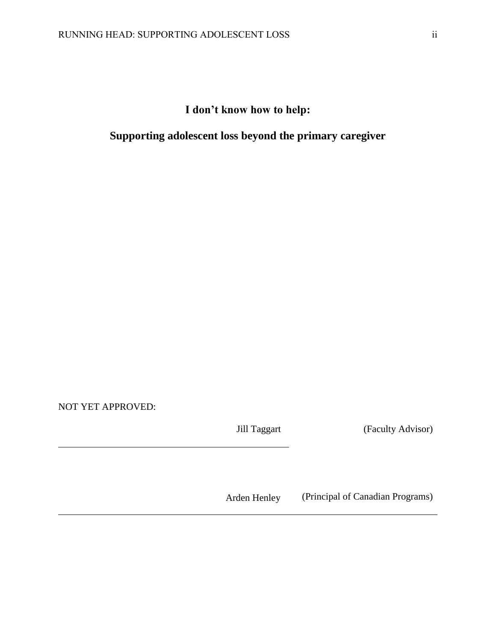# **I don't know how to help:**

# **Supporting adolescent loss beyond the primary caregiver**

NOT YET APPROVED:

Jill Taggart (Faculty Advisor)

Arden Henley (Principal of Canadian Programs)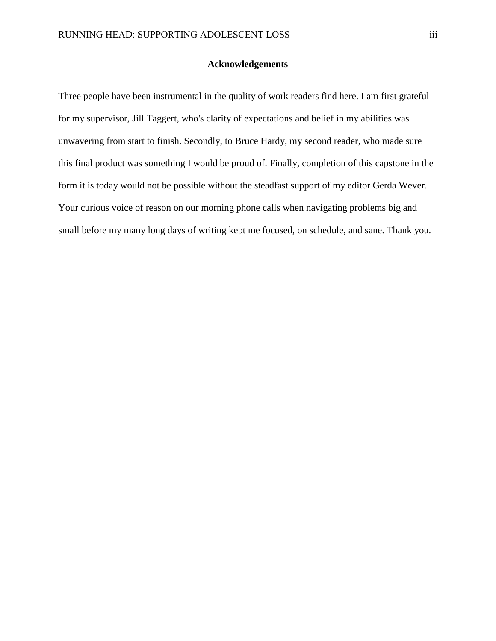## **Acknowledgements**

<span id="page-2-0"></span>Three people have been instrumental in the quality of work readers find here. I am first grateful for my supervisor, Jill Taggert, who's clarity of expectations and belief in my abilities was unwavering from start to finish. Secondly, to Bruce Hardy, my second reader, who made sure this final product was something I would be proud of. Finally, completion of this capstone in the form it is today would not be possible without the steadfast support of my editor Gerda Wever. Your curious voice of reason on our morning phone calls when navigating problems big and small before my many long days of writing kept me focused, on schedule, and sane. Thank you.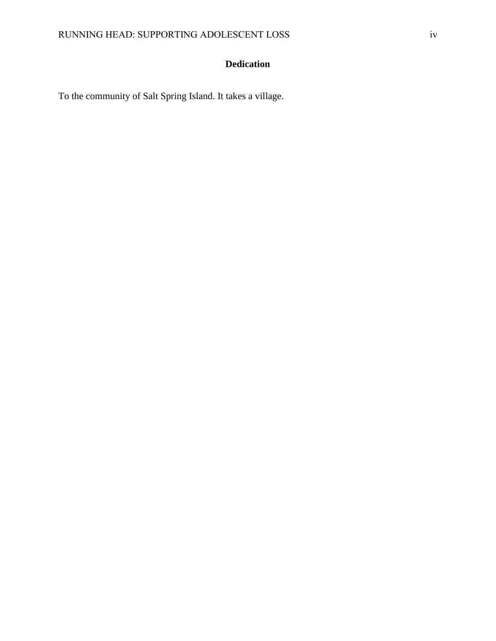## **Dedication**

<span id="page-3-0"></span>To the community of Salt Spring Island. It takes a village.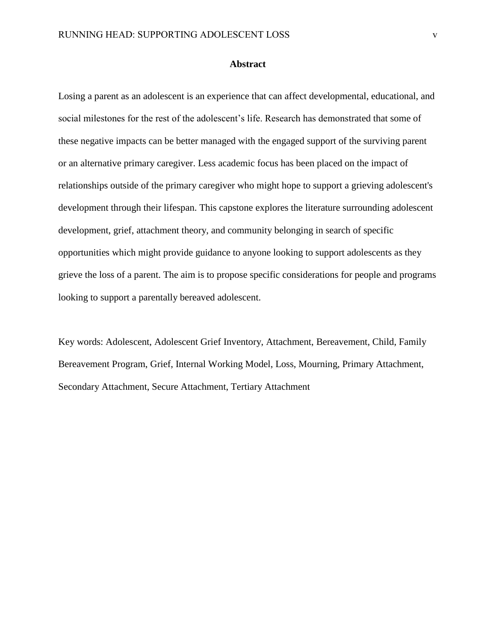#### **Abstract**

<span id="page-4-0"></span>Losing a parent as an adolescent is an experience that can affect developmental, educational, and social milestones for the rest of the adolescent's life. Research has demonstrated that some of these negative impacts can be better managed with the engaged support of the surviving parent or an alternative primary caregiver. Less academic focus has been placed on the impact of relationships outside of the primary caregiver who might hope to support a grieving adolescent's development through their lifespan. This capstone explores the literature surrounding adolescent development, grief, attachment theory, and community belonging in search of specific opportunities which might provide guidance to anyone looking to support adolescents as they grieve the loss of a parent. The aim is to propose specific considerations for people and programs looking to support a parentally bereaved adolescent.

Key words: Adolescent, Adolescent Grief Inventory, Attachment, Bereavement, Child, Family Bereavement Program, Grief, Internal Working Model, Loss, Mourning, Primary Attachment, Secondary Attachment, Secure Attachment, Tertiary Attachment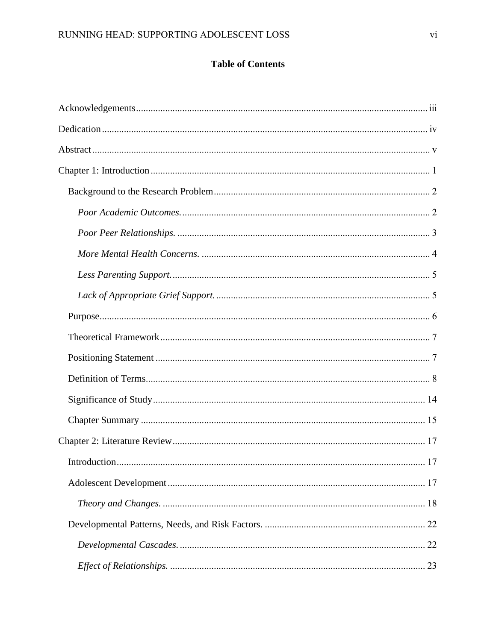## **Table of Contents**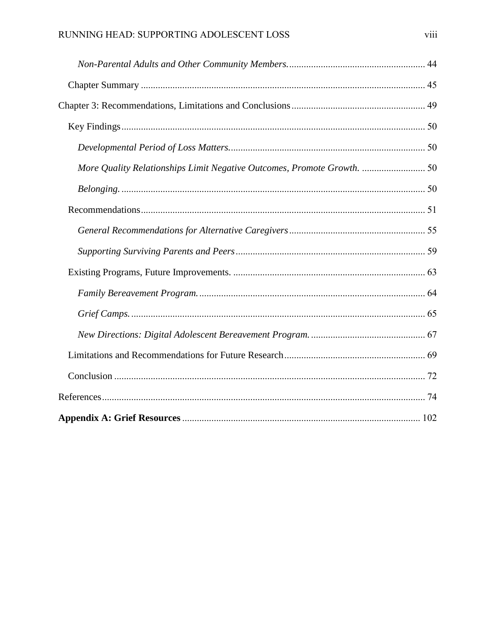| More Quality Relationships Limit Negative Outcomes, Promote Growth.  50 |  |
|-------------------------------------------------------------------------|--|
|                                                                         |  |
|                                                                         |  |
|                                                                         |  |
|                                                                         |  |
|                                                                         |  |
|                                                                         |  |
|                                                                         |  |
|                                                                         |  |
|                                                                         |  |
|                                                                         |  |
|                                                                         |  |
|                                                                         |  |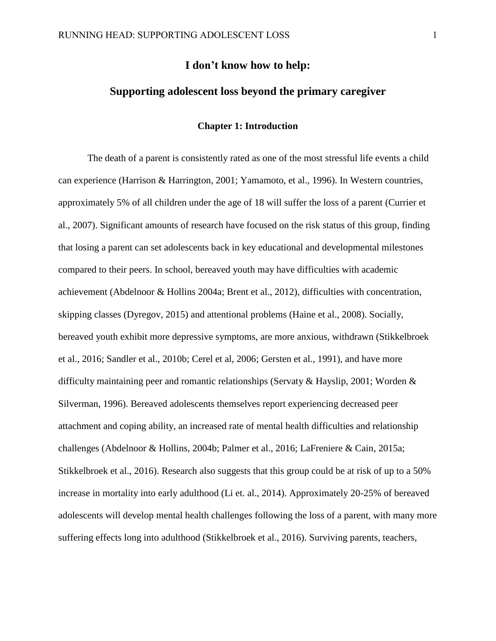## **I don't know how to help:**

## **Supporting adolescent loss beyond the primary caregiver**

#### **Chapter 1: Introduction**

<span id="page-8-0"></span>The death of a parent is consistently rated as one of the most stressful life events a child can experience (Harrison & Harrington, 2001; Yamamoto, et al., 1996). In Western countries, approximately 5% of all children under the age of 18 will suffer the loss of a parent (Currier et al., 2007). Significant amounts of research have focused on the risk status of this group, finding that losing a parent can set adolescents back in key educational and developmental milestones compared to their peers. In school, bereaved youth may have difficulties with academic achievement (Abdelnoor & Hollins 2004a; Brent et al., 2012), difficulties with concentration, skipping classes (Dyregov, 2015) and attentional problems (Haine et al., 2008). Socially, bereaved youth exhibit more depressive symptoms, are more anxious, withdrawn (Stikkelbroek et al., 2016; Sandler et al., 2010b; Cerel et al, 2006; Gersten et al., 1991), and have more difficulty maintaining peer and romantic relationships (Servaty & Hayslip, 2001; Worden & Silverman, 1996). Bereaved adolescents themselves report experiencing decreased peer attachment and coping ability, an increased rate of mental health difficulties and relationship challenges (Abdelnoor & Hollins, 2004b; Palmer et al., 2016; LaFreniere & Cain, 2015a; Stikkelbroek et al., 2016). Research also suggests that this group could be at risk of up to a 50% increase in mortality into early adulthood (Li et. al., 2014). Approximately 20-25% of bereaved adolescents will develop mental health challenges following the loss of a parent, with many more suffering effects long into adulthood (Stikkelbroek et al., 2016). Surviving parents, teachers,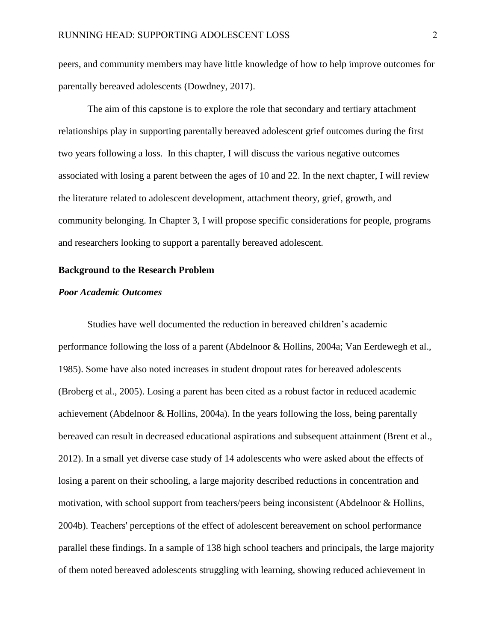peers, and community members may have little knowledge of how to help improve outcomes for parentally bereaved adolescents (Dowdney, 2017).

The aim of this capstone is to explore the role that secondary and tertiary attachment relationships play in supporting parentally bereaved adolescent grief outcomes during the first two years following a loss. In this chapter, I will discuss the various negative outcomes associated with losing a parent between the ages of 10 and 22. In the next chapter, I will review the literature related to adolescent development, attachment theory, grief, growth, and community belonging. In Chapter 3, I will propose specific considerations for people, programs and researchers looking to support a parentally bereaved adolescent.

#### <span id="page-9-0"></span>**Background to the Research Problem**

#### <span id="page-9-1"></span>*Poor Academic Outcomes*

Studies have well documented the reduction in bereaved children's academic performance following the loss of a parent (Abdelnoor & Hollins, 2004a; Van Eerdewegh et al., 1985). Some have also noted increases in student dropout rates for bereaved adolescents (Broberg et al., 2005). Losing a parent has been cited as a robust factor in reduced academic achievement (Abdelnoor & Hollins, 2004a). In the years following the loss, being parentally bereaved can result in decreased educational aspirations and subsequent attainment (Brent et al., 2012). In a small yet diverse case study of 14 adolescents who were asked about the effects of losing a parent on their schooling, a large majority described reductions in concentration and motivation, with school support from teachers/peers being inconsistent (Abdelnoor & Hollins, 2004b). Teachers' perceptions of the effect of adolescent bereavement on school performance parallel these findings. In a sample of 138 high school teachers and principals, the large majority of them noted bereaved adolescents struggling with learning, showing reduced achievement in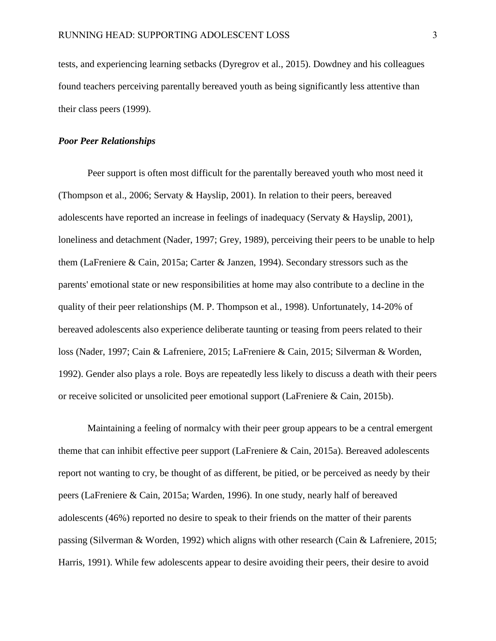tests, and experiencing learning setbacks (Dyregrov et al., 2015). Dowdney and his colleagues found teachers perceiving parentally bereaved youth as being significantly less attentive than their class peers (1999).

#### <span id="page-10-0"></span>*Poor Peer Relationships*

Peer support is often most difficult for the parentally bereaved youth who most need it (Thompson et al., 2006; Servaty & Hayslip, 2001). In relation to their peers, bereaved adolescents have reported an increase in feelings of inadequacy (Servaty & Hayslip, 2001), loneliness and detachment (Nader, 1997; Grey, 1989), perceiving their peers to be unable to help them (LaFreniere & Cain, 2015a; Carter & Janzen, 1994). Secondary stressors such as the parents' emotional state or new responsibilities at home may also contribute to a decline in the quality of their peer relationships (M. P. Thompson et al., 1998). Unfortunately, 14-20% of bereaved adolescents also experience deliberate taunting or teasing from peers related to their loss (Nader, 1997; Cain & Lafreniere, 2015; LaFreniere & Cain, 2015; Silverman & Worden, 1992). Gender also plays a role. Boys are repeatedly less likely to discuss a death with their peers or receive solicited or unsolicited peer emotional support (LaFreniere & Cain, 2015b).

Maintaining a feeling of normalcy with their peer group appears to be a central emergent theme that can inhibit effective peer support (LaFreniere & Cain, 2015a). Bereaved adolescents report not wanting to cry, be thought of as different, be pitied, or be perceived as needy by their peers (LaFreniere & Cain, 2015a; Warden, 1996). In one study, nearly half of bereaved adolescents (46%) reported no desire to speak to their friends on the matter of their parents passing (Silverman & Worden, 1992) which aligns with other research (Cain & Lafreniere, 2015; Harris, 1991). While few adolescents appear to desire avoiding their peers, their desire to avoid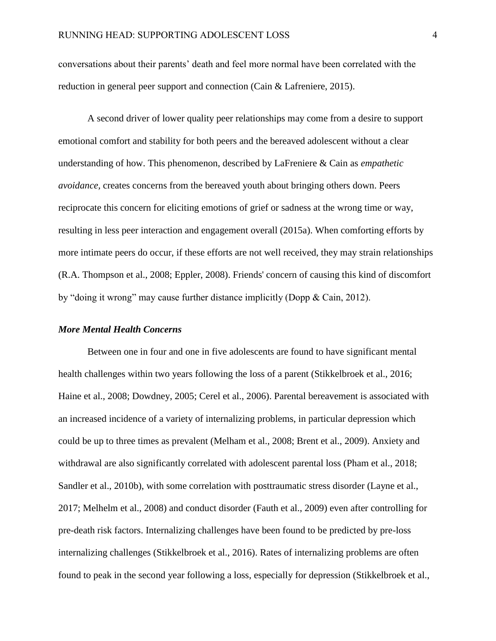conversations about their parents' death and feel more normal have been correlated with the reduction in general peer support and connection (Cain & Lafreniere, 2015).

A second driver of lower quality peer relationships may come from a desire to support emotional comfort and stability for both peers and the bereaved adolescent without a clear understanding of how. This phenomenon, described by LaFreniere & Cain as *empathetic avoidance,* creates concerns from the bereaved youth about bringing others down. Peers reciprocate this concern for eliciting emotions of grief or sadness at the wrong time or way, resulting in less peer interaction and engagement overall (2015a). When comforting efforts by more intimate peers do occur, if these efforts are not well received, they may strain relationships (R.A. Thompson et al., 2008; Eppler, 2008). Friends' concern of causing this kind of discomfort by "doing it wrong" may cause further distance implicitly (Dopp & Cain, 2012).

## <span id="page-11-0"></span>*More Mental Health Concerns*

Between one in four and one in five adolescents are found to have significant mental health challenges within two years following the loss of a parent (Stikkelbroek et al., 2016; Haine et al., 2008; Dowdney, 2005; Cerel et al., 2006). Parental bereavement is associated with an increased incidence of a variety of internalizing problems, in particular depression which could be up to three times as prevalent (Melham et al., 2008; Brent et al., 2009). Anxiety and withdrawal are also significantly correlated with adolescent parental loss (Pham et al., 2018; Sandler et al., 2010b), with some correlation with posttraumatic stress disorder (Layne et al., 2017; Melhelm et al., 2008) and conduct disorder (Fauth et al., 2009) even after controlling for pre-death risk factors. Internalizing challenges have been found to be predicted by pre-loss internalizing challenges (Stikkelbroek et al., 2016). Rates of internalizing problems are often found to peak in the second year following a loss, especially for depression (Stikkelbroek et al.,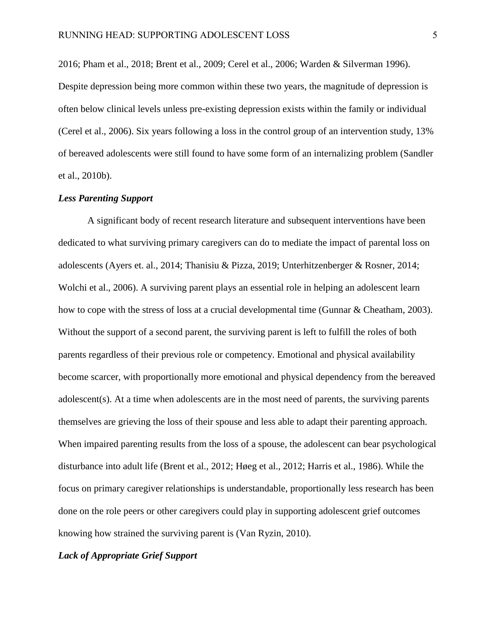2016; Pham et al., 2018; Brent et al., 2009; Cerel et al., 2006; Warden & Silverman 1996). Despite depression being more common within these two years, the magnitude of depression is often below clinical levels unless pre-existing depression exists within the family or individual (Cerel et al., 2006). Six years following a loss in the control group of an intervention study, 13% of bereaved adolescents were still found to have some form of an internalizing problem (Sandler et al., 2010b).

#### <span id="page-12-0"></span>*Less Parenting Support*

A significant body of recent research literature and subsequent interventions have been dedicated to what surviving primary caregivers can do to mediate the impact of parental loss on adolescents (Ayers et. al., 2014; Thanisiu & Pizza, 2019; Unterhitzenberger & Rosner, 2014; Wolchi et al., 2006). A surviving parent plays an essential role in helping an adolescent learn how to cope with the stress of loss at a crucial developmental time (Gunnar & Cheatham, 2003). Without the support of a second parent, the surviving parent is left to fulfill the roles of both parents regardless of their previous role or competency. Emotional and physical availability become scarcer, with proportionally more emotional and physical dependency from the bereaved adolescent(s). At a time when adolescents are in the most need of parents, the surviving parents themselves are grieving the loss of their spouse and less able to adapt their parenting approach. When impaired parenting results from the loss of a spouse, the adolescent can bear psychological disturbance into adult life (Brent et al., 2012; Høeg et al., 2012; Harris et al., 1986). While the focus on primary caregiver relationships is understandable, proportionally less research has been done on the role peers or other caregivers could play in supporting adolescent grief outcomes knowing how strained the surviving parent is (Van Ryzin, 2010).

## <span id="page-12-1"></span>*Lack of Appropriate Grief Support*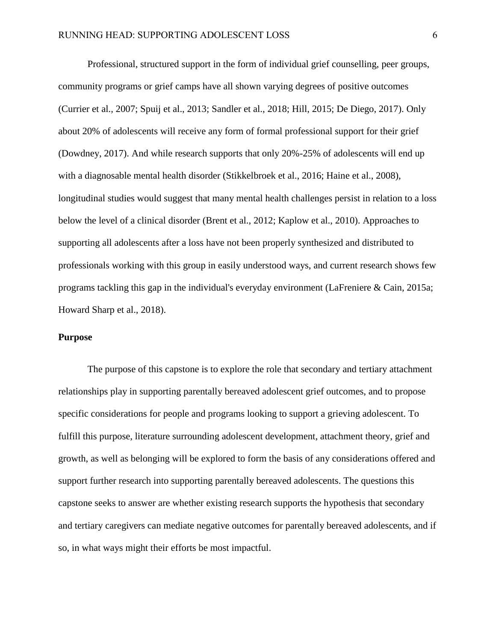Professional, structured support in the form of individual grief counselling, peer groups, community programs or grief camps have all shown varying degrees of positive outcomes (Currier et al., 2007; Spuij et al., 2013; Sandler et al., 2018; Hill, 2015; De Diego, 2017). Only about 20% of adolescents will receive any form of formal professional support for their grief (Dowdney, 2017). And while research supports that only 20%-25% of adolescents will end up with a diagnosable mental health disorder (Stikkelbroek et al., 2016; Haine et al., 2008), longitudinal studies would suggest that many mental health challenges persist in relation to a loss below the level of a clinical disorder (Brent et al., 2012; Kaplow et al., 2010). Approaches to supporting all adolescents after a loss have not been properly synthesized and distributed to professionals working with this group in easily understood ways, and current research shows few programs tackling this gap in the individual's everyday environment (LaFreniere & Cain, 2015a; Howard Sharp et al., 2018).

#### <span id="page-13-0"></span>**Purpose**

The purpose of this capstone is to explore the role that secondary and tertiary attachment relationships play in supporting parentally bereaved adolescent grief outcomes, and to propose specific considerations for people and programs looking to support a grieving adolescent. To fulfill this purpose, literature surrounding adolescent development, attachment theory, grief and growth, as well as belonging will be explored to form the basis of any considerations offered and support further research into supporting parentally bereaved adolescents. The questions this capstone seeks to answer are whether existing research supports the hypothesis that secondary and tertiary caregivers can mediate negative outcomes for parentally bereaved adolescents, and if so, in what ways might their efforts be most impactful.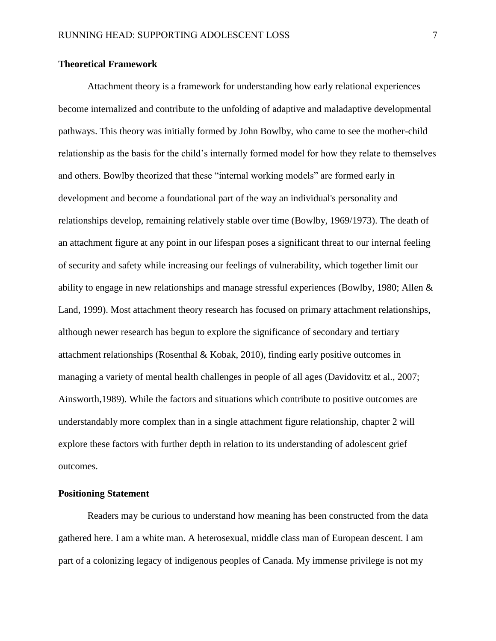#### <span id="page-14-0"></span>**Theoretical Framework**

Attachment theory is a framework for understanding how early relational experiences become internalized and contribute to the unfolding of adaptive and maladaptive developmental pathways. This theory was initially formed by John Bowlby, who came to see the mother-child relationship as the basis for the child's internally formed model for how they relate to themselves and others. Bowlby theorized that these "internal working models" are formed early in development and become a foundational part of the way an individual's personality and relationships develop, remaining relatively stable over time (Bowlby, 1969/1973). The death of an attachment figure at any point in our lifespan poses a significant threat to our internal feeling of security and safety while increasing our feelings of vulnerability, which together limit our ability to engage in new relationships and manage stressful experiences (Bowlby, 1980; Allen & Land, 1999). Most attachment theory research has focused on primary attachment relationships, although newer research has begun to explore the significance of secondary and tertiary attachment relationships (Rosenthal & Kobak, 2010), finding early positive outcomes in managing a variety of mental health challenges in people of all ages (Davidovitz et al., 2007; Ainsworth,1989). While the factors and situations which contribute to positive outcomes are understandably more complex than in a single attachment figure relationship, chapter 2 will explore these factors with further depth in relation to its understanding of adolescent grief outcomes.

## <span id="page-14-1"></span>**Positioning Statement**

Readers may be curious to understand how meaning has been constructed from the data gathered here. I am a white man. A heterosexual, middle class man of European descent. I am part of a colonizing legacy of indigenous peoples of Canada. My immense privilege is not my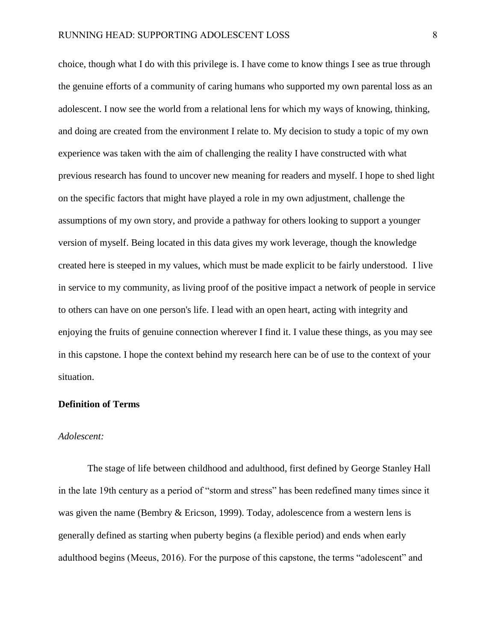choice, though what I do with this privilege is. I have come to know things I see as true through the genuine efforts of a community of caring humans who supported my own parental loss as an adolescent. I now see the world from a relational lens for which my ways of knowing, thinking, and doing are created from the environment I relate to. My decision to study a topic of my own experience was taken with the aim of challenging the reality I have constructed with what previous research has found to uncover new meaning for readers and myself. I hope to shed light on the specific factors that might have played a role in my own adjustment, challenge the assumptions of my own story, and provide a pathway for others looking to support a younger version of myself. Being located in this data gives my work leverage, though the knowledge created here is steeped in my values, which must be made explicit to be fairly understood. I live in service to my community, as living proof of the positive impact a network of people in service to others can have on one person's life. I lead with an open heart, acting with integrity and enjoying the fruits of genuine connection wherever I find it. I value these things, as you may see in this capstone. I hope the context behind my research here can be of use to the context of your situation.

#### <span id="page-15-0"></span>**Definition of Terms**

#### *Adolescent:*

The stage of life between childhood and adulthood, first defined by George Stanley Hall in the late 19th century as a period of "storm and stress" has been redefined many times since it was given the name (Bembry & Ericson, 1999). Today, adolescence from a western lens is generally defined as starting when puberty begins (a flexible period) and ends when early adulthood begins (Meeus, 2016). For the purpose of this capstone, the terms "adolescent" and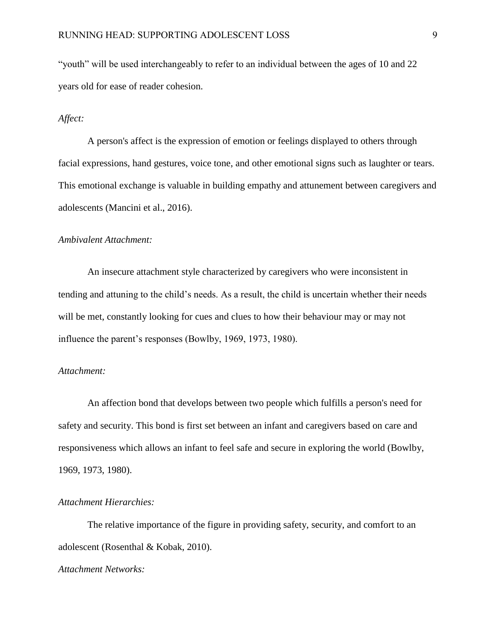"youth" will be used interchangeably to refer to an individual between the ages of 10 and 22 years old for ease of reader cohesion.

#### *Affect:*

A person's affect is the expression of emotion or feelings displayed to others through facial expressions, hand gestures, voice tone, and other emotional signs such as laughter or tears. This emotional exchange is valuable in building empathy and attunement between caregivers and adolescents (Mancini et al., 2016).

## *Ambivalent Attachment:*

An insecure attachment style characterized by caregivers who were inconsistent in tending and attuning to the child's needs. As a result, the child is uncertain whether their needs will be met, constantly looking for cues and clues to how their behaviour may or may not influence the parent's responses (Bowlby, 1969, 1973, 1980).

#### *Attachment:*

An affection bond that develops between two people which fulfills a person's need for safety and security. This bond is first set between an infant and caregivers based on care and responsiveness which allows an infant to feel safe and secure in exploring the world (Bowlby, 1969, 1973, 1980).

#### *Attachment Hierarchies:*

The relative importance of the figure in providing safety, security, and comfort to an adolescent (Rosenthal & Kobak, 2010).

## *Attachment Networks:*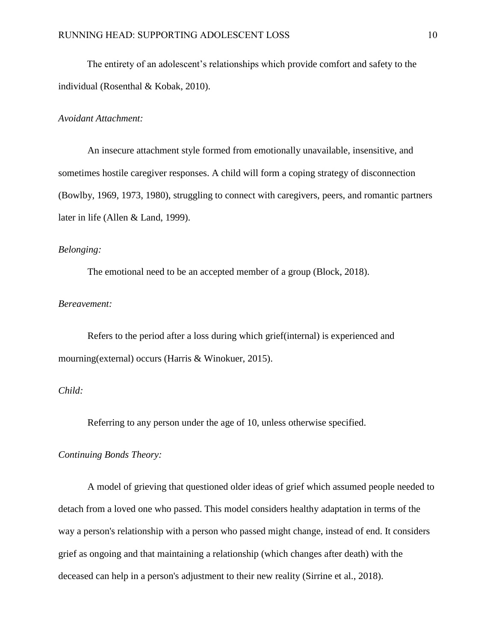The entirety of an adolescent's relationships which provide comfort and safety to the individual (Rosenthal & Kobak, 2010).

#### *Avoidant Attachment:*

An insecure attachment style formed from emotionally unavailable, insensitive, and sometimes hostile caregiver responses. A child will form a coping strategy of disconnection (Bowlby, 1969, 1973, 1980), struggling to connect with caregivers, peers, and romantic partners later in life (Allen & Land, 1999).

## *Belonging:*

The emotional need to be an accepted member of a group (Block, 2018).

#### *Bereavement:*

Refers to the period after a loss during which grief(internal) is experienced and mourning(external) occurs (Harris & Winokuer, 2015).

## *Child:*

Referring to any person under the age of 10, unless otherwise specified.

## *Continuing Bonds Theory:*

A model of grieving that questioned older ideas of grief which assumed people needed to detach from a loved one who passed. This model considers healthy adaptation in terms of the way a person's relationship with a person who passed might change, instead of end. It considers grief as ongoing and that maintaining a relationship (which changes after death) with the deceased can help in a person's adjustment to their new reality (Sirrine et al., 2018).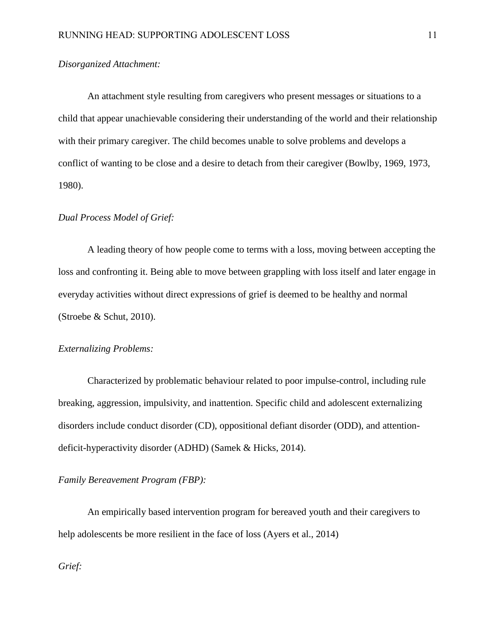## *Disorganized Attachment:*

An attachment style resulting from caregivers who present messages or situations to a child that appear unachievable considering their understanding of the world and their relationship with their primary caregiver. The child becomes unable to solve problems and develops a conflict of wanting to be close and a desire to detach from their caregiver (Bowlby, 1969, 1973, 1980).

#### *Dual Process Model of Grief:*

A leading theory of how people come to terms with a loss, moving between accepting the loss and confronting it. Being able to move between grappling with loss itself and later engage in everyday activities without direct expressions of grief is deemed to be healthy and normal (Stroebe & Schut, 2010).

#### *Externalizing Problems:*

Characterized by problematic behaviour related to poor impulse-control, including rule breaking, aggression, impulsivity, and inattention. Specific child and adolescent externalizing disorders include conduct disorder (CD), oppositional defiant disorder (ODD), and attentiondeficit-hyperactivity disorder (ADHD) (Samek & Hicks, 2014).

#### *Family Bereavement Program (FBP):*

An empirically based intervention program for bereaved youth and their caregivers to help adolescents be more resilient in the face of loss (Ayers et al., 2014)

*Grief:*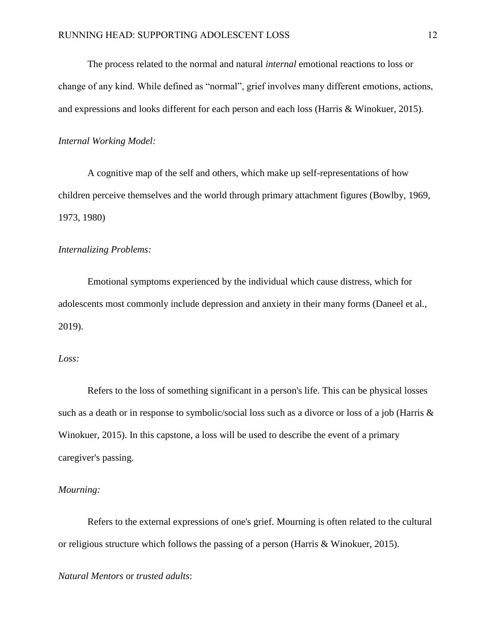The process related to the normal and natural *internal* emotional reactions to loss or change of any kind. While defined as "normal", grief involves many different emotions, actions, and expressions and looks different for each person and each loss (Harris & Winokuer, 2015).

#### *Internal Working Model:*

A cognitive map of the self and others, which make up self-representations of how children perceive themselves and the world through primary attachment figures (Bowlby, 1969, 1973, 1980)

#### *Internalizing Problems:*

Emotional symptoms experienced by the individual which cause distress, which for adolescents most commonly include depression and anxiety in their many forms (Daneel et al., 2019).

## *Loss:*

Refers to the loss of something significant in a person's life. This can be physical losses such as a death or in response to symbolic/social loss such as a divorce or loss of a job (Harris  $\&$ Winokuer, 2015). In this capstone, a loss will be used to describe the event of a primary caregiver's passing.

#### *Mourning:*

Refers to the external expressions of one's grief. Mourning is often related to the cultural or religious structure which follows the passing of a person (Harris & Winokuer, 2015).

## *Natural Mentors* or *trusted adults*: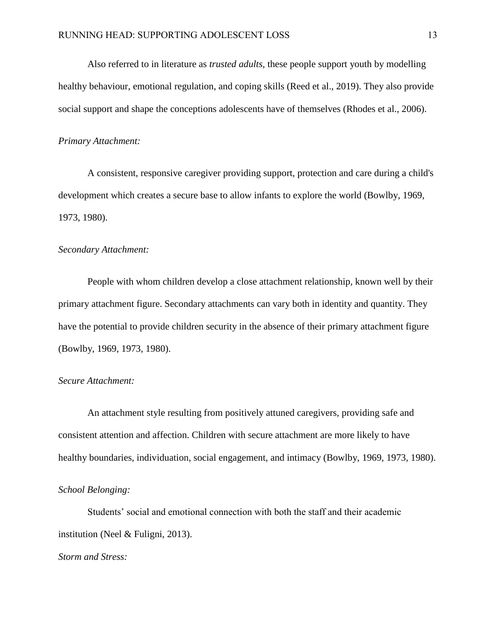Also referred to in literature as *trusted adults,* these people support youth by modelling healthy behaviour, emotional regulation, and coping skills (Reed et al., 2019). They also provide social support and shape the conceptions adolescents have of themselves (Rhodes et al., 2006).

#### *Primary Attachment:*

A consistent, responsive caregiver providing support, protection and care during a child's development which creates a secure base to allow infants to explore the world (Bowlby, 1969, 1973, 1980).

#### *Secondary Attachment:*

People with whom children develop a close attachment relationship, known well by their primary attachment figure. Secondary attachments can vary both in identity and quantity. They have the potential to provide children security in the absence of their primary attachment figure (Bowlby, 1969, 1973, 1980).

#### *Secure Attachment:*

An attachment style resulting from positively attuned caregivers, providing safe and consistent attention and affection. Children with secure attachment are more likely to have healthy boundaries, individuation, social engagement, and intimacy (Bowlby, 1969, 1973, 1980).

## *School Belonging:*

Students' social and emotional connection with both the staff and their academic institution (Neel & Fuligni, 2013).

*Storm and Stress:*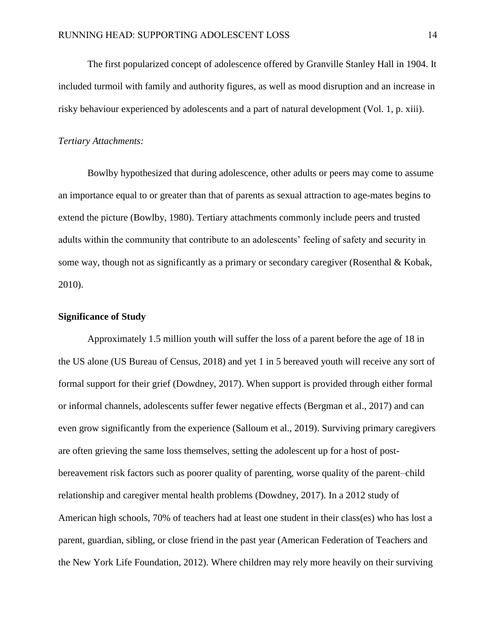The first popularized concept of adolescence offered by Granville Stanley Hall in 1904. It included turmoil with family and authority figures, as well as mood disruption and an increase in risky behaviour experienced by adolescents and a part of natural development (Vol. 1, p. xiii).

#### *Tertiary Attachments:*

Bowlby hypothesized that during adolescence, other adults or peers may come to assume an importance equal to or greater than that of parents as sexual attraction to age-mates begins to extend the picture (Bowlby, 1980). Tertiary attachments commonly include peers and trusted adults within the community that contribute to an adolescents' feeling of safety and security in some way, though not as significantly as a primary or secondary caregiver (Rosenthal & Kobak, 2010).

### <span id="page-21-0"></span>**Significance of Study**

Approximately 1.5 million youth will suffer the loss of a parent before the age of 18 in the US alone (US Bureau of Census, 2018) and yet 1 in 5 bereaved youth will receive any sort of formal support for their grief (Dowdney, 2017). When support is provided through either formal or informal channels, adolescents suffer fewer negative effects (Bergman et al., 2017) and can even grow significantly from the experience (Salloum et al., 2019). Surviving primary caregivers are often grieving the same loss themselves, setting the adolescent up for a host of postbereavement risk factors such as poorer quality of parenting, worse quality of the parent–child relationship and caregiver mental health problems (Dowdney, 2017). In a 2012 study of American high schools, 70% of teachers had at least one student in their class(es) who has lost a parent, guardian, sibling, or close friend in the past year (American Federation of Teachers and the New York Life Foundation, 2012). Where children may rely more heavily on their surviving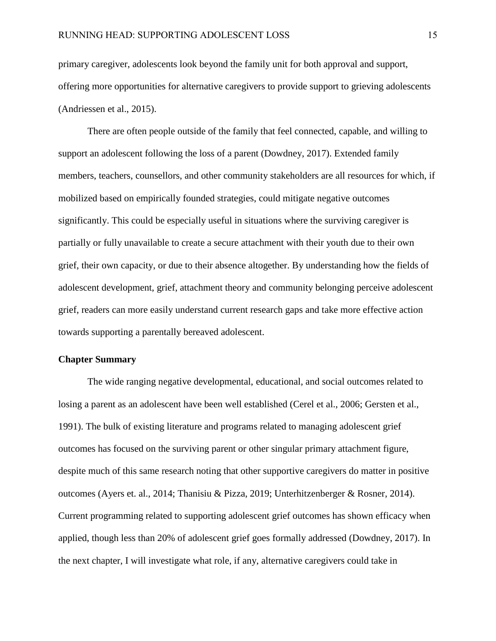primary caregiver, adolescents look beyond the family unit for both approval and support, offering more opportunities for alternative caregivers to provide support to grieving adolescents (Andriessen et al., 2015).

There are often people outside of the family that feel connected, capable, and willing to support an adolescent following the loss of a parent (Dowdney, 2017). Extended family members, teachers, counsellors, and other community stakeholders are all resources for which, if mobilized based on empirically founded strategies, could mitigate negative outcomes significantly. This could be especially useful in situations where the surviving caregiver is partially or fully unavailable to create a secure attachment with their youth due to their own grief, their own capacity, or due to their absence altogether. By understanding how the fields of adolescent development, grief, attachment theory and community belonging perceive adolescent grief, readers can more easily understand current research gaps and take more effective action towards supporting a parentally bereaved adolescent.

#### <span id="page-22-0"></span>**Chapter Summary**

The wide ranging negative developmental, educational, and social outcomes related to losing a parent as an adolescent have been well established (Cerel et al., 2006; Gersten et al., 1991). The bulk of existing literature and programs related to managing adolescent grief outcomes has focused on the surviving parent or other singular primary attachment figure, despite much of this same research noting that other supportive caregivers do matter in positive outcomes (Ayers et. al., 2014; Thanisiu & Pizza, 2019; Unterhitzenberger & Rosner, 2014). Current programming related to supporting adolescent grief outcomes has shown efficacy when applied, though less than 20% of adolescent grief goes formally addressed (Dowdney, 2017). In the next chapter, I will investigate what role, if any, alternative caregivers could take in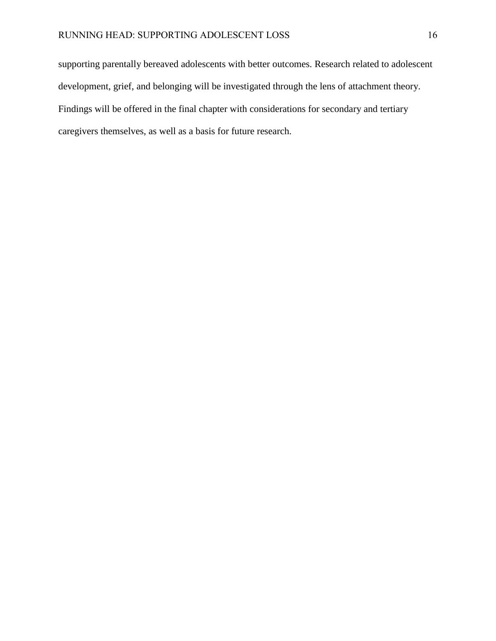supporting parentally bereaved adolescents with better outcomes. Research related to adolescent development, grief, and belonging will be investigated through the lens of attachment theory. Findings will be offered in the final chapter with considerations for secondary and tertiary caregivers themselves, as well as a basis for future research.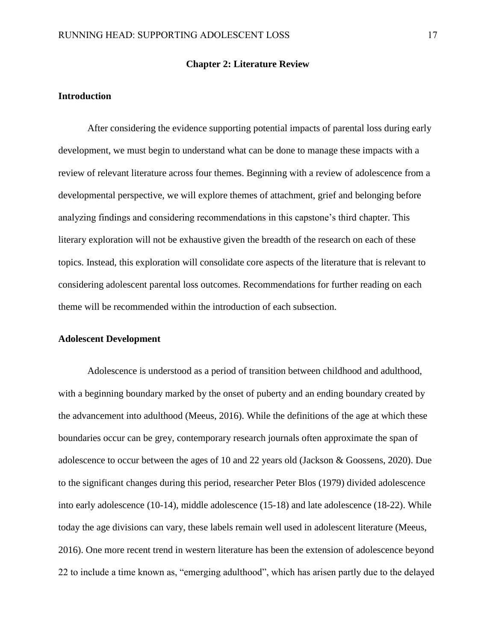#### **Chapter 2: Literature Review**

#### <span id="page-24-1"></span><span id="page-24-0"></span>**Introduction**

After considering the evidence supporting potential impacts of parental loss during early development, we must begin to understand what can be done to manage these impacts with a review of relevant literature across four themes. Beginning with a review of adolescence from a developmental perspective, we will explore themes of attachment, grief and belonging before analyzing findings and considering recommendations in this capstone's third chapter. This literary exploration will not be exhaustive given the breadth of the research on each of these topics. Instead, this exploration will consolidate core aspects of the literature that is relevant to considering adolescent parental loss outcomes. Recommendations for further reading on each theme will be recommended within the introduction of each subsection.

#### <span id="page-24-2"></span>**Adolescent Development**

Adolescence is understood as a period of transition between childhood and adulthood, with a beginning boundary marked by the onset of puberty and an ending boundary created by the advancement into adulthood (Meeus, 2016). While the definitions of the age at which these boundaries occur can be grey, contemporary research journals often approximate the span of adolescence to occur between the ages of 10 and 22 years old (Jackson & Goossens, 2020). Due to the significant changes during this period, researcher Peter Blos (1979) divided adolescence into early adolescence (10-14), middle adolescence (15-18) and late adolescence (18-22). While today the age divisions can vary, these labels remain well used in adolescent literature (Meeus, 2016). One more recent trend in western literature has been the extension of adolescence beyond 22 to include a time known as, "emerging adulthood", which has arisen partly due to the delayed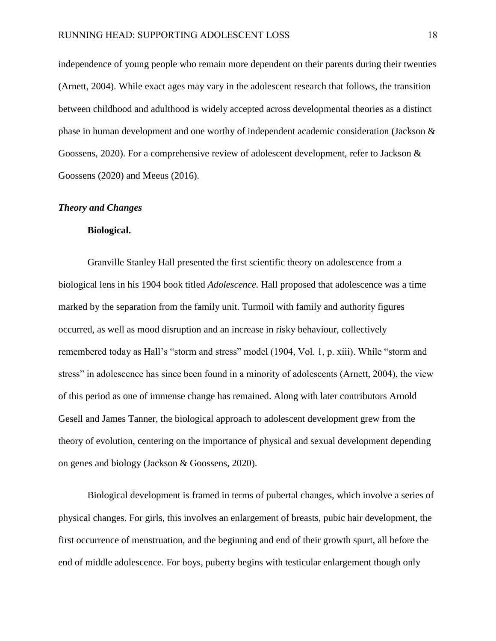independence of young people who remain more dependent on their parents during their twenties (Arnett, 2004). While exact ages may vary in the adolescent research that follows, the transition between childhood and adulthood is widely accepted across developmental theories as a distinct phase in human development and one worthy of independent academic consideration (Jackson & Goossens, 2020). For a comprehensive review of adolescent development, refer to Jackson & Goossens (2020) and Meeus (2016).

#### <span id="page-25-0"></span>*Theory and Changes*

### **Biological.**

Granville Stanley Hall presented the first scientific theory on adolescence from a biological lens in his 1904 book titled *Adolescence.* Hall proposed that adolescence was a time marked by the separation from the family unit. Turmoil with family and authority figures occurred, as well as mood disruption and an increase in risky behaviour, collectively remembered today as Hall's "storm and stress" model (1904, Vol. 1, p. xiii). While "storm and stress" in adolescence has since been found in a minority of adolescents (Arnett, 2004), the view of this period as one of immense change has remained. Along with later contributors Arnold Gesell and James Tanner, the biological approach to adolescent development grew from the theory of evolution, centering on the importance of physical and sexual development depending on genes and biology (Jackson & Goossens, 2020).

Biological development is framed in terms of pubertal changes, which involve a series of physical changes. For girls, this involves an enlargement of breasts, pubic hair development, the first occurrence of menstruation, and the beginning and end of their growth spurt, all before the end of middle adolescence. For boys, puberty begins with testicular enlargement though only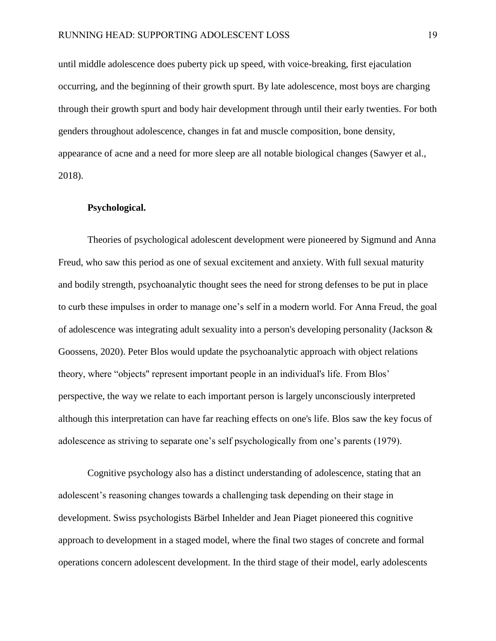until middle adolescence does puberty pick up speed, with voice-breaking, first ejaculation occurring, and the beginning of their growth spurt. By late adolescence, most boys are charging through their growth spurt and body hair development through until their early twenties. For both genders throughout adolescence, changes in fat and muscle composition, bone density, appearance of acne and a need for more sleep are all notable biological changes (Sawyer et al., 2018).

#### **Psychological.**

Theories of psychological adolescent development were pioneered by Sigmund and Anna Freud, who saw this period as one of sexual excitement and anxiety. With full sexual maturity and bodily strength, psychoanalytic thought sees the need for strong defenses to be put in place to curb these impulses in order to manage one's self in a modern world. For Anna Freud, the goal of adolescence was integrating adult sexuality into a person's developing personality (Jackson & Goossens, 2020). Peter Blos would update the psychoanalytic approach with object relations theory, where "objects'' represent important people in an individual's life. From Blos' perspective, the way we relate to each important person is largely unconsciously interpreted although this interpretation can have far reaching effects on one's life. Blos saw the key focus of adolescence as striving to separate one's self psychologically from one's parents (1979).

Cognitive psychology also has a distinct understanding of adolescence, stating that an adolescent's reasoning changes towards a challenging task depending on their stage in development. Swiss psychologists Bärbel Inhelder and Jean Piaget pioneered this cognitive approach to development in a staged model, where the final two stages of concrete and formal operations concern adolescent development. In the third stage of their model, early adolescents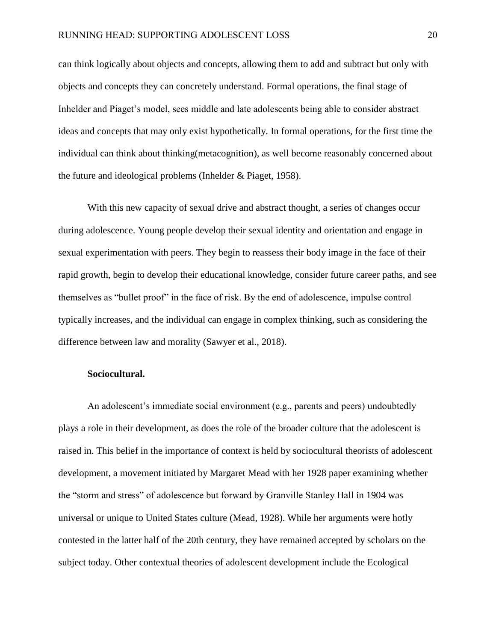can think logically about objects and concepts, allowing them to add and subtract but only with objects and concepts they can concretely understand. Formal operations, the final stage of Inhelder and Piaget's model, sees middle and late adolescents being able to consider abstract ideas and concepts that may only exist hypothetically. In formal operations, for the first time the individual can think about thinking(metacognition), as well become reasonably concerned about the future and ideological problems (Inhelder & Piaget, 1958).

With this new capacity of sexual drive and abstract thought, a series of changes occur during adolescence. Young people develop their sexual identity and orientation and engage in sexual experimentation with peers. They begin to reassess their body image in the face of their rapid growth, begin to develop their educational knowledge, consider future career paths, and see themselves as "bullet proof" in the face of risk. By the end of adolescence, impulse control typically increases, and the individual can engage in complex thinking, such as considering the difference between law and morality (Sawyer et al., 2018).

## **Sociocultural.**

An adolescent's immediate social environment (e.g., parents and peers) undoubtedly plays a role in their development, as does the role of the broader culture that the adolescent is raised in. This belief in the importance of context is held by sociocultural theorists of adolescent development, a movement initiated by Margaret Mead with her 1928 paper examining whether the "storm and stress" of adolescence but forward by Granville Stanley Hall in 1904 was universal or unique to United States culture (Mead, 1928). While her arguments were hotly contested in the latter half of the 20th century, they have remained accepted by scholars on the subject today. Other contextual theories of adolescent development include the Ecological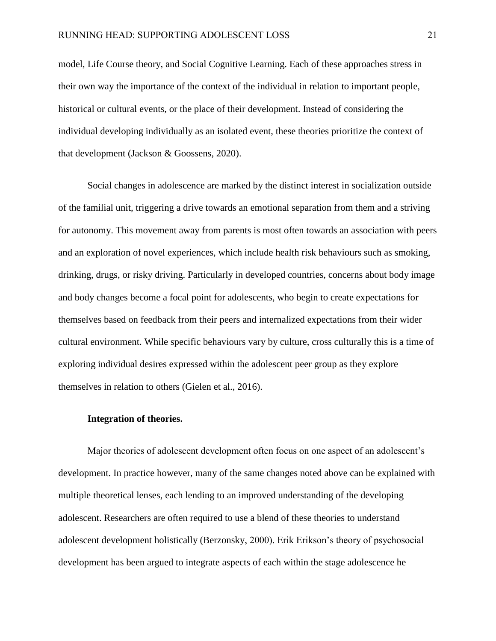model, Life Course theory, and Social Cognitive Learning. Each of these approaches stress in their own way the importance of the context of the individual in relation to important people, historical or cultural events, or the place of their development. Instead of considering the individual developing individually as an isolated event, these theories prioritize the context of that development (Jackson & Goossens, 2020).

Social changes in adolescence are marked by the distinct interest in socialization outside of the familial unit, triggering a drive towards an emotional separation from them and a striving for autonomy. This movement away from parents is most often towards an association with peers and an exploration of novel experiences, which include health risk behaviours such as smoking, drinking, drugs, or risky driving. Particularly in developed countries, concerns about body image and body changes become a focal point for adolescents, who begin to create expectations for themselves based on feedback from their peers and internalized expectations from their wider cultural environment. While specific behaviours vary by culture, cross culturally this is a time of exploring individual desires expressed within the adolescent peer group as they explore themselves in relation to others (Gielen et al., 2016).

#### **Integration of theories.**

Major theories of adolescent development often focus on one aspect of an adolescent's development. In practice however, many of the same changes noted above can be explained with multiple theoretical lenses, each lending to an improved understanding of the developing adolescent. Researchers are often required to use a blend of these theories to understand adolescent development holistically (Berzonsky, 2000). Erik Erikson's theory of psychosocial development has been argued to integrate aspects of each within the stage adolescence he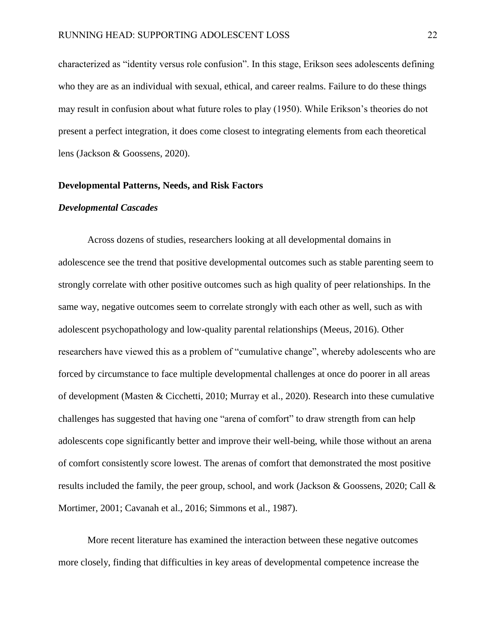characterized as "identity versus role confusion". In this stage, Erikson sees adolescents defining who they are as an individual with sexual, ethical, and career realms. Failure to do these things may result in confusion about what future roles to play (1950). While Erikson's theories do not present a perfect integration, it does come closest to integrating elements from each theoretical lens (Jackson & Goossens, 2020).

#### <span id="page-29-0"></span>**Developmental Patterns, Needs, and Risk Factors**

#### <span id="page-29-1"></span>*Developmental Cascades*

Across dozens of studies, researchers looking at all developmental domains in adolescence see the trend that positive developmental outcomes such as stable parenting seem to strongly correlate with other positive outcomes such as high quality of peer relationships. In the same way, negative outcomes seem to correlate strongly with each other as well, such as with adolescent psychopathology and low-quality parental relationships (Meeus, 2016). Other researchers have viewed this as a problem of "cumulative change", whereby adolescents who are forced by circumstance to face multiple developmental challenges at once do poorer in all areas of development (Masten & Cicchetti, 2010; Murray et al., 2020). Research into these cumulative challenges has suggested that having one "arena of comfort" to draw strength from can help adolescents cope significantly better and improve their well-being, while those without an arena of comfort consistently score lowest. The arenas of comfort that demonstrated the most positive results included the family, the peer group, school, and work (Jackson & Goossens, 2020; Call & Mortimer, 2001; Cavanah et al., 2016; Simmons et al., 1987).

More recent literature has examined the interaction between these negative outcomes more closely, finding that difficulties in key areas of developmental competence increase the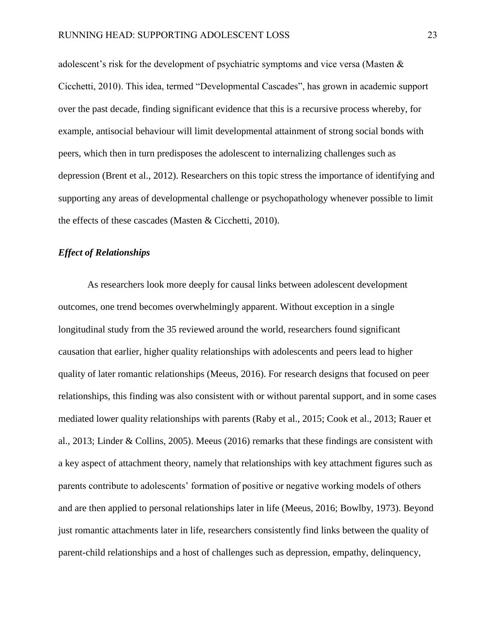adolescent's risk for the development of psychiatric symptoms and vice versa (Masten & Cicchetti, 2010). This idea, termed "Developmental Cascades", has grown in academic support over the past decade, finding significant evidence that this is a recursive process whereby, for example, antisocial behaviour will limit developmental attainment of strong social bonds with peers, which then in turn predisposes the adolescent to internalizing challenges such as depression (Brent et al., 2012). Researchers on this topic stress the importance of identifying and supporting any areas of developmental challenge or psychopathology whenever possible to limit the effects of these cascades (Masten & Cicchetti, 2010).

#### <span id="page-30-0"></span>*Effect of Relationships*

As researchers look more deeply for causal links between adolescent development outcomes, one trend becomes overwhelmingly apparent. Without exception in a single longitudinal study from the 35 reviewed around the world, researchers found significant causation that earlier, higher quality relationships with adolescents and peers lead to higher quality of later romantic relationships (Meeus, 2016). For research designs that focused on peer relationships, this finding was also consistent with or without parental support, and in some cases mediated lower quality relationships with parents (Raby et al., 2015; Cook et al., 2013; Rauer et al., 2013; Linder & Collins, 2005). Meeus (2016) remarks that these findings are consistent with a key aspect of attachment theory, namely that relationships with key attachment figures such as parents contribute to adolescents' formation of positive or negative working models of others and are then applied to personal relationships later in life (Meeus, 2016; Bowlby, 1973). Beyond just romantic attachments later in life, researchers consistently find links between the quality of parent-child relationships and a host of challenges such as depression, empathy, delinquency,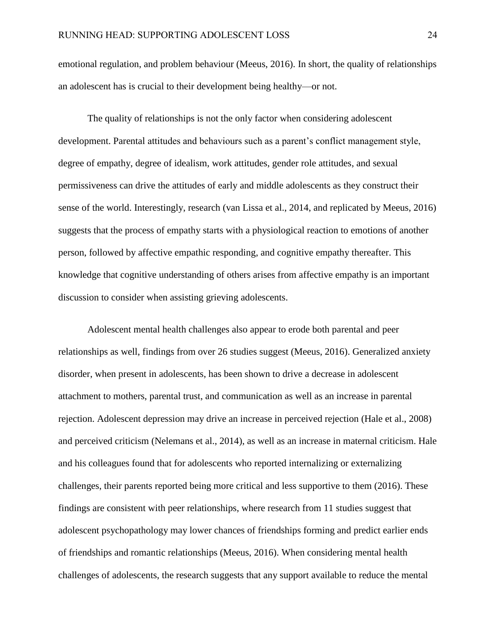emotional regulation, and problem behaviour (Meeus, 2016). In short, the quality of relationships an adolescent has is crucial to their development being healthy—or not.

The quality of relationships is not the only factor when considering adolescent development. Parental attitudes and behaviours such as a parent's conflict management style, degree of empathy, degree of idealism, work attitudes, gender role attitudes, and sexual permissiveness can drive the attitudes of early and middle adolescents as they construct their sense of the world. Interestingly, research (van Lissa et al., 2014, and replicated by Meeus, 2016) suggests that the process of empathy starts with a physiological reaction to emotions of another person, followed by affective empathic responding, and cognitive empathy thereafter. This knowledge that cognitive understanding of others arises from affective empathy is an important discussion to consider when assisting grieving adolescents.

Adolescent mental health challenges also appear to erode both parental and peer relationships as well, findings from over 26 studies suggest (Meeus, 2016). Generalized anxiety disorder, when present in adolescents, has been shown to drive a decrease in adolescent attachment to mothers, parental trust, and communication as well as an increase in parental rejection. Adolescent depression may drive an increase in perceived rejection (Hale et al., 2008) and perceived criticism (Nelemans et al., 2014), as well as an increase in maternal criticism. Hale and his colleagues found that for adolescents who reported internalizing or externalizing challenges, their parents reported being more critical and less supportive to them (2016). These findings are consistent with peer relationships, where research from 11 studies suggest that adolescent psychopathology may lower chances of friendships forming and predict earlier ends of friendships and romantic relationships (Meeus, 2016). When considering mental health challenges of adolescents, the research suggests that any support available to reduce the mental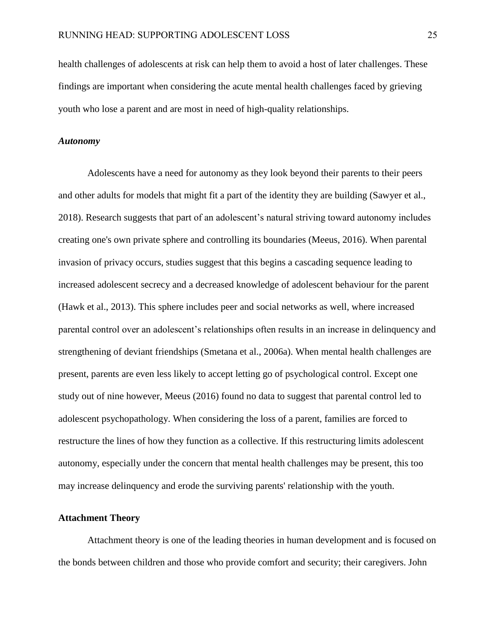health challenges of adolescents at risk can help them to avoid a host of later challenges. These findings are important when considering the acute mental health challenges faced by grieving youth who lose a parent and are most in need of high-quality relationships.

#### <span id="page-32-0"></span>*Autonomy*

Adolescents have a need for autonomy as they look beyond their parents to their peers and other adults for models that might fit a part of the identity they are building (Sawyer et al., 2018). Research suggests that part of an adolescent's natural striving toward autonomy includes creating one's own private sphere and controlling its boundaries (Meeus, 2016). When parental invasion of privacy occurs, studies suggest that this begins a cascading sequence leading to increased adolescent secrecy and a decreased knowledge of adolescent behaviour for the parent (Hawk et al., 2013). This sphere includes peer and social networks as well, where increased parental control over an adolescent's relationships often results in an increase in delinquency and strengthening of deviant friendships (Smetana et al., 2006a). When mental health challenges are present, parents are even less likely to accept letting go of psychological control. Except one study out of nine however, Meeus (2016) found no data to suggest that parental control led to adolescent psychopathology. When considering the loss of a parent, families are forced to restructure the lines of how they function as a collective. If this restructuring limits adolescent autonomy, especially under the concern that mental health challenges may be present, this too may increase delinquency and erode the surviving parents' relationship with the youth.

## <span id="page-32-1"></span>**Attachment Theory**

Attachment theory is one of the leading theories in human development and is focused on the bonds between children and those who provide comfort and security; their caregivers. John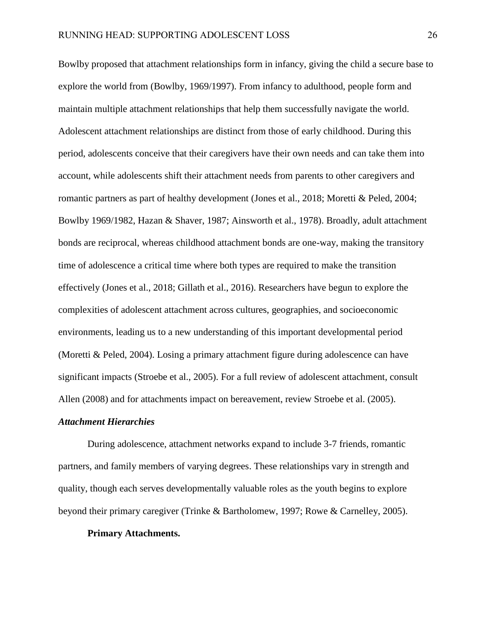Bowlby proposed that attachment relationships form in infancy, giving the child a secure base to explore the world from (Bowlby, 1969/1997). From infancy to adulthood, people form and maintain multiple attachment relationships that help them successfully navigate the world. Adolescent attachment relationships are distinct from those of early childhood. During this period, adolescents conceive that their caregivers have their own needs and can take them into account, while adolescents shift their attachment needs from parents to other caregivers and romantic partners as part of healthy development (Jones et al., 2018; Moretti & Peled, 2004; Bowlby 1969/1982, Hazan & Shaver, 1987; Ainsworth et al., 1978). Broadly, adult attachment bonds are reciprocal, whereas childhood attachment bonds are one-way, making the transitory time of adolescence a critical time where both types are required to make the transition effectively (Jones et al., 2018; Gillath et al., 2016). Researchers have begun to explore the complexities of adolescent attachment across cultures, geographies, and socioeconomic environments, leading us to a new understanding of this important developmental period (Moretti & Peled, 2004). Losing a primary attachment figure during adolescence can have significant impacts (Stroebe et al., 2005). For a full review of adolescent attachment, consult Allen (2008) and for attachments impact on bereavement, review Stroebe et al. (2005).

#### <span id="page-33-0"></span>*Attachment Hierarchies*

During adolescence, attachment networks expand to include 3-7 friends, romantic partners, and family members of varying degrees. These relationships vary in strength and quality, though each serves developmentally valuable roles as the youth begins to explore beyond their primary caregiver (Trinke & Bartholomew, 1997; Rowe & Carnelley, 2005).

#### **Primary Attachments.**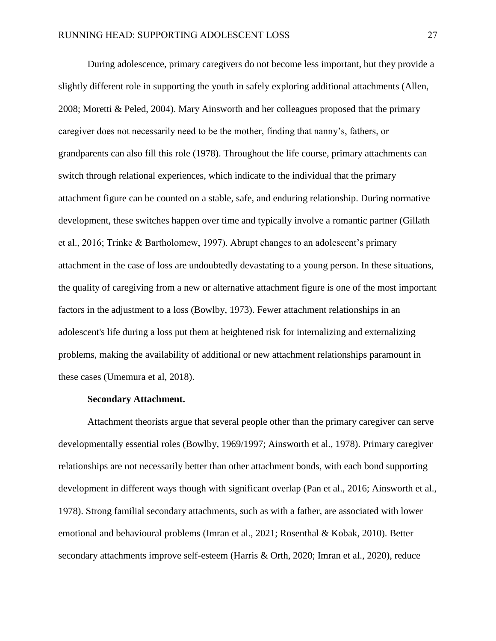During adolescence, primary caregivers do not become less important, but they provide a slightly different role in supporting the youth in safely exploring additional attachments (Allen, 2008; Moretti & Peled, 2004). Mary Ainsworth and her colleagues proposed that the primary caregiver does not necessarily need to be the mother, finding that nanny's, fathers, or grandparents can also fill this role (1978). Throughout the life course, primary attachments can switch through relational experiences, which indicate to the individual that the primary attachment figure can be counted on a stable, safe, and enduring relationship. During normative development, these switches happen over time and typically involve a romantic partner (Gillath et al., 2016; Trinke & Bartholomew, 1997). Abrupt changes to an adolescent's primary attachment in the case of loss are undoubtedly devastating to a young person. In these situations, the quality of caregiving from a new or alternative attachment figure is one of the most important factors in the adjustment to a loss (Bowlby, 1973). Fewer attachment relationships in an adolescent's life during a loss put them at heightened risk for internalizing and externalizing problems, making the availability of additional or new attachment relationships paramount in these cases (Umemura et al, 2018).

#### **Secondary Attachment.**

Attachment theorists argue that several people other than the primary caregiver can serve developmentally essential roles (Bowlby, 1969/1997; Ainsworth et al., 1978). Primary caregiver relationships are not necessarily better than other attachment bonds, with each bond supporting development in different ways though with significant overlap (Pan et al., 2016; Ainsworth et al., 1978). Strong familial secondary attachments, such as with a father, are associated with lower emotional and behavioural problems (Imran et al., 2021; Rosenthal & Kobak, 2010). Better secondary attachments improve self-esteem (Harris & Orth, 2020; Imran et al., 2020), reduce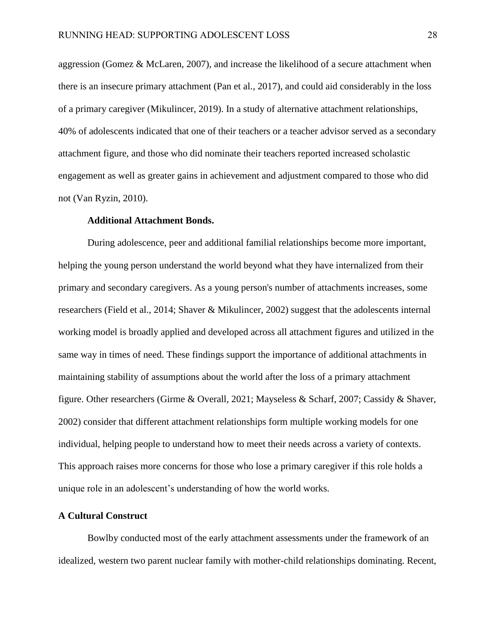aggression (Gomez & McLaren, 2007), and increase the likelihood of a secure attachment when there is an insecure primary attachment (Pan et al., 2017), and could aid considerably in the loss of a primary caregiver (Mikulincer, 2019). In a study of alternative attachment relationships, 40% of adolescents indicated that one of their teachers or a teacher advisor served as a secondary attachment figure, and those who did nominate their teachers reported increased scholastic engagement as well as greater gains in achievement and adjustment compared to those who did not (Van Ryzin, 2010).

#### **Additional Attachment Bonds.**

During adolescence, peer and additional familial relationships become more important, helping the young person understand the world beyond what they have internalized from their primary and secondary caregivers. As a young person's number of attachments increases, some researchers (Field et al., 2014; Shaver & Mikulincer, 2002) suggest that the adolescents internal working model is broadly applied and developed across all attachment figures and utilized in the same way in times of need. These findings support the importance of additional attachments in maintaining stability of assumptions about the world after the loss of a primary attachment figure. Other researchers (Girme & Overall, 2021; Mayseless & Scharf, 2007; Cassidy & Shaver, 2002) consider that different attachment relationships form multiple working models for one individual, helping people to understand how to meet their needs across a variety of contexts. This approach raises more concerns for those who lose a primary caregiver if this role holds a unique role in an adolescent's understanding of how the world works.

### <span id="page-35-0"></span>**A Cultural Construct**

Bowlby conducted most of the early attachment assessments under the framework of an idealized, western two parent nuclear family with mother-child relationships dominating. Recent,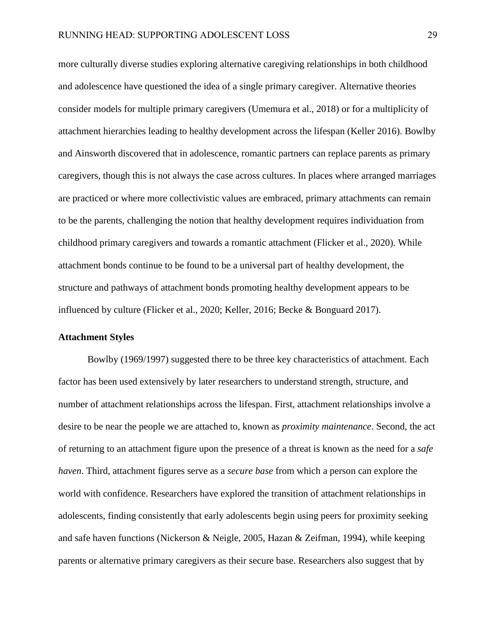more culturally diverse studies exploring alternative caregiving relationships in both childhood and adolescence have questioned the idea of a single primary caregiver. Alternative theories consider models for multiple primary caregivers (Umemura et al., 2018) or for a multiplicity of attachment hierarchies leading to healthy development across the lifespan (Keller 2016). Bowlby and Ainsworth discovered that in adolescence, romantic partners can replace parents as primary caregivers, though this is not always the case across cultures. In places where arranged marriages are practiced or where more collectivistic values are embraced, primary attachments can remain to be the parents, challenging the notion that healthy development requires individuation from childhood primary caregivers and towards a romantic attachment (Flicker et al., 2020). While attachment bonds continue to be found to be a universal part of healthy development, the structure and pathways of attachment bonds promoting healthy development appears to be influenced by culture (Flicker et al., 2020; Keller, 2016; Becke & Bonguard 2017).

### **Attachment Styles**

Bowlby (1969/1997) suggested there to be three key characteristics of attachment. Each factor has been used extensively by later researchers to understand strength, structure, and number of attachment relationships across the lifespan. First, attachment relationships involve a desire to be near the people we are attached to, known as *proximity maintenance*. Second, the act of returning to an attachment figure upon the presence of a threat is known as the need for a *safe haven*. Third, attachment figures serve as a *secure base* from which a person can explore the world with confidence. Researchers have explored the transition of attachment relationships in adolescents, finding consistently that early adolescents begin using peers for proximity seeking and safe haven functions (Nickerson & Neigle, 2005, Hazan & Zeifman, 1994), while keeping parents or alternative primary caregivers as their secure base. Researchers also suggest that by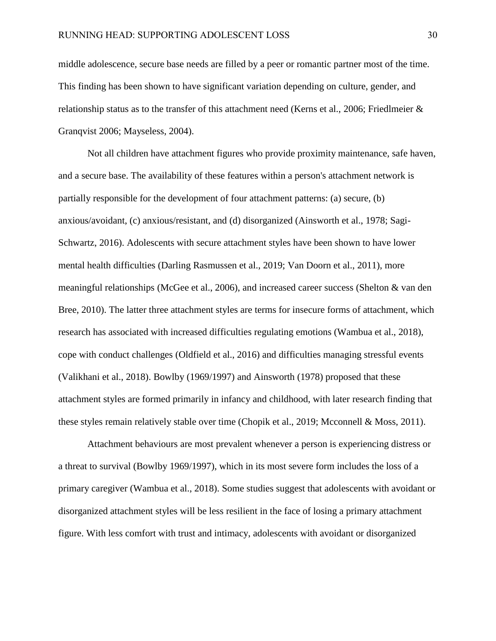middle adolescence, secure base needs are filled by a peer or romantic partner most of the time. This finding has been shown to have significant variation depending on culture, gender, and relationship status as to the transfer of this attachment need (Kerns et al., 2006; Friedlmeier & Granqvist 2006; Mayseless, 2004).

Not all children have attachment figures who provide proximity maintenance, safe haven, and a secure base. The availability of these features within a person's attachment network is partially responsible for the development of four attachment patterns: (a) secure, (b) anxious/avoidant, (c) anxious/resistant, and (d) disorganized (Ainsworth et al., 1978; Sagi-Schwartz, 2016). Adolescents with secure attachment styles have been shown to have lower mental health difficulties (Darling Rasmussen et al., 2019; Van Doorn et al., 2011), more meaningful relationships (McGee et al., 2006), and increased career success (Shelton & van den Bree, 2010). The latter three attachment styles are terms for insecure forms of attachment, which research has associated with increased difficulties regulating emotions (Wambua et al., 2018), cope with conduct challenges (Oldfield et al., 2016) and difficulties managing stressful events (Valikhani et al., 2018). Bowlby (1969/1997) and Ainsworth (1978) proposed that these attachment styles are formed primarily in infancy and childhood, with later research finding that these styles remain relatively stable over time (Chopik et al., 2019; Mcconnell & Moss, 2011).

Attachment behaviours are most prevalent whenever a person is experiencing distress or a threat to survival (Bowlby 1969/1997), which in its most severe form includes the loss of a primary caregiver (Wambua et al., 2018). Some studies suggest that adolescents with avoidant or disorganized attachment styles will be less resilient in the face of losing a primary attachment figure. With less comfort with trust and intimacy, adolescents with avoidant or disorganized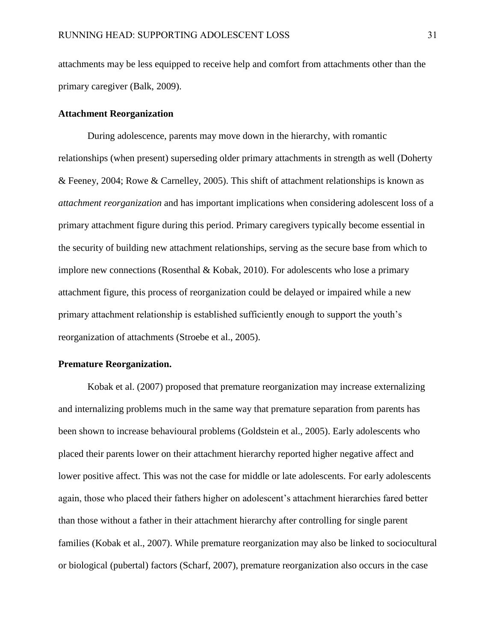attachments may be less equipped to receive help and comfort from attachments other than the primary caregiver (Balk, 2009).

### **Attachment Reorganization**

During adolescence, parents may move down in the hierarchy, with romantic relationships (when present) superseding older primary attachments in strength as well (Doherty & Feeney, 2004; Rowe & Carnelley, 2005). This shift of attachment relationships is known as *attachment reorganization* and has important implications when considering adolescent loss of a primary attachment figure during this period. Primary caregivers typically become essential in the security of building new attachment relationships, serving as the secure base from which to implore new connections (Rosenthal & Kobak, 2010). For adolescents who lose a primary attachment figure, this process of reorganization could be delayed or impaired while a new primary attachment relationship is established sufficiently enough to support the youth's reorganization of attachments (Stroebe et al., 2005).

## **Premature Reorganization.**

Kobak et al. (2007) proposed that premature reorganization may increase externalizing and internalizing problems much in the same way that premature separation from parents has been shown to increase behavioural problems (Goldstein et al., 2005). Early adolescents who placed their parents lower on their attachment hierarchy reported higher negative affect and lower positive affect. This was not the case for middle or late adolescents. For early adolescents again, those who placed their fathers higher on adolescent's attachment hierarchies fared better than those without a father in their attachment hierarchy after controlling for single parent families (Kobak et al., 2007). While premature reorganization may also be linked to sociocultural or biological (pubertal) factors (Scharf, 2007), premature reorganization also occurs in the case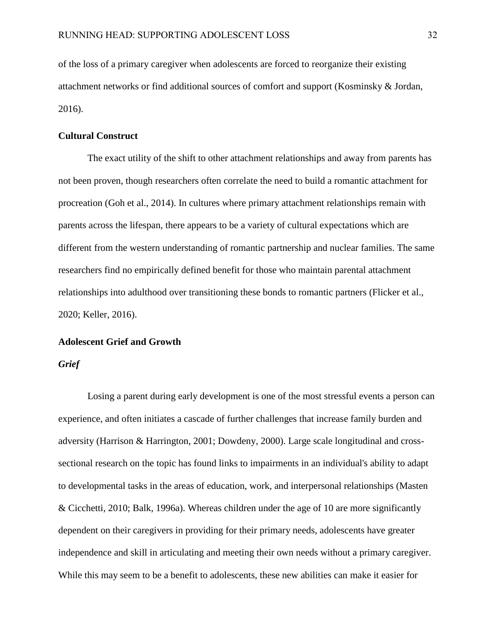of the loss of a primary caregiver when adolescents are forced to reorganize their existing attachment networks or find additional sources of comfort and support (Kosminsky & Jordan, 2016).

### **Cultural Construct**

The exact utility of the shift to other attachment relationships and away from parents has not been proven, though researchers often correlate the need to build a romantic attachment for procreation (Goh et al., 2014). In cultures where primary attachment relationships remain with parents across the lifespan, there appears to be a variety of cultural expectations which are different from the western understanding of romantic partnership and nuclear families. The same researchers find no empirically defined benefit for those who maintain parental attachment relationships into adulthood over transitioning these bonds to romantic partners (Flicker et al., 2020; Keller, 2016).

# **Adolescent Grief and Growth**

#### *Grief*

Losing a parent during early development is one of the most stressful events a person can experience, and often initiates a cascade of further challenges that increase family burden and adversity (Harrison & Harrington, 2001; Dowdeny, 2000). Large scale longitudinal and crosssectional research on the topic has found links to impairments in an individual's ability to adapt to developmental tasks in the areas of education, work, and interpersonal relationships (Masten & Cicchetti, 2010; Balk, 1996a). Whereas children under the age of 10 are more significantly dependent on their caregivers in providing for their primary needs, adolescents have greater independence and skill in articulating and meeting their own needs without a primary caregiver. While this may seem to be a benefit to adolescents, these new abilities can make it easier for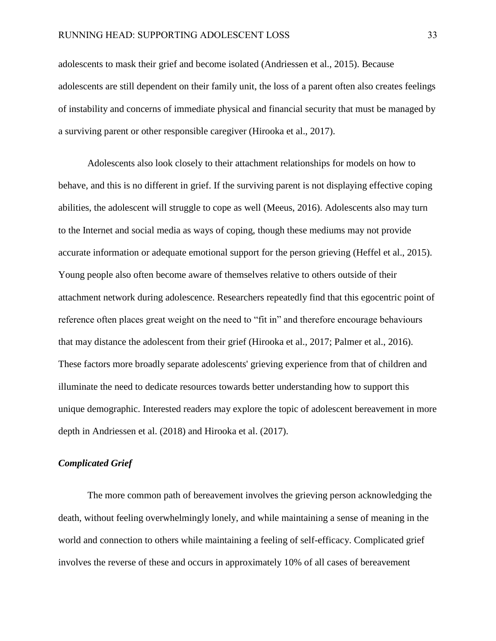adolescents to mask their grief and become isolated (Andriessen et al., 2015). Because adolescents are still dependent on their family unit, the loss of a parent often also creates feelings of instability and concerns of immediate physical and financial security that must be managed by a surviving parent or other responsible caregiver (Hirooka et al., 2017).

Adolescents also look closely to their attachment relationships for models on how to behave, and this is no different in grief. If the surviving parent is not displaying effective coping abilities, the adolescent will struggle to cope as well (Meeus, 2016). Adolescents also may turn to the Internet and social media as ways of coping, though these mediums may not provide accurate information or adequate emotional support for the person grieving (Heffel et al., 2015). Young people also often become aware of themselves relative to others outside of their attachment network during adolescence. Researchers repeatedly find that this egocentric point of reference often places great weight on the need to "fit in" and therefore encourage behaviours that may distance the adolescent from their grief (Hirooka et al., 2017; Palmer et al., 2016). These factors more broadly separate adolescents' grieving experience from that of children and illuminate the need to dedicate resources towards better understanding how to support this unique demographic. Interested readers may explore the topic of adolescent bereavement in more depth in Andriessen et al. (2018) and Hirooka et al. (2017).

### *Complicated Grief*

The more common path of bereavement involves the grieving person acknowledging the death, without feeling overwhelmingly lonely, and while maintaining a sense of meaning in the world and connection to others while maintaining a feeling of self-efficacy. Complicated grief involves the reverse of these and occurs in approximately 10% of all cases of bereavement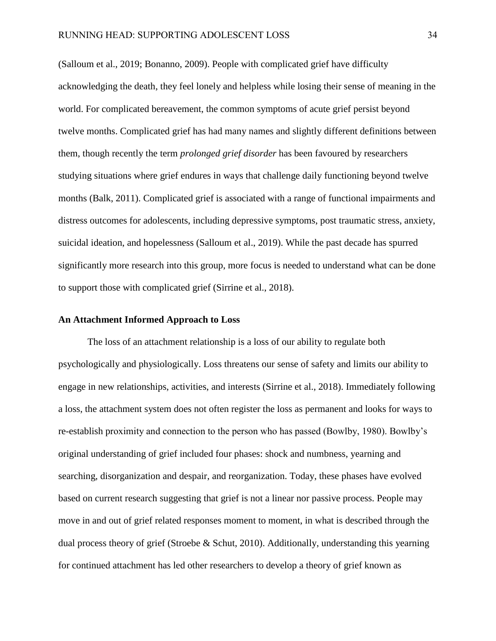(Salloum et al., 2019; Bonanno, 2009). People with complicated grief have difficulty acknowledging the death, they feel lonely and helpless while losing their sense of meaning in the world. For complicated bereavement, the common symptoms of acute grief persist beyond twelve months. Complicated grief has had many names and slightly different definitions between them, though recently the term *prolonged grief disorder* has been favoured by researchers studying situations where grief endures in ways that challenge daily functioning beyond twelve months (Balk, 2011). Complicated grief is associated with a range of functional impairments and distress outcomes for adolescents, including depressive symptoms, post traumatic stress, anxiety, suicidal ideation, and hopelessness (Salloum et al., 2019). While the past decade has spurred significantly more research into this group, more focus is needed to understand what can be done to support those with complicated grief (Sirrine et al., 2018).

### **An Attachment Informed Approach to Loss**

The loss of an attachment relationship is a loss of our ability to regulate both psychologically and physiologically. Loss threatens our sense of safety and limits our ability to engage in new relationships, activities, and interests (Sirrine et al., 2018). Immediately following a loss, the attachment system does not often register the loss as permanent and looks for ways to re-establish proximity and connection to the person who has passed (Bowlby, 1980). Bowlby's original understanding of grief included four phases: shock and numbness, yearning and searching, disorganization and despair, and reorganization. Today, these phases have evolved based on current research suggesting that grief is not a linear nor passive process. People may move in and out of grief related responses moment to moment, in what is described through the dual process theory of grief (Stroebe & Schut, 2010). Additionally, understanding this yearning for continued attachment has led other researchers to develop a theory of grief known as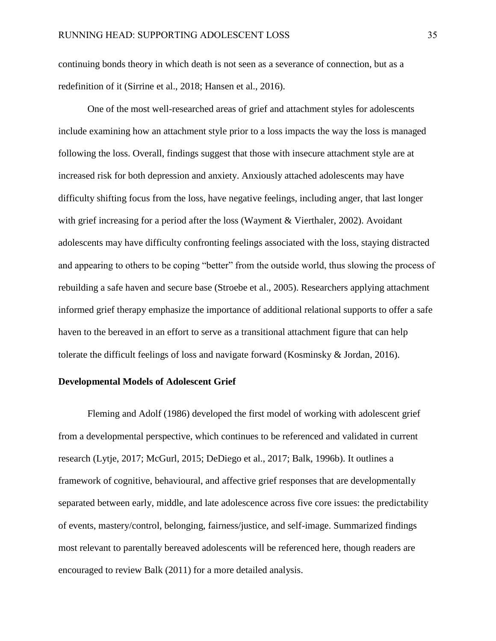continuing bonds theory in which death is not seen as a severance of connection, but as a redefinition of it (Sirrine et al., 2018; Hansen et al., 2016).

One of the most well-researched areas of grief and attachment styles for adolescents include examining how an attachment style prior to a loss impacts the way the loss is managed following the loss. Overall, findings suggest that those with insecure attachment style are at increased risk for both depression and anxiety. Anxiously attached adolescents may have difficulty shifting focus from the loss, have negative feelings, including anger, that last longer with grief increasing for a period after the loss (Wayment & Vierthaler, 2002). Avoidant adolescents may have difficulty confronting feelings associated with the loss, staying distracted and appearing to others to be coping "better" from the outside world, thus slowing the process of rebuilding a safe haven and secure base (Stroebe et al., 2005). Researchers applying attachment informed grief therapy emphasize the importance of additional relational supports to offer a safe haven to the bereaved in an effort to serve as a transitional attachment figure that can help tolerate the difficult feelings of loss and navigate forward (Kosminsky & Jordan, 2016).

#### **Developmental Models of Adolescent Grief**

Fleming and Adolf (1986) developed the first model of working with adolescent grief from a developmental perspective, which continues to be referenced and validated in current research (Lytje, 2017; McGurl, 2015; DeDiego et al., 2017; Balk, 1996b). It outlines a framework of cognitive, behavioural, and affective grief responses that are developmentally separated between early, middle, and late adolescence across five core issues: the predictability of events, mastery/control, belonging, fairness/justice, and self-image. Summarized findings most relevant to parentally bereaved adolescents will be referenced here, though readers are encouraged to review Balk (2011) for a more detailed analysis.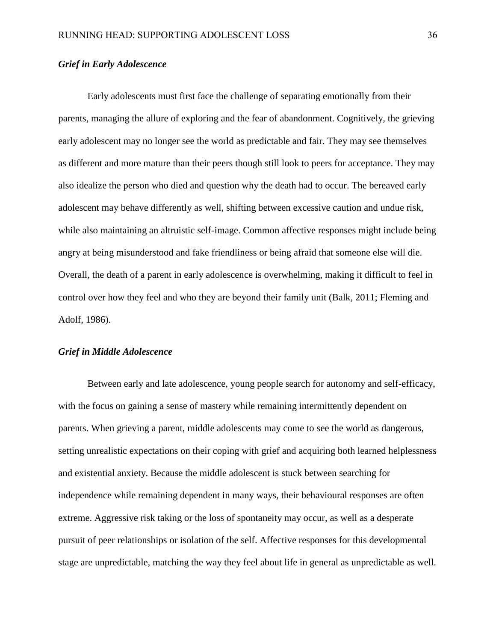# *Grief in Early Adolescence*

Early adolescents must first face the challenge of separating emotionally from their parents, managing the allure of exploring and the fear of abandonment. Cognitively, the grieving early adolescent may no longer see the world as predictable and fair. They may see themselves as different and more mature than their peers though still look to peers for acceptance. They may also idealize the person who died and question why the death had to occur. The bereaved early adolescent may behave differently as well, shifting between excessive caution and undue risk, while also maintaining an altruistic self-image. Common affective responses might include being angry at being misunderstood and fake friendliness or being afraid that someone else will die. Overall, the death of a parent in early adolescence is overwhelming, making it difficult to feel in control over how they feel and who they are beyond their family unit (Balk, 2011; Fleming and Adolf, 1986).

## *Grief in Middle Adolescence*

Between early and late adolescence, young people search for autonomy and self-efficacy, with the focus on gaining a sense of mastery while remaining intermittently dependent on parents. When grieving a parent, middle adolescents may come to see the world as dangerous, setting unrealistic expectations on their coping with grief and acquiring both learned helplessness and existential anxiety. Because the middle adolescent is stuck between searching for independence while remaining dependent in many ways, their behavioural responses are often extreme. Aggressive risk taking or the loss of spontaneity may occur, as well as a desperate pursuit of peer relationships or isolation of the self. Affective responses for this developmental stage are unpredictable, matching the way they feel about life in general as unpredictable as well.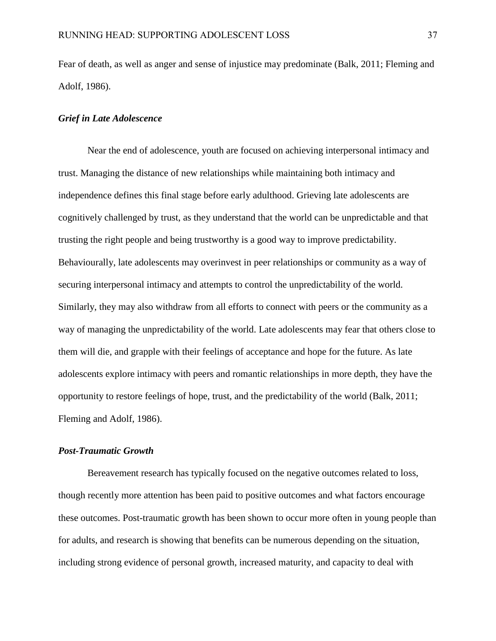Fear of death, as well as anger and sense of injustice may predominate (Balk, 2011; Fleming and Adolf, 1986).

### *Grief in Late Adolescence*

Near the end of adolescence, youth are focused on achieving interpersonal intimacy and trust. Managing the distance of new relationships while maintaining both intimacy and independence defines this final stage before early adulthood. Grieving late adolescents are cognitively challenged by trust, as they understand that the world can be unpredictable and that trusting the right people and being trustworthy is a good way to improve predictability. Behaviourally, late adolescents may overinvest in peer relationships or community as a way of securing interpersonal intimacy and attempts to control the unpredictability of the world. Similarly, they may also withdraw from all efforts to connect with peers or the community as a way of managing the unpredictability of the world. Late adolescents may fear that others close to them will die, and grapple with their feelings of acceptance and hope for the future. As late adolescents explore intimacy with peers and romantic relationships in more depth, they have the opportunity to restore feelings of hope, trust, and the predictability of the world (Balk, 2011; Fleming and Adolf, 1986).

# *Post-Traumatic Growth*

Bereavement research has typically focused on the negative outcomes related to loss, though recently more attention has been paid to positive outcomes and what factors encourage these outcomes. Post-traumatic growth has been shown to occur more often in young people than for adults, and research is showing that benefits can be numerous depending on the situation, including strong evidence of personal growth, increased maturity, and capacity to deal with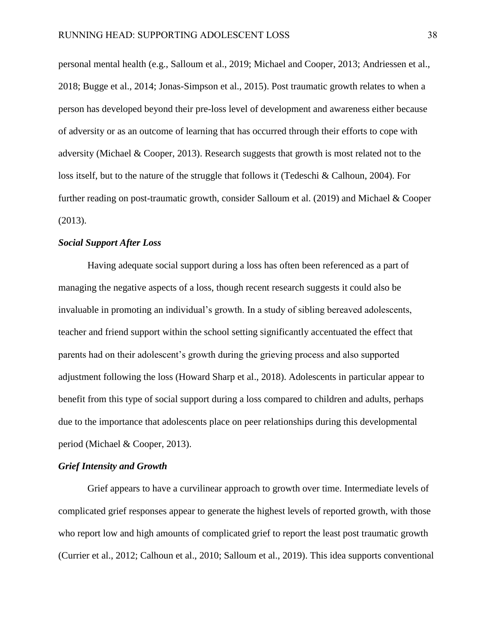personal mental health (e.g., Salloum et al., 2019; Michael and Cooper, 2013; Andriessen et al., 2018; Bugge et al., 2014; Jonas-Simpson et al., 2015). Post traumatic growth relates to when a person has developed beyond their pre-loss level of development and awareness either because of adversity or as an outcome of learning that has occurred through their efforts to cope with adversity (Michael & Cooper, 2013). Research suggests that growth is most related not to the loss itself, but to the nature of the struggle that follows it (Tedeschi & Calhoun, 2004). For further reading on post-traumatic growth, consider Salloum et al. (2019) and Michael & Cooper (2013).

## *Social Support After Loss*

Having adequate social support during a loss has often been referenced as a part of managing the negative aspects of a loss, though recent research suggests it could also be invaluable in promoting an individual's growth. In a study of sibling bereaved adolescents, teacher and friend support within the school setting significantly accentuated the effect that parents had on their adolescent's growth during the grieving process and also supported adjustment following the loss (Howard Sharp et al., 2018). Adolescents in particular appear to benefit from this type of social support during a loss compared to children and adults, perhaps due to the importance that adolescents place on peer relationships during this developmental period (Michael & Cooper, 2013).

#### *Grief Intensity and Growth*

Grief appears to have a curvilinear approach to growth over time. Intermediate levels of complicated grief responses appear to generate the highest levels of reported growth, with those who report low and high amounts of complicated grief to report the least post traumatic growth (Currier et al., 2012; Calhoun et al., 2010; Salloum et al., 2019). This idea supports conventional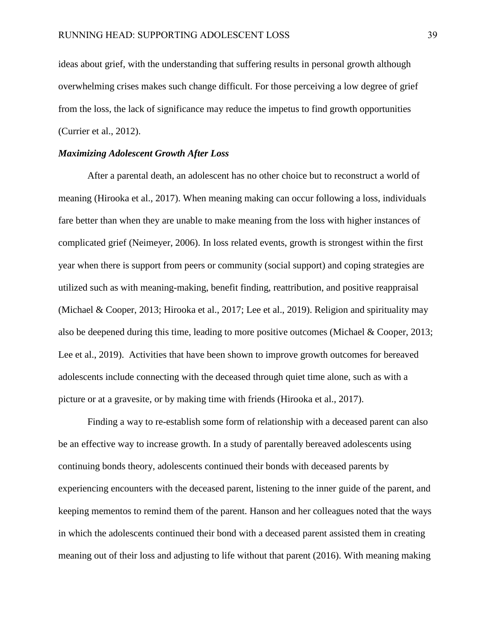ideas about grief, with the understanding that suffering results in personal growth although overwhelming crises makes such change difficult. For those perceiving a low degree of grief from the loss, the lack of significance may reduce the impetus to find growth opportunities (Currier et al., 2012).

### *Maximizing Adolescent Growth After Loss*

After a parental death, an adolescent has no other choice but to reconstruct a world of meaning (Hirooka et al., 2017). When meaning making can occur following a loss, individuals fare better than when they are unable to make meaning from the loss with higher instances of complicated grief (Neimeyer, 2006). In loss related events, growth is strongest within the first year when there is support from peers or community (social support) and coping strategies are utilized such as with meaning-making, benefit finding, reattribution, and positive reappraisal (Michael & Cooper, 2013; Hirooka et al., 2017; Lee et al., 2019). Religion and spirituality may also be deepened during this time, leading to more positive outcomes (Michael & Cooper, 2013; Lee et al., 2019). Activities that have been shown to improve growth outcomes for bereaved adolescents include connecting with the deceased through quiet time alone, such as with a picture or at a gravesite, or by making time with friends (Hirooka et al., 2017).

Finding a way to re-establish some form of relationship with a deceased parent can also be an effective way to increase growth. In a study of parentally bereaved adolescents using continuing bonds theory, adolescents continued their bonds with deceased parents by experiencing encounters with the deceased parent, listening to the inner guide of the parent, and keeping mementos to remind them of the parent. Hanson and her colleagues noted that the ways in which the adolescents continued their bond with a deceased parent assisted them in creating meaning out of their loss and adjusting to life without that parent (2016). With meaning making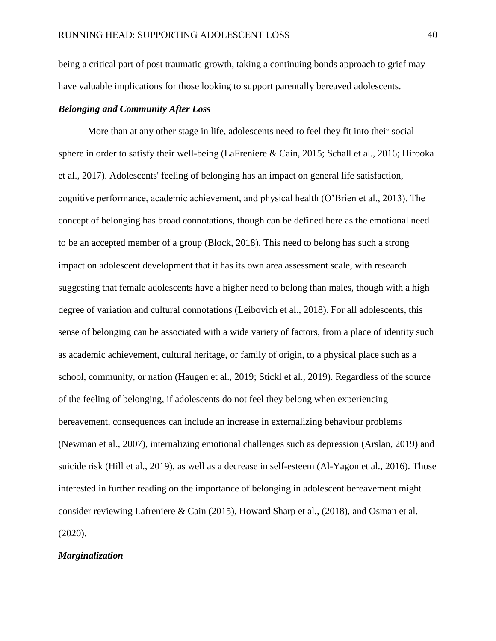being a critical part of post traumatic growth, taking a continuing bonds approach to grief may have valuable implications for those looking to support parentally bereaved adolescents.

## *Belonging and Community After Loss*

More than at any other stage in life, adolescents need to feel they fit into their social sphere in order to satisfy their well-being (LaFreniere & Cain, 2015; Schall et al., 2016; Hirooka et al., 2017). Adolescents' feeling of belonging has an impact on general life satisfaction, cognitive performance, academic achievement, and physical health (O'Brien et al., 2013). The concept of belonging has broad connotations, though can be defined here as the emotional need to be an accepted member of a group (Block, 2018). This need to belong has such a strong impact on adolescent development that it has its own area assessment scale, with research suggesting that female adolescents have a higher need to belong than males, though with a high degree of variation and cultural connotations (Leibovich et al., 2018). For all adolescents, this sense of belonging can be associated with a wide variety of factors, from a place of identity such as academic achievement, cultural heritage, or family of origin, to a physical place such as a school, community, or nation (Haugen et al., 2019; Stickl et al., 2019). Regardless of the source of the feeling of belonging, if adolescents do not feel they belong when experiencing bereavement, consequences can include an increase in externalizing behaviour problems (Newman et al., 2007), internalizing emotional challenges such as depression (Arslan, 2019) and suicide risk (Hill et al., 2019), as well as a decrease in self-esteem (Al-Yagon et al., 2016). Those interested in further reading on the importance of belonging in adolescent bereavement might consider reviewing Lafreniere & Cain (2015), Howard Sharp et al., (2018), and Osman et al. (2020).

### *Marginalization*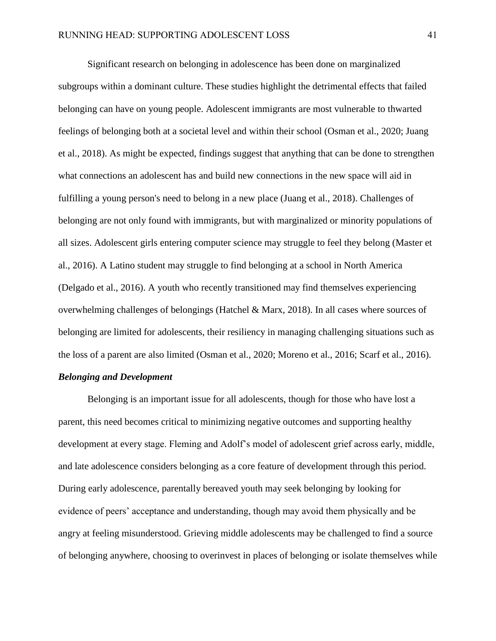Significant research on belonging in adolescence has been done on marginalized subgroups within a dominant culture. These studies highlight the detrimental effects that failed belonging can have on young people. Adolescent immigrants are most vulnerable to thwarted feelings of belonging both at a societal level and within their school (Osman et al., 2020; Juang et al., 2018). As might be expected, findings suggest that anything that can be done to strengthen what connections an adolescent has and build new connections in the new space will aid in fulfilling a young person's need to belong in a new place (Juang et al., 2018). Challenges of belonging are not only found with immigrants, but with marginalized or minority populations of all sizes. Adolescent girls entering computer science may struggle to feel they belong (Master et al., 2016). A Latino student may struggle to find belonging at a school in North America (Delgado et al., 2016). A youth who recently transitioned may find themselves experiencing overwhelming challenges of belongings (Hatchel & Marx, 2018). In all cases where sources of belonging are limited for adolescents, their resiliency in managing challenging situations such as the loss of a parent are also limited (Osman et al., 2020; Moreno et al., 2016; Scarf et al., 2016).

## *Belonging and Development*

Belonging is an important issue for all adolescents, though for those who have lost a parent, this need becomes critical to minimizing negative outcomes and supporting healthy development at every stage. Fleming and Adolf's model of adolescent grief across early, middle, and late adolescence considers belonging as a core feature of development through this period. During early adolescence, parentally bereaved youth may seek belonging by looking for evidence of peers' acceptance and understanding, though may avoid them physically and be angry at feeling misunderstood. Grieving middle adolescents may be challenged to find a source of belonging anywhere, choosing to overinvest in places of belonging or isolate themselves while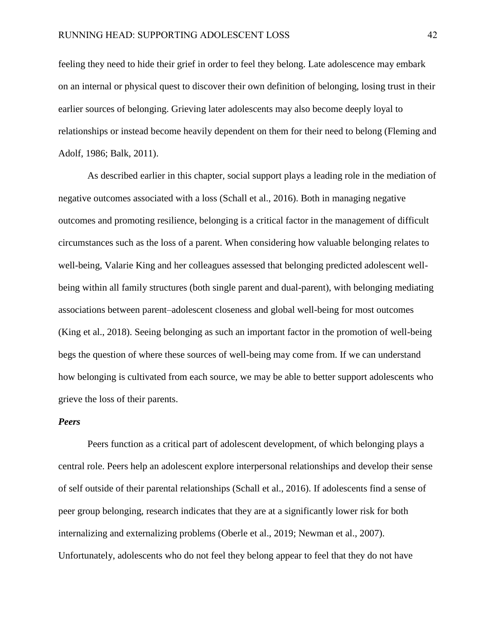feeling they need to hide their grief in order to feel they belong. Late adolescence may embark on an internal or physical quest to discover their own definition of belonging, losing trust in their earlier sources of belonging. Grieving later adolescents may also become deeply loyal to relationships or instead become heavily dependent on them for their need to belong (Fleming and Adolf, 1986; Balk, 2011).

As described earlier in this chapter, social support plays a leading role in the mediation of negative outcomes associated with a loss (Schall et al., 2016). Both in managing negative outcomes and promoting resilience, belonging is a critical factor in the management of difficult circumstances such as the loss of a parent. When considering how valuable belonging relates to well-being, Valarie King and her colleagues assessed that belonging predicted adolescent wellbeing within all family structures (both single parent and dual-parent), with belonging mediating associations between parent–adolescent closeness and global well-being for most outcomes (King et al., 2018). Seeing belonging as such an important factor in the promotion of well-being begs the question of where these sources of well-being may come from. If we can understand how belonging is cultivated from each source, we may be able to better support adolescents who grieve the loss of their parents.

#### *Peers*

Peers function as a critical part of adolescent development, of which belonging plays a central role. Peers help an adolescent explore interpersonal relationships and develop their sense of self outside of their parental relationships (Schall et al., 2016). If adolescents find a sense of peer group belonging, research indicates that they are at a significantly lower risk for both internalizing and externalizing problems (Oberle et al., 2019; Newman et al., 2007). Unfortunately, adolescents who do not feel they belong appear to feel that they do not have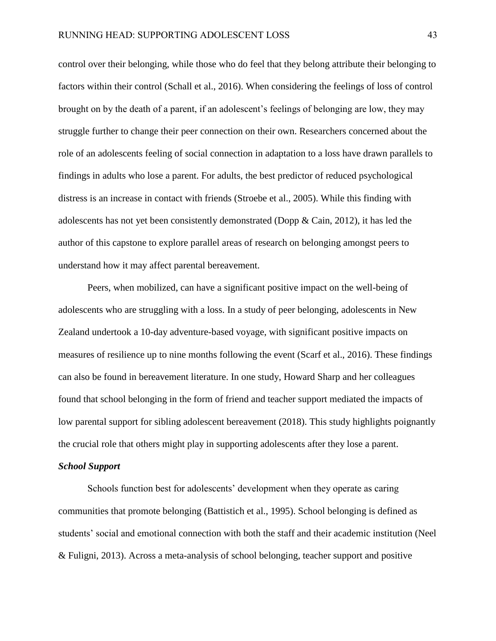control over their belonging, while those who do feel that they belong attribute their belonging to factors within their control (Schall et al., 2016). When considering the feelings of loss of control brought on by the death of a parent, if an adolescent's feelings of belonging are low, they may struggle further to change their peer connection on their own. Researchers concerned about the role of an adolescents feeling of social connection in adaptation to a loss have drawn parallels to findings in adults who lose a parent. For adults, the best predictor of reduced psychological distress is an increase in contact with friends (Stroebe et al., 2005). While this finding with adolescents has not yet been consistently demonstrated (Dopp  $\&$  Cain, 2012), it has led the author of this capstone to explore parallel areas of research on belonging amongst peers to understand how it may affect parental bereavement.

Peers, when mobilized, can have a significant positive impact on the well-being of adolescents who are struggling with a loss. In a study of peer belonging, adolescents in New Zealand undertook a 10-day adventure-based voyage, with significant positive impacts on measures of resilience up to nine months following the event (Scarf et al., 2016). These findings can also be found in bereavement literature. In one study, Howard Sharp and her colleagues found that school belonging in the form of friend and teacher support mediated the impacts of low parental support for sibling adolescent bereavement (2018). This study highlights poignantly the crucial role that others might play in supporting adolescents after they lose a parent.

#### *School Support*

Schools function best for adolescents' development when they operate as caring communities that promote belonging (Battistich et al., 1995). School belonging is defined as students' social and emotional connection with both the staff and their academic institution (Neel & Fuligni, 2013). Across a meta-analysis of school belonging, teacher support and positive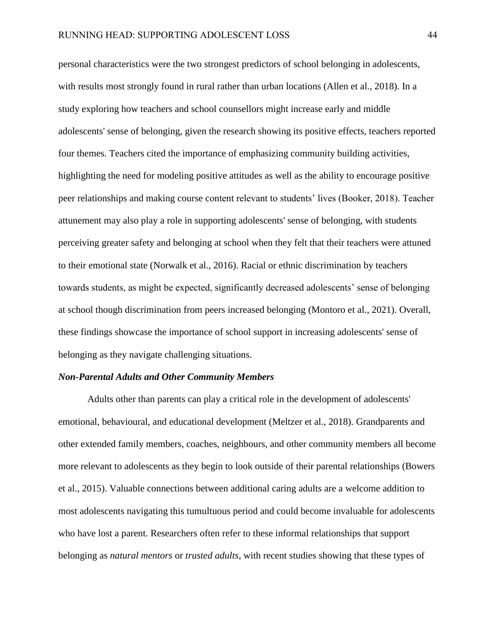personal characteristics were the two strongest predictors of school belonging in adolescents, with results most strongly found in rural rather than urban locations (Allen et al., 2018). In a study exploring how teachers and school counsellors might increase early and middle adolescents' sense of belonging, given the research showing its positive effects, teachers reported four themes. Teachers cited the importance of emphasizing community building activities, highlighting the need for modeling positive attitudes as well as the ability to encourage positive peer relationships and making course content relevant to students' lives (Booker, 2018). Teacher attunement may also play a role in supporting adolescents' sense of belonging, with students perceiving greater safety and belonging at school when they felt that their teachers were attuned to their emotional state (Norwalk et al., 2016). Racial or ethnic discrimination by teachers towards students, as might be expected, significantly decreased adolescents' sense of belonging at school though discrimination from peers increased belonging (Montoro et al., 2021). Overall, these findings showcase the importance of school support in increasing adolescents' sense of belonging as they navigate challenging situations.

### *Non-Parental Adults and Other Community Members*

Adults other than parents can play a critical role in the development of adolescents' emotional, behavioural, and educational development (Meltzer et al., 2018). Grandparents and other extended family members, coaches, neighbours, and other community members all become more relevant to adolescents as they begin to look outside of their parental relationships (Bowers et al., 2015). Valuable connections between additional caring adults are a welcome addition to most adolescents navigating this tumultuous period and could become invaluable for adolescents who have lost a parent. Researchers often refer to these informal relationships that support belonging as *natural mentors* or *trusted adults*, with recent studies showing that these types of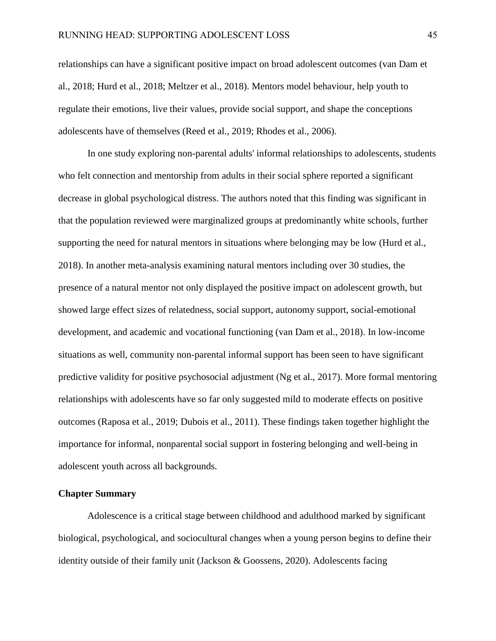relationships can have a significant positive impact on broad adolescent outcomes (van Dam et al., 2018; Hurd et al., 2018; Meltzer et al., 2018). Mentors model behaviour, help youth to regulate their emotions, live their values, provide social support, and shape the conceptions adolescents have of themselves (Reed et al., 2019; Rhodes et al., 2006).

In one study exploring non-parental adults' informal relationships to adolescents, students who felt connection and mentorship from adults in their social sphere reported a significant decrease in global psychological distress. The authors noted that this finding was significant in that the population reviewed were marginalized groups at predominantly white schools, further supporting the need for natural mentors in situations where belonging may be low (Hurd et al., 2018). In another meta-analysis examining natural mentors including over 30 studies, the presence of a natural mentor not only displayed the positive impact on adolescent growth, but showed large effect sizes of relatedness, social support, autonomy support, social-emotional development, and academic and vocational functioning (van Dam et al., 2018). In low-income situations as well, community non-parental informal support has been seen to have significant predictive validity for positive psychosocial adjustment (Ng et al., 2017). More formal mentoring relationships with adolescents have so far only suggested mild to moderate effects on positive outcomes (Raposa et al., 2019; Dubois et al., 2011). These findings taken together highlight the importance for informal, nonparental social support in fostering belonging and well-being in adolescent youth across all backgrounds.

## **Chapter Summary**

Adolescence is a critical stage between childhood and adulthood marked by significant biological, psychological, and sociocultural changes when a young person begins to define their identity outside of their family unit (Jackson & Goossens, 2020). Adolescents facing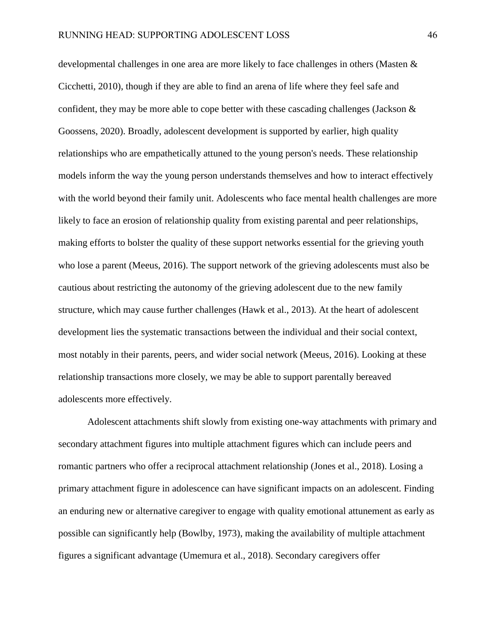developmental challenges in one area are more likely to face challenges in others (Masten & Cicchetti, 2010), though if they are able to find an arena of life where they feel safe and confident, they may be more able to cope better with these cascading challenges (Jackson & Goossens, 2020). Broadly, adolescent development is supported by earlier, high quality relationships who are empathetically attuned to the young person's needs. These relationship models inform the way the young person understands themselves and how to interact effectively with the world beyond their family unit. Adolescents who face mental health challenges are more likely to face an erosion of relationship quality from existing parental and peer relationships, making efforts to bolster the quality of these support networks essential for the grieving youth who lose a parent (Meeus, 2016). The support network of the grieving adolescents must also be cautious about restricting the autonomy of the grieving adolescent due to the new family structure, which may cause further challenges (Hawk et al., 2013). At the heart of adolescent development lies the systematic transactions between the individual and their social context, most notably in their parents, peers, and wider social network (Meeus, 2016). Looking at these relationship transactions more closely, we may be able to support parentally bereaved adolescents more effectively.

Adolescent attachments shift slowly from existing one-way attachments with primary and secondary attachment figures into multiple attachment figures which can include peers and romantic partners who offer a reciprocal attachment relationship (Jones et al., 2018). Losing a primary attachment figure in adolescence can have significant impacts on an adolescent. Finding an enduring new or alternative caregiver to engage with quality emotional attunement as early as possible can significantly help (Bowlby, 1973), making the availability of multiple attachment figures a significant advantage (Umemura et al., 2018). Secondary caregivers offer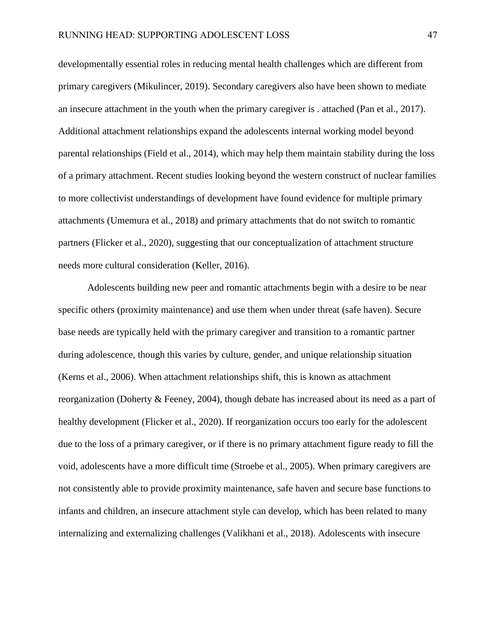developmentally essential roles in reducing mental health challenges which are different from primary caregivers (Mikulincer, 2019). Secondary caregivers also have been shown to mediate an insecure attachment in the youth when the primary caregiver is . attached (Pan et al., 2017). Additional attachment relationships expand the adolescents internal working model beyond parental relationships (Field et al., 2014), which may help them maintain stability during the loss of a primary attachment. Recent studies looking beyond the western construct of nuclear families to more collectivist understandings of development have found evidence for multiple primary attachments (Umemura et al., 2018) and primary attachments that do not switch to romantic partners (Flicker et al., 2020), suggesting that our conceptualization of attachment structure needs more cultural consideration (Keller, 2016).

Adolescents building new peer and romantic attachments begin with a desire to be near specific others (proximity maintenance) and use them when under threat (safe haven). Secure base needs are typically held with the primary caregiver and transition to a romantic partner during adolescence, though this varies by culture, gender, and unique relationship situation (Kerns et al., 2006). When attachment relationships shift, this is known as attachment reorganization (Doherty & Feeney, 2004), though debate has increased about its need as a part of healthy development (Flicker et al., 2020). If reorganization occurs too early for the adolescent due to the loss of a primary caregiver, or if there is no primary attachment figure ready to fill the void, adolescents have a more difficult time (Stroebe et al., 2005). When primary caregivers are not consistently able to provide proximity maintenance, safe haven and secure base functions to infants and children, an insecure attachment style can develop, which has been related to many internalizing and externalizing challenges (Valikhani et al., 2018). Adolescents with insecure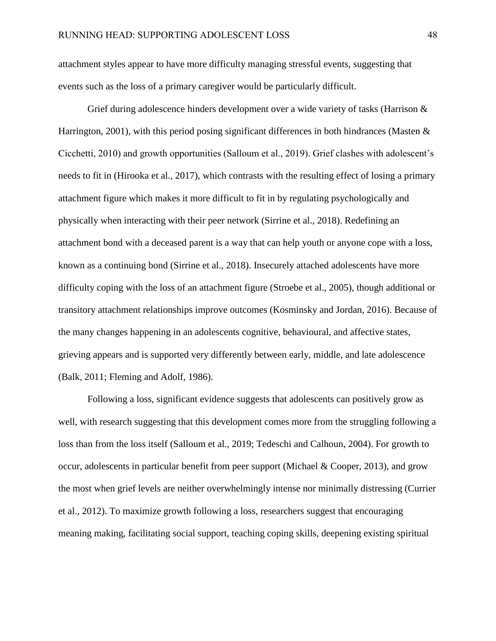attachment styles appear to have more difficulty managing stressful events, suggesting that events such as the loss of a primary caregiver would be particularly difficult.

Grief during adolescence hinders development over a wide variety of tasks (Harrison & Harrington, 2001), with this period posing significant differences in both hindrances (Masten  $\&$ Cicchetti, 2010) and growth opportunities (Salloum et al., 2019). Grief clashes with adolescent's needs to fit in (Hirooka et al., 2017), which contrasts with the resulting effect of losing a primary attachment figure which makes it more difficult to fit in by regulating psychologically and physically when interacting with their peer network (Sirrine et al., 2018). Redefining an attachment bond with a deceased parent is a way that can help youth or anyone cope with a loss, known as a continuing bond (Sirrine et al., 2018). Insecurely attached adolescents have more difficulty coping with the loss of an attachment figure (Stroebe et al., 2005), though additional or transitory attachment relationships improve outcomes (Kosminsky and Jordan, 2016). Because of the many changes happening in an adolescents cognitive, behavioural, and affective states, grieving appears and is supported very differently between early, middle, and late adolescence (Balk, 2011; Fleming and Adolf, 1986).

Following a loss, significant evidence suggests that adolescents can positively grow as well, with research suggesting that this development comes more from the struggling following a loss than from the loss itself (Salloum et al., 2019; Tedeschi and Calhoun, 2004). For growth to occur, adolescents in particular benefit from peer support (Michael & Cooper, 2013), and grow the most when grief levels are neither overwhelmingly intense nor minimally distressing (Currier et al., 2012). To maximize growth following a loss, researchers suggest that encouraging meaning making, facilitating social support, teaching coping skills, deepening existing spiritual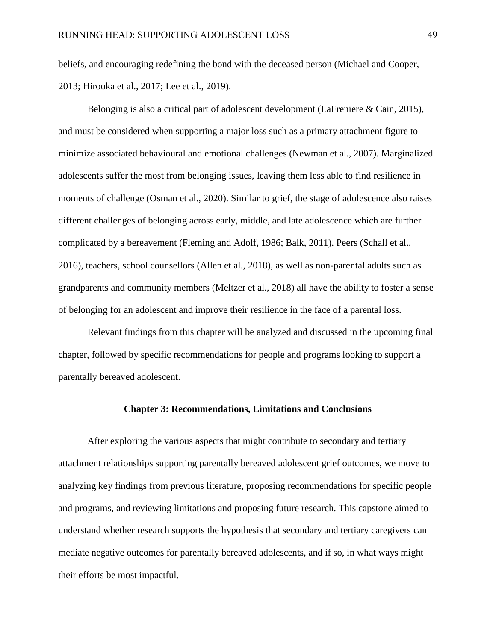beliefs, and encouraging redefining the bond with the deceased person (Michael and Cooper, 2013; Hirooka et al., 2017; Lee et al., 2019).

Belonging is also a critical part of adolescent development (LaFreniere & Cain, 2015), and must be considered when supporting a major loss such as a primary attachment figure to minimize associated behavioural and emotional challenges (Newman et al., 2007). Marginalized adolescents suffer the most from belonging issues, leaving them less able to find resilience in moments of challenge (Osman et al., 2020). Similar to grief, the stage of adolescence also raises different challenges of belonging across early, middle, and late adolescence which are further complicated by a bereavement (Fleming and Adolf, 1986; Balk, 2011). Peers (Schall et al., 2016), teachers, school counsellors (Allen et al., 2018), as well as non-parental adults such as grandparents and community members (Meltzer et al., 2018) all have the ability to foster a sense of belonging for an adolescent and improve their resilience in the face of a parental loss.

Relevant findings from this chapter will be analyzed and discussed in the upcoming final chapter, followed by specific recommendations for people and programs looking to support a parentally bereaved adolescent.

### **Chapter 3: Recommendations, Limitations and Conclusions**

After exploring the various aspects that might contribute to secondary and tertiary attachment relationships supporting parentally bereaved adolescent grief outcomes, we move to analyzing key findings from previous literature, proposing recommendations for specific people and programs, and reviewing limitations and proposing future research. This capstone aimed to understand whether research supports the hypothesis that secondary and tertiary caregivers can mediate negative outcomes for parentally bereaved adolescents, and if so, in what ways might their efforts be most impactful.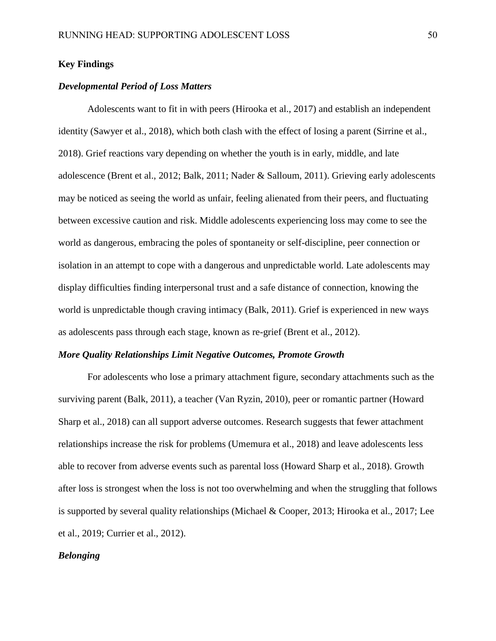## **Key Findings**

### *Developmental Period of Loss Matters*

Adolescents want to fit in with peers (Hirooka et al., 2017) and establish an independent identity (Sawyer et al., 2018), which both clash with the effect of losing a parent (Sirrine et al., 2018). Grief reactions vary depending on whether the youth is in early, middle, and late adolescence (Brent et al., 2012; Balk, 2011; Nader & Salloum, 2011). Grieving early adolescents may be noticed as seeing the world as unfair, feeling alienated from their peers, and fluctuating between excessive caution and risk. Middle adolescents experiencing loss may come to see the world as dangerous, embracing the poles of spontaneity or self-discipline, peer connection or isolation in an attempt to cope with a dangerous and unpredictable world. Late adolescents may display difficulties finding interpersonal trust and a safe distance of connection, knowing the world is unpredictable though craving intimacy (Balk, 2011). Grief is experienced in new ways as adolescents pass through each stage, known as re-grief (Brent et al., 2012).

#### *More Quality Relationships Limit Negative Outcomes, Promote Growth*

For adolescents who lose a primary attachment figure, secondary attachments such as the surviving parent (Balk, 2011), a teacher (Van Ryzin, 2010), peer or romantic partner (Howard Sharp et al., 2018) can all support adverse outcomes. Research suggests that fewer attachment relationships increase the risk for problems (Umemura et al., 2018) and leave adolescents less able to recover from adverse events such as parental loss (Howard Sharp et al., 2018). Growth after loss is strongest when the loss is not too overwhelming and when the struggling that follows is supported by several quality relationships (Michael & Cooper, 2013; Hirooka et al., 2017; Lee et al., 2019; Currier et al., 2012).

# *Belonging*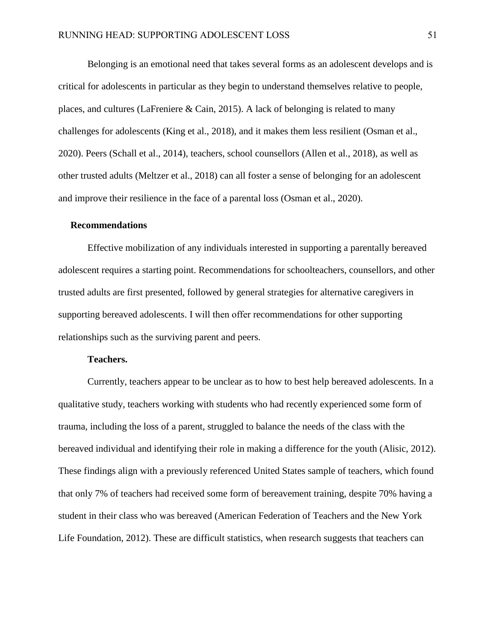Belonging is an emotional need that takes several forms as an adolescent develops and is critical for adolescents in particular as they begin to understand themselves relative to people, places, and cultures (LaFreniere & Cain, 2015). A lack of belonging is related to many challenges for adolescents (King et al., 2018), and it makes them less resilient (Osman et al., 2020). Peers (Schall et al., 2014), teachers, school counsellors (Allen et al., 2018), as well as other trusted adults (Meltzer et al., 2018) can all foster a sense of belonging for an adolescent and improve their resilience in the face of a parental loss (Osman et al., 2020).

#### **Recommendations**

Effective mobilization of any individuals interested in supporting a parentally bereaved adolescent requires a starting point. Recommendations for schoolteachers, counsellors, and other trusted adults are first presented, followed by general strategies for alternative caregivers in supporting bereaved adolescents. I will then offer recommendations for other supporting relationships such as the surviving parent and peers.

### **Teachers.**

Currently, teachers appear to be unclear as to how to best help bereaved adolescents. In a qualitative study, teachers working with students who had recently experienced some form of trauma, including the loss of a parent, struggled to balance the needs of the class with the bereaved individual and identifying their role in making a difference for the youth (Alisic, 2012). These findings align with a previously referenced United States sample of teachers, which found that only 7% of teachers had received some form of bereavement training, despite 70% having a student in their class who was bereaved (American Federation of Teachers and the New York Life Foundation, 2012). These are difficult statistics, when research suggests that teachers can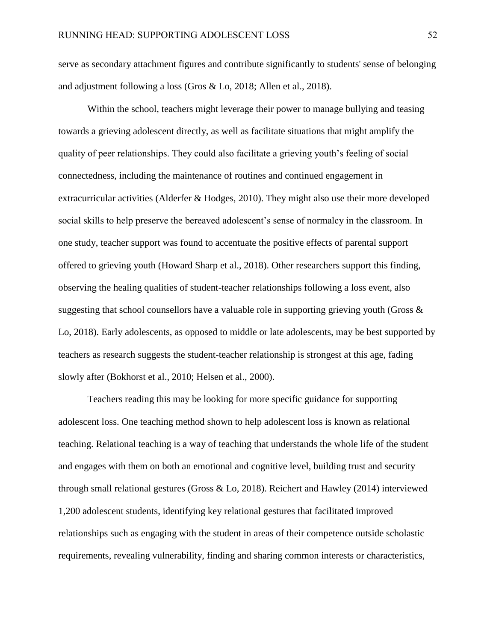serve as secondary attachment figures and contribute significantly to students' sense of belonging and adjustment following a loss (Gros & Lo, 2018; Allen et al., 2018).

Within the school, teachers might leverage their power to manage bullying and teasing towards a grieving adolescent directly, as well as facilitate situations that might amplify the quality of peer relationships. They could also facilitate a grieving youth's feeling of social connectedness, including the maintenance of routines and continued engagement in extracurricular activities (Alderfer & Hodges, 2010). They might also use their more developed social skills to help preserve the bereaved adolescent's sense of normalcy in the classroom. In one study, teacher support was found to accentuate the positive effects of parental support offered to grieving youth (Howard Sharp et al., 2018). Other researchers support this finding, observing the healing qualities of student-teacher relationships following a loss event, also suggesting that school counsellors have a valuable role in supporting grieving youth (Gross  $\&$ Lo, 2018). Early adolescents, as opposed to middle or late adolescents, may be best supported by teachers as research suggests the student-teacher relationship is strongest at this age, fading slowly after (Bokhorst et al., 2010; Helsen et al., 2000).

Teachers reading this may be looking for more specific guidance for supporting adolescent loss. One teaching method shown to help adolescent loss is known as relational teaching. Relational teaching is a way of teaching that understands the whole life of the student and engages with them on both an emotional and cognitive level, building trust and security through small relational gestures (Gross & Lo, 2018). Reichert and Hawley (2014) interviewed 1,200 adolescent students, identifying key relational gestures that facilitated improved relationships such as engaging with the student in areas of their competence outside scholastic requirements, revealing vulnerability, finding and sharing common interests or characteristics,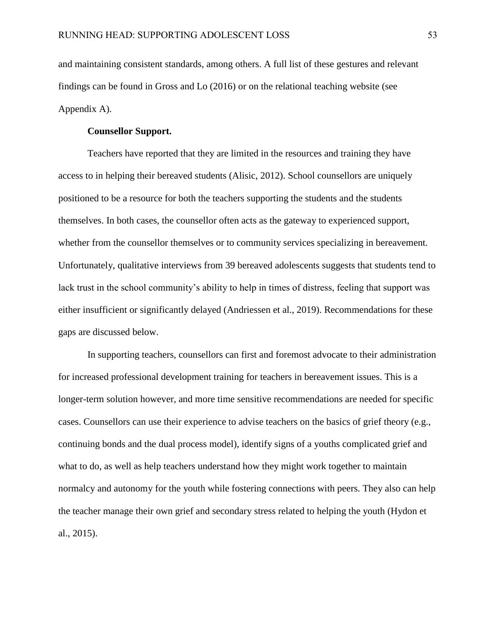and maintaining consistent standards, among others. A full list of these gestures and relevant findings can be found in Gross and Lo (2016) or on the relational teaching website (see Appendix A).

## **Counsellor Support.**

Teachers have reported that they are limited in the resources and training they have access to in helping their bereaved students (Alisic, 2012). School counsellors are uniquely positioned to be a resource for both the teachers supporting the students and the students themselves. In both cases, the counsellor often acts as the gateway to experienced support, whether from the counsellor themselves or to community services specializing in bereavement. Unfortunately, qualitative interviews from 39 bereaved adolescents suggests that students tend to lack trust in the school community's ability to help in times of distress, feeling that support was either insufficient or significantly delayed (Andriessen et al., 2019). Recommendations for these gaps are discussed below.

In supporting teachers, counsellors can first and foremost advocate to their administration for increased professional development training for teachers in bereavement issues. This is a longer-term solution however, and more time sensitive recommendations are needed for specific cases. Counsellors can use their experience to advise teachers on the basics of grief theory (e.g., continuing bonds and the dual process model), identify signs of a youths complicated grief and what to do, as well as help teachers understand how they might work together to maintain normalcy and autonomy for the youth while fostering connections with peers. They also can help the teacher manage their own grief and secondary stress related to helping the youth (Hydon et al., 2015).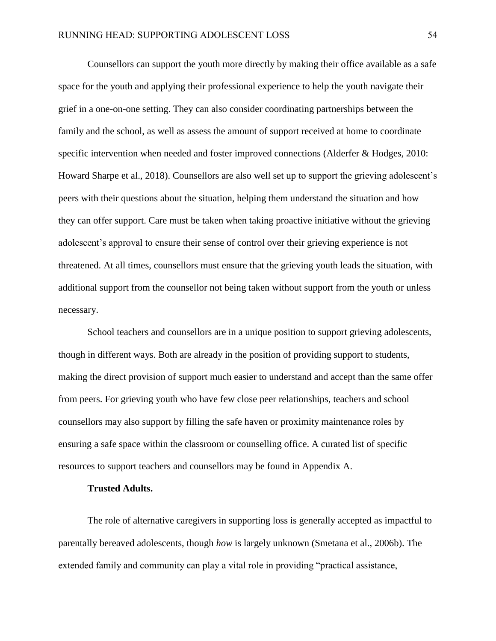Counsellors can support the youth more directly by making their office available as a safe space for the youth and applying their professional experience to help the youth navigate their grief in a one-on-one setting. They can also consider coordinating partnerships between the family and the school, as well as assess the amount of support received at home to coordinate specific intervention when needed and foster improved connections (Alderfer & Hodges, 2010: Howard Sharpe et al., 2018). Counsellors are also well set up to support the grieving adolescent's peers with their questions about the situation, helping them understand the situation and how they can offer support. Care must be taken when taking proactive initiative without the grieving adolescent's approval to ensure their sense of control over their grieving experience is not threatened. At all times, counsellors must ensure that the grieving youth leads the situation, with additional support from the counsellor not being taken without support from the youth or unless necessary.

School teachers and counsellors are in a unique position to support grieving adolescents, though in different ways. Both are already in the position of providing support to students, making the direct provision of support much easier to understand and accept than the same offer from peers. For grieving youth who have few close peer relationships, teachers and school counsellors may also support by filling the safe haven or proximity maintenance roles by ensuring a safe space within the classroom or counselling office. A curated list of specific resources to support teachers and counsellors may be found in Appendix A.

### **Trusted Adults.**

The role of alternative caregivers in supporting loss is generally accepted as impactful to parentally bereaved adolescents, though *how* is largely unknown (Smetana et al., 2006b). The extended family and community can play a vital role in providing "practical assistance,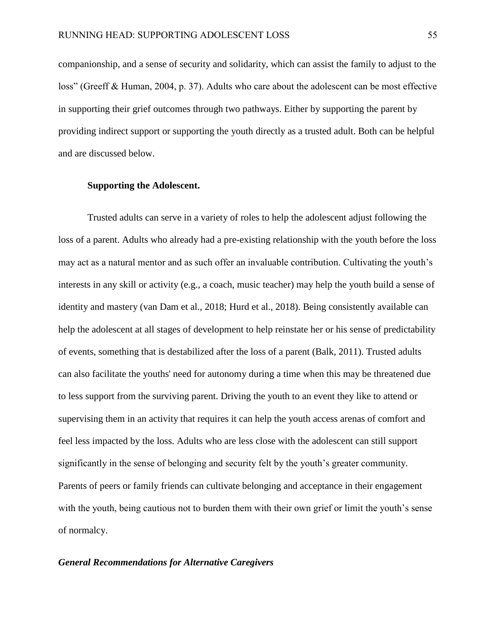companionship, and a sense of security and solidarity, which can assist the family to adjust to the loss" (Greeff & Human, 2004, p. 37). Adults who care about the adolescent can be most effective in supporting their grief outcomes through two pathways. Either by supporting the parent by providing indirect support or supporting the youth directly as a trusted adult. Both can be helpful and are discussed below.

### **Supporting the Adolescent.**

Trusted adults can serve in a variety of roles to help the adolescent adjust following the loss of a parent. Adults who already had a pre-existing relationship with the youth before the loss may act as a natural mentor and as such offer an invaluable contribution. Cultivating the youth's interests in any skill or activity (e.g., a coach, music teacher) may help the youth build a sense of identity and mastery (van Dam et al., 2018; Hurd et al., 2018). Being consistently available can help the adolescent at all stages of development to help reinstate her or his sense of predictability of events, something that is destabilized after the loss of a parent (Balk, 2011). Trusted adults can also facilitate the youths' need for autonomy during a time when this may be threatened due to less support from the surviving parent. Driving the youth to an event they like to attend or supervising them in an activity that requires it can help the youth access arenas of comfort and feel less impacted by the loss. Adults who are less close with the adolescent can still support significantly in the sense of belonging and security felt by the youth's greater community. Parents of peers or family friends can cultivate belonging and acceptance in their engagement with the youth, being cautious not to burden them with their own grief or limit the youth's sense of normalcy.

## *General Recommendations for Alternative Caregivers*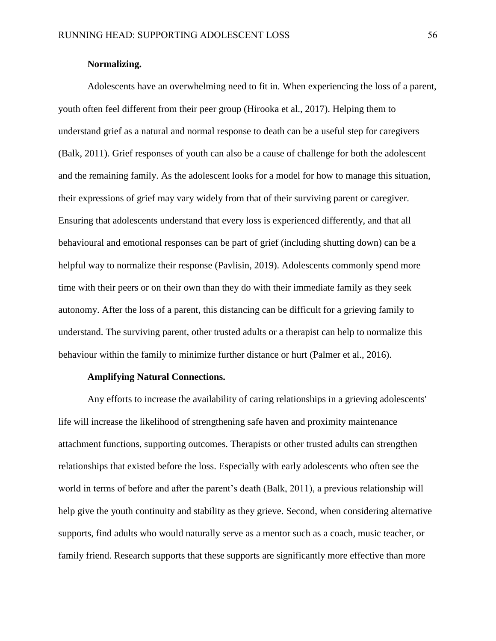## **Normalizing.**

Adolescents have an overwhelming need to fit in. When experiencing the loss of a parent, youth often feel different from their peer group (Hirooka et al., 2017). Helping them to understand grief as a natural and normal response to death can be a useful step for caregivers (Balk, 2011). Grief responses of youth can also be a cause of challenge for both the adolescent and the remaining family. As the adolescent looks for a model for how to manage this situation, their expressions of grief may vary widely from that of their surviving parent or caregiver. Ensuring that adolescents understand that every loss is experienced differently, and that all behavioural and emotional responses can be part of grief (including shutting down) can be a helpful way to normalize their response (Pavlisin, 2019). Adolescents commonly spend more time with their peers or on their own than they do with their immediate family as they seek autonomy. After the loss of a parent, this distancing can be difficult for a grieving family to understand. The surviving parent, other trusted adults or a therapist can help to normalize this behaviour within the family to minimize further distance or hurt (Palmer et al., 2016).

### **Amplifying Natural Connections.**

Any efforts to increase the availability of caring relationships in a grieving adolescents' life will increase the likelihood of strengthening safe haven and proximity maintenance attachment functions, supporting outcomes. Therapists or other trusted adults can strengthen relationships that existed before the loss. Especially with early adolescents who often see the world in terms of before and after the parent's death (Balk, 2011), a previous relationship will help give the youth continuity and stability as they grieve. Second, when considering alternative supports, find adults who would naturally serve as a mentor such as a coach, music teacher, or family friend. Research supports that these supports are significantly more effective than more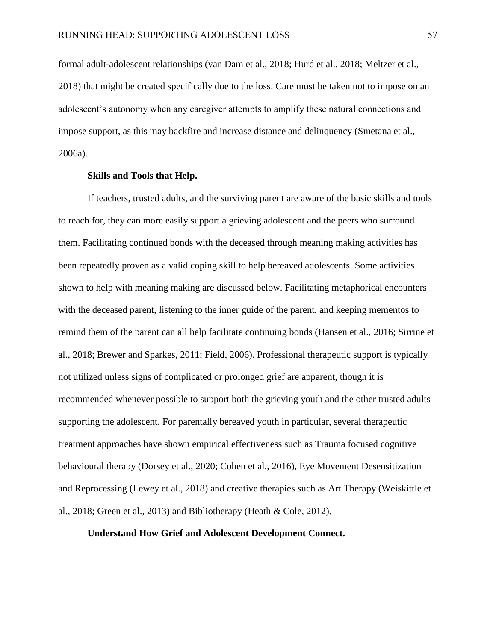formal adult-adolescent relationships (van Dam et al., 2018; Hurd et al., 2018; Meltzer et al., 2018) that might be created specifically due to the loss. Care must be taken not to impose on an adolescent's autonomy when any caregiver attempts to amplify these natural connections and impose support, as this may backfire and increase distance and delinquency (Smetana et al., 2006a).

## **Skills and Tools that Help.**

If teachers, trusted adults, and the surviving parent are aware of the basic skills and tools to reach for, they can more easily support a grieving adolescent and the peers who surround them. Facilitating continued bonds with the deceased through meaning making activities has been repeatedly proven as a valid coping skill to help bereaved adolescents. Some activities shown to help with meaning making are discussed below. Facilitating metaphorical encounters with the deceased parent, listening to the inner guide of the parent, and keeping mementos to remind them of the parent can all help facilitate continuing bonds (Hansen et al., 2016; Sirrine et al., 2018; Brewer and Sparkes, 2011; Field, 2006). Professional therapeutic support is typically not utilized unless signs of complicated or prolonged grief are apparent, though it is recommended whenever possible to support both the grieving youth and the other trusted adults supporting the adolescent. For parentally bereaved youth in particular, several therapeutic treatment approaches have shown empirical effectiveness such as Trauma focused cognitive behavioural therapy (Dorsey et al., 2020; Cohen et al., 2016), Eye Movement Desensitization and Reprocessing (Lewey et al., 2018) and creative therapies such as Art Therapy (Weiskittle et al., 2018; Green et al., 2013) and Bibliotherapy (Heath & Cole, 2012).

### **Understand How Grief and Adolescent Development Connect.**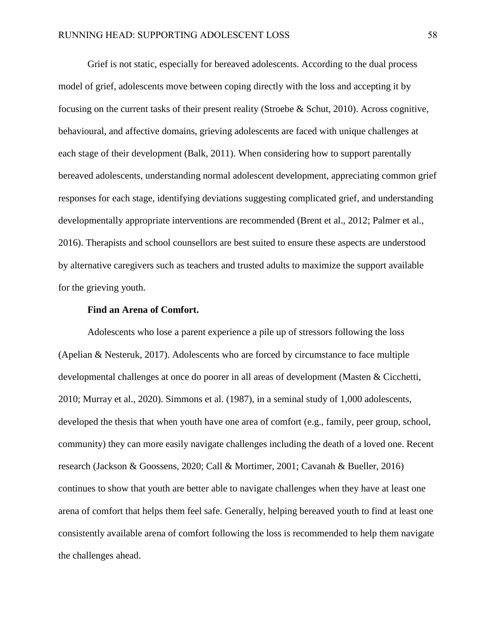Grief is not static, especially for bereaved adolescents. According to the dual process model of grief, adolescents move between coping directly with the loss and accepting it by focusing on the current tasks of their present reality (Stroebe & Schut, 2010). Across cognitive, behavioural, and affective domains, grieving adolescents are faced with unique challenges at each stage of their development (Balk, 2011). When considering how to support parentally bereaved adolescents, understanding normal adolescent development, appreciating common grief responses for each stage, identifying deviations suggesting complicated grief, and understanding developmentally appropriate interventions are recommended (Brent et al., 2012; Palmer et al., 2016). Therapists and school counsellors are best suited to ensure these aspects are understood by alternative caregivers such as teachers and trusted adults to maximize the support available for the grieving youth.

### **Find an Arena of Comfort.**

Adolescents who lose a parent experience a pile up of stressors following the loss (Apelian & Nesteruk, 2017). Adolescents who are forced by circumstance to face multiple developmental challenges at once do poorer in all areas of development (Masten & Cicchetti, 2010; Murray et al., 2020). Simmons et al. (1987), in a seminal study of 1,000 adolescents, developed the thesis that when youth have one area of comfort (e.g., family, peer group, school, community) they can more easily navigate challenges including the death of a loved one. Recent research (Jackson & Goossens, 2020; Call & Mortimer, 2001; Cavanah & Bueller, 2016) continues to show that youth are better able to navigate challenges when they have at least one arena of comfort that helps them feel safe. Generally, helping bereaved youth to find at least one consistently available arena of comfort following the loss is recommended to help them navigate the challenges ahead.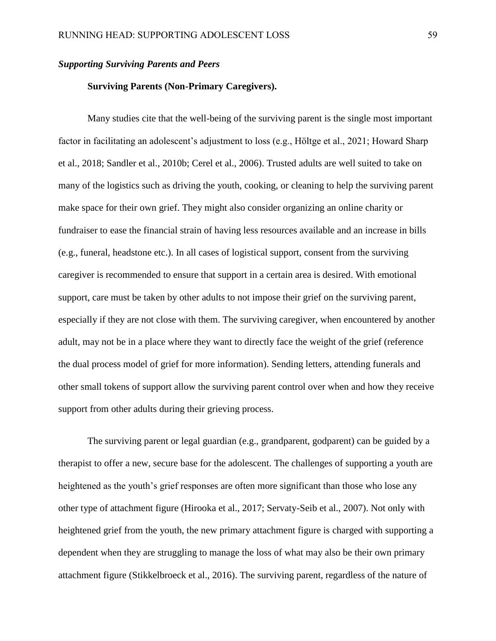## *Supporting Surviving Parents and Peers*

### **Surviving Parents (Non-Primary Caregivers).**

Many studies cite that the well-being of the surviving parent is the single most important factor in facilitating an adolescent's adjustment to loss (e.g., Höltge et al., 2021; Howard Sharp et al., 2018; Sandler et al., 2010b; Cerel et al., 2006). Trusted adults are well suited to take on many of the logistics such as driving the youth, cooking, or cleaning to help the surviving parent make space for their own grief. They might also consider organizing an online charity or fundraiser to ease the financial strain of having less resources available and an increase in bills (e.g., funeral, headstone etc.). In all cases of logistical support, consent from the surviving caregiver is recommended to ensure that support in a certain area is desired. With emotional support, care must be taken by other adults to not impose their grief on the surviving parent, especially if they are not close with them. The surviving caregiver, when encountered by another adult, may not be in a place where they want to directly face the weight of the grief (reference the dual process model of grief for more information). Sending letters, attending funerals and other small tokens of support allow the surviving parent control over when and how they receive support from other adults during their grieving process.

The surviving parent or legal guardian (e.g., grandparent, godparent) can be guided by a therapist to offer a new, secure base for the adolescent. The challenges of supporting a youth are heightened as the youth's grief responses are often more significant than those who lose any other type of attachment figure (Hirooka et al., 2017; Servaty-Seib et al., 2007). Not only with heightened grief from the youth, the new primary attachment figure is charged with supporting a dependent when they are struggling to manage the loss of what may also be their own primary attachment figure (Stikkelbroeck et al., 2016). The surviving parent, regardless of the nature of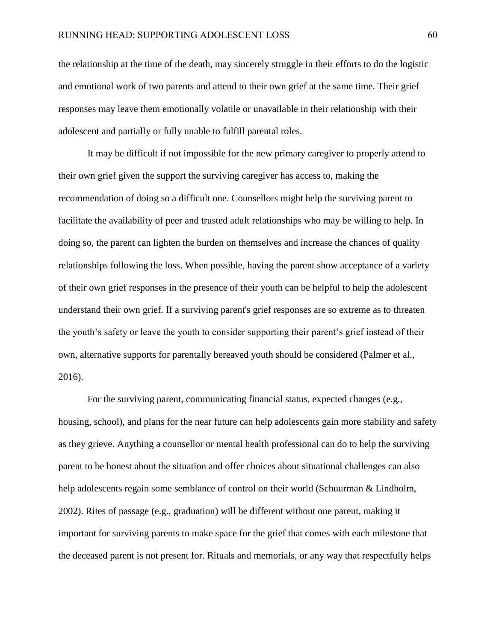the relationship at the time of the death, may sincerely struggle in their efforts to do the logistic and emotional work of two parents and attend to their own grief at the same time. Their grief responses may leave them emotionally volatile or unavailable in their relationship with their adolescent and partially or fully unable to fulfill parental roles.

It may be difficult if not impossible for the new primary caregiver to properly attend to their own grief given the support the surviving caregiver has access to, making the recommendation of doing so a difficult one. Counsellors might help the surviving parent to facilitate the availability of peer and trusted adult relationships who may be willing to help. In doing so, the parent can lighten the burden on themselves and increase the chances of quality relationships following the loss. When possible, having the parent show acceptance of a variety of their own grief responses in the presence of their youth can be helpful to help the adolescent understand their own grief. If a surviving parent's grief responses are so extreme as to threaten the youth's safety or leave the youth to consider supporting their parent's grief instead of their own, alternative supports for parentally bereaved youth should be considered (Palmer et al., 2016).

For the surviving parent, communicating financial status, expected changes (e.g., housing, school), and plans for the near future can help adolescents gain more stability and safety as they grieve. Anything a counsellor or mental health professional can do to help the surviving parent to be honest about the situation and offer choices about situational challenges can also help adolescents regain some semblance of control on their world (Schuurman & Lindholm, 2002). Rites of passage (e.g., graduation) will be different without one parent, making it important for surviving parents to make space for the grief that comes with each milestone that the deceased parent is not present for. Rituals and memorials, or any way that respectfully helps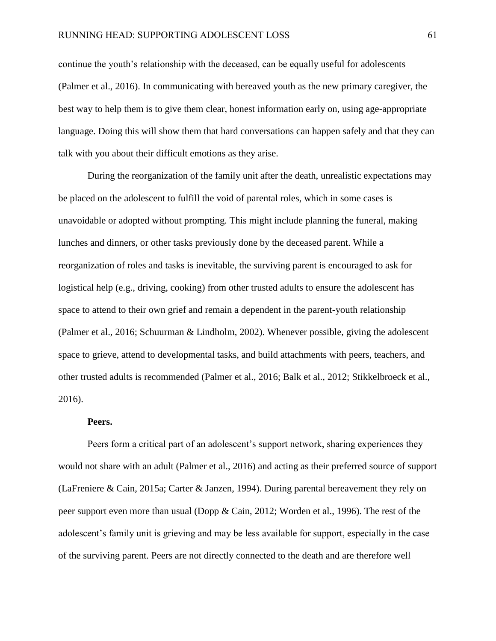continue the youth's relationship with the deceased, can be equally useful for adolescents (Palmer et al., 2016). In communicating with bereaved youth as the new primary caregiver, the best way to help them is to give them clear, honest information early on, using age-appropriate language. Doing this will show them that hard conversations can happen safely and that they can talk with you about their difficult emotions as they arise.

During the reorganization of the family unit after the death, unrealistic expectations may be placed on the adolescent to fulfill the void of parental roles, which in some cases is unavoidable or adopted without prompting. This might include planning the funeral, making lunches and dinners, or other tasks previously done by the deceased parent. While a reorganization of roles and tasks is inevitable, the surviving parent is encouraged to ask for logistical help (e.g., driving, cooking) from other trusted adults to ensure the adolescent has space to attend to their own grief and remain a dependent in the parent-youth relationship (Palmer et al., 2016; Schuurman & Lindholm, 2002). Whenever possible, giving the adolescent space to grieve, attend to developmental tasks, and build attachments with peers, teachers, and other trusted adults is recommended (Palmer et al., 2016; Balk et al., 2012; Stikkelbroeck et al., 2016).

#### **Peers.**

Peers form a critical part of an adolescent's support network, sharing experiences they would not share with an adult (Palmer et al., 2016) and acting as their preferred source of support (LaFreniere & Cain, 2015a; Carter & Janzen, 1994). During parental bereavement they rely on peer support even more than usual (Dopp & Cain, 2012; Worden et al., 1996). The rest of the adolescent's family unit is grieving and may be less available for support, especially in the case of the surviving parent. Peers are not directly connected to the death and are therefore well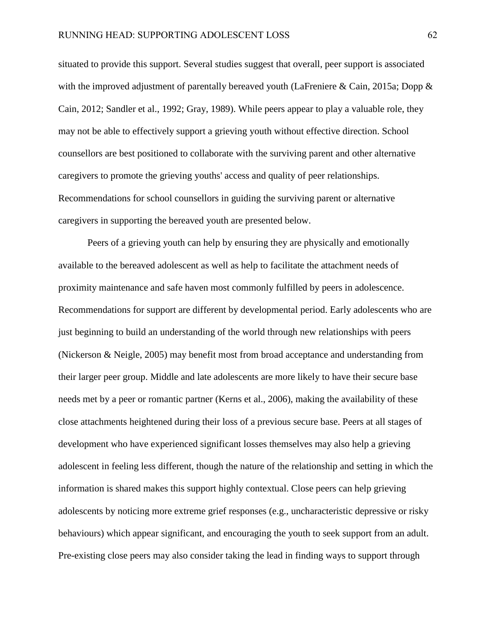situated to provide this support. Several studies suggest that overall, peer support is associated with the improved adjustment of parentally bereaved youth (LaFreniere & Cain, 2015a; Dopp & Cain, 2012; Sandler et al., 1992; Gray, 1989). While peers appear to play a valuable role, they may not be able to effectively support a grieving youth without effective direction. School counsellors are best positioned to collaborate with the surviving parent and other alternative caregivers to promote the grieving youths' access and quality of peer relationships. Recommendations for school counsellors in guiding the surviving parent or alternative caregivers in supporting the bereaved youth are presented below.

Peers of a grieving youth can help by ensuring they are physically and emotionally available to the bereaved adolescent as well as help to facilitate the attachment needs of proximity maintenance and safe haven most commonly fulfilled by peers in adolescence. Recommendations for support are different by developmental period. Early adolescents who are just beginning to build an understanding of the world through new relationships with peers (Nickerson & Neigle, 2005) may benefit most from broad acceptance and understanding from their larger peer group. Middle and late adolescents are more likely to have their secure base needs met by a peer or romantic partner (Kerns et al., 2006), making the availability of these close attachments heightened during their loss of a previous secure base. Peers at all stages of development who have experienced significant losses themselves may also help a grieving adolescent in feeling less different, though the nature of the relationship and setting in which the information is shared makes this support highly contextual. Close peers can help grieving adolescents by noticing more extreme grief responses (e.g., uncharacteristic depressive or risky behaviours) which appear significant, and encouraging the youth to seek support from an adult. Pre-existing close peers may also consider taking the lead in finding ways to support through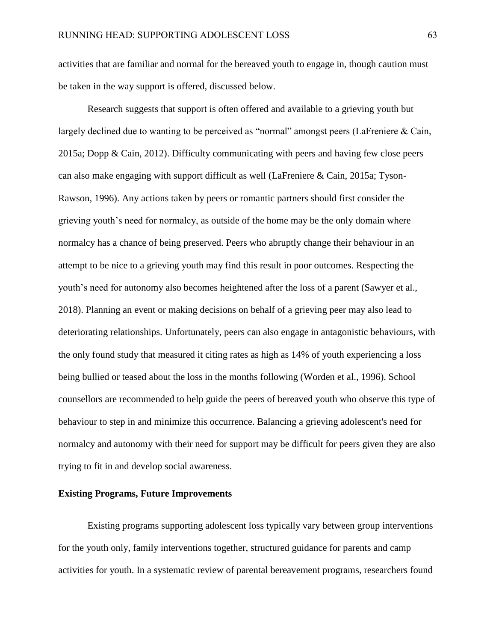activities that are familiar and normal for the bereaved youth to engage in, though caution must be taken in the way support is offered, discussed below.

Research suggests that support is often offered and available to a grieving youth but largely declined due to wanting to be perceived as "normal" amongst peers (LaFreniere & Cain, 2015a; Dopp & Cain, 2012). Difficulty communicating with peers and having few close peers can also make engaging with support difficult as well (LaFreniere & Cain, 2015a; Tyson-Rawson, 1996). Any actions taken by peers or romantic partners should first consider the grieving youth's need for normalcy, as outside of the home may be the only domain where normalcy has a chance of being preserved. Peers who abruptly change their behaviour in an attempt to be nice to a grieving youth may find this result in poor outcomes. Respecting the youth's need for autonomy also becomes heightened after the loss of a parent (Sawyer et al., 2018). Planning an event or making decisions on behalf of a grieving peer may also lead to deteriorating relationships. Unfortunately, peers can also engage in antagonistic behaviours, with the only found study that measured it citing rates as high as 14% of youth experiencing a loss being bullied or teased about the loss in the months following (Worden et al., 1996). School counsellors are recommended to help guide the peers of bereaved youth who observe this type of behaviour to step in and minimize this occurrence. Balancing a grieving adolescent's need for normalcy and autonomy with their need for support may be difficult for peers given they are also trying to fit in and develop social awareness.

### **Existing Programs, Future Improvements**

Existing programs supporting adolescent loss typically vary between group interventions for the youth only, family interventions together, structured guidance for parents and camp activities for youth. In a systematic review of parental bereavement programs, researchers found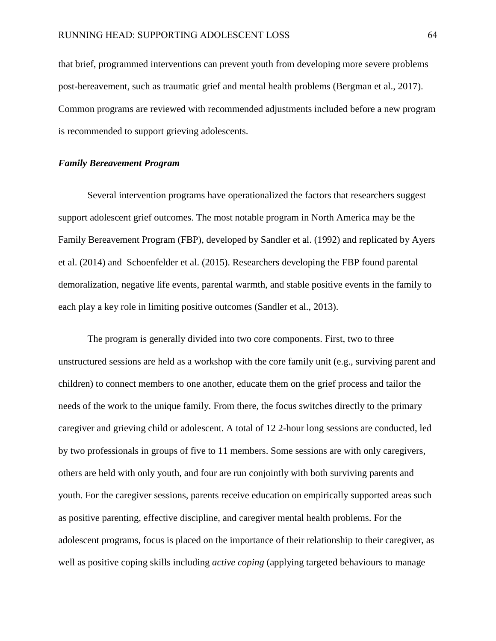that brief, programmed interventions can prevent youth from developing more severe problems post-bereavement, such as traumatic grief and mental health problems (Bergman et al., 2017). Common programs are reviewed with recommended adjustments included before a new program is recommended to support grieving adolescents.

### *Family Bereavement Program*

Several intervention programs have operationalized the factors that researchers suggest support adolescent grief outcomes. The most notable program in North America may be the Family Bereavement Program (FBP), developed by Sandler et al. (1992) and replicated by Ayers et al. (2014) and Schoenfelder et al. (2015). Researchers developing the FBP found parental demoralization, negative life events, parental warmth, and stable positive events in the family to each play a key role in limiting positive outcomes (Sandler et al., 2013).

The program is generally divided into two core components. First, two to three unstructured sessions are held as a workshop with the core family unit (e.g., surviving parent and children) to connect members to one another, educate them on the grief process and tailor the needs of the work to the unique family. From there, the focus switches directly to the primary caregiver and grieving child or adolescent. A total of 12 2-hour long sessions are conducted, led by two professionals in groups of five to 11 members. Some sessions are with only caregivers, others are held with only youth, and four are run conjointly with both surviving parents and youth. For the caregiver sessions, parents receive education on empirically supported areas such as positive parenting, effective discipline, and caregiver mental health problems. For the adolescent programs, focus is placed on the importance of their relationship to their caregiver, as well as positive coping skills including *active coping* (applying targeted behaviours to manage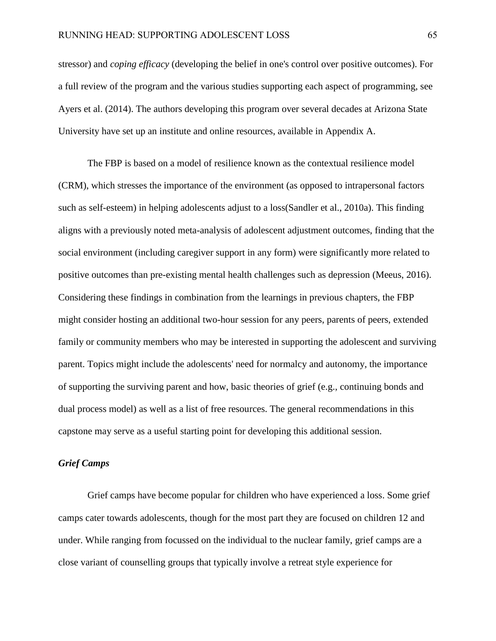stressor) and *coping efficacy* (developing the belief in one's control over positive outcomes). For a full review of the program and the various studies supporting each aspect of programming, see Ayers et al. (2014). The authors developing this program over several decades at Arizona State University have set up an institute and online resources, available in Appendix A.

The FBP is based on a model of resilience known as the contextual resilience model (CRM), which stresses the importance of the environment (as opposed to intrapersonal factors such as self-esteem) in helping adolescents adjust to a loss(Sandler et al., 2010a). This finding aligns with a previously noted meta-analysis of adolescent adjustment outcomes, finding that the social environment (including caregiver support in any form) were significantly more related to positive outcomes than pre-existing mental health challenges such as depression (Meeus, 2016). Considering these findings in combination from the learnings in previous chapters, the FBP might consider hosting an additional two-hour session for any peers, parents of peers, extended family or community members who may be interested in supporting the adolescent and surviving parent. Topics might include the adolescents' need for normalcy and autonomy, the importance of supporting the surviving parent and how, basic theories of grief (e.g., continuing bonds and dual process model) as well as a list of free resources. The general recommendations in this capstone may serve as a useful starting point for developing this additional session.

# *Grief Camps*

Grief camps have become popular for children who have experienced a loss. Some grief camps cater towards adolescents, though for the most part they are focused on children 12 and under. While ranging from focussed on the individual to the nuclear family, grief camps are a close variant of counselling groups that typically involve a retreat style experience for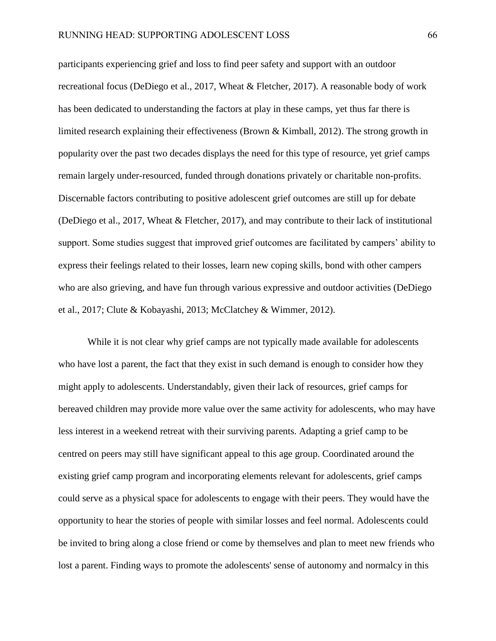participants experiencing grief and loss to find peer safety and support with an outdoor recreational focus (DeDiego et al., 2017, Wheat & Fletcher, 2017). A reasonable body of work has been dedicated to understanding the factors at play in these camps, yet thus far there is limited research explaining their effectiveness (Brown & Kimball, 2012). The strong growth in popularity over the past two decades displays the need for this type of resource, yet grief camps remain largely under-resourced, funded through donations privately or charitable non-profits. Discernable factors contributing to positive adolescent grief outcomes are still up for debate (DeDiego et al., 2017, Wheat & Fletcher, 2017), and may contribute to their lack of institutional support. Some studies suggest that improved grief outcomes are facilitated by campers' ability to express their feelings related to their losses, learn new coping skills, bond with other campers who are also grieving, and have fun through various expressive and outdoor activities (DeDiego et al., 2017; Clute & Kobayashi, 2013; McClatchey & Wimmer, 2012).

While it is not clear why grief camps are not typically made available for adolescents who have lost a parent, the fact that they exist in such demand is enough to consider how they might apply to adolescents. Understandably, given their lack of resources, grief camps for bereaved children may provide more value over the same activity for adolescents, who may have less interest in a weekend retreat with their surviving parents. Adapting a grief camp to be centred on peers may still have significant appeal to this age group. Coordinated around the existing grief camp program and incorporating elements relevant for adolescents, grief camps could serve as a physical space for adolescents to engage with their peers. They would have the opportunity to hear the stories of people with similar losses and feel normal. Adolescents could be invited to bring along a close friend or come by themselves and plan to meet new friends who lost a parent. Finding ways to promote the adolescents' sense of autonomy and normalcy in this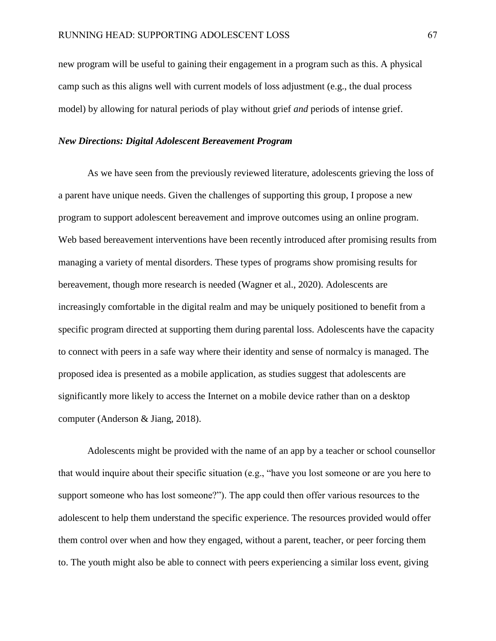new program will be useful to gaining their engagement in a program such as this. A physical camp such as this aligns well with current models of loss adjustment (e.g., the dual process model) by allowing for natural periods of play without grief *and* periods of intense grief.

# *New Directions: Digital Adolescent Bereavement Program*

As we have seen from the previously reviewed literature, adolescents grieving the loss of a parent have unique needs. Given the challenges of supporting this group, I propose a new program to support adolescent bereavement and improve outcomes using an online program. Web based bereavement interventions have been recently introduced after promising results from managing a variety of mental disorders. These types of programs show promising results for bereavement, though more research is needed (Wagner et al., 2020). Adolescents are increasingly comfortable in the digital realm and may be uniquely positioned to benefit from a specific program directed at supporting them during parental loss. Adolescents have the capacity to connect with peers in a safe way where their identity and sense of normalcy is managed. The proposed idea is presented as a mobile application, as studies suggest that adolescents are significantly more likely to access the Internet on a mobile device rather than on a desktop computer (Anderson & Jiang, 2018).

Adolescents might be provided with the name of an app by a teacher or school counsellor that would inquire about their specific situation (e.g., "have you lost someone or are you here to support someone who has lost someone?"). The app could then offer various resources to the adolescent to help them understand the specific experience. The resources provided would offer them control over when and how they engaged, without a parent, teacher, or peer forcing them to. The youth might also be able to connect with peers experiencing a similar loss event, giving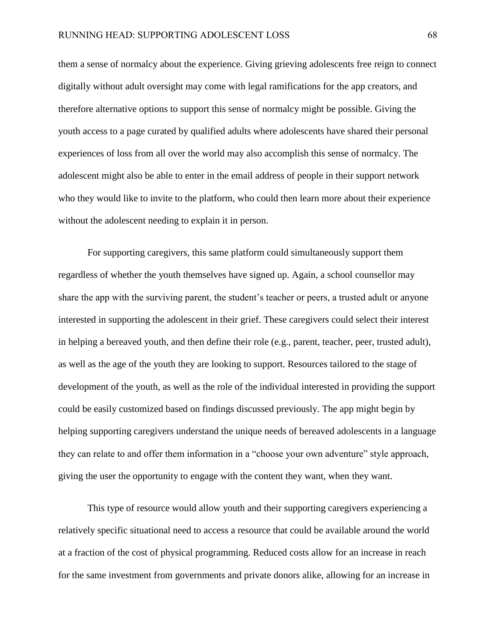them a sense of normalcy about the experience. Giving grieving adolescents free reign to connect digitally without adult oversight may come with legal ramifications for the app creators, and therefore alternative options to support this sense of normalcy might be possible. Giving the youth access to a page curated by qualified adults where adolescents have shared their personal experiences of loss from all over the world may also accomplish this sense of normalcy. The adolescent might also be able to enter in the email address of people in their support network who they would like to invite to the platform, who could then learn more about their experience without the adolescent needing to explain it in person.

For supporting caregivers, this same platform could simultaneously support them regardless of whether the youth themselves have signed up. Again, a school counsellor may share the app with the surviving parent, the student's teacher or peers, a trusted adult or anyone interested in supporting the adolescent in their grief. These caregivers could select their interest in helping a bereaved youth, and then define their role (e.g., parent, teacher, peer, trusted adult), as well as the age of the youth they are looking to support. Resources tailored to the stage of development of the youth, as well as the role of the individual interested in providing the support could be easily customized based on findings discussed previously. The app might begin by helping supporting caregivers understand the unique needs of bereaved adolescents in a language they can relate to and offer them information in a "choose your own adventure" style approach, giving the user the opportunity to engage with the content they want, when they want.

This type of resource would allow youth and their supporting caregivers experiencing a relatively specific situational need to access a resource that could be available around the world at a fraction of the cost of physical programming. Reduced costs allow for an increase in reach for the same investment from governments and private donors alike, allowing for an increase in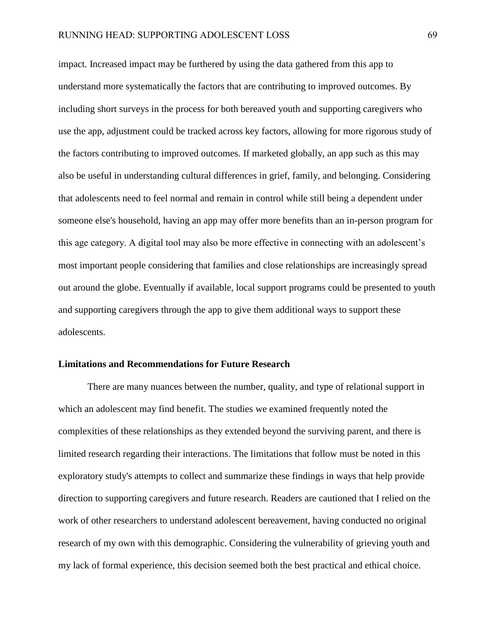impact. Increased impact may be furthered by using the data gathered from this app to understand more systematically the factors that are contributing to improved outcomes. By including short surveys in the process for both bereaved youth and supporting caregivers who use the app, adjustment could be tracked across key factors, allowing for more rigorous study of the factors contributing to improved outcomes. If marketed globally, an app such as this may also be useful in understanding cultural differences in grief, family, and belonging. Considering that adolescents need to feel normal and remain in control while still being a dependent under someone else's household, having an app may offer more benefits than an in-person program for this age category. A digital tool may also be more effective in connecting with an adolescent's most important people considering that families and close relationships are increasingly spread out around the globe. Eventually if available, local support programs could be presented to youth and supporting caregivers through the app to give them additional ways to support these adolescents.

### **Limitations and Recommendations for Future Research**

There are many nuances between the number, quality, and type of relational support in which an adolescent may find benefit. The studies we examined frequently noted the complexities of these relationships as they extended beyond the surviving parent, and there is limited research regarding their interactions. The limitations that follow must be noted in this exploratory study's attempts to collect and summarize these findings in ways that help provide direction to supporting caregivers and future research. Readers are cautioned that I relied on the work of other researchers to understand adolescent bereavement, having conducted no original research of my own with this demographic. Considering the vulnerability of grieving youth and my lack of formal experience, this decision seemed both the best practical and ethical choice.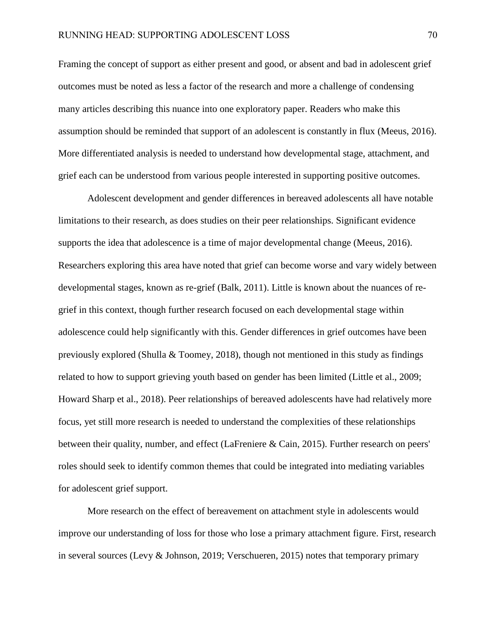Framing the concept of support as either present and good, or absent and bad in adolescent grief outcomes must be noted as less a factor of the research and more a challenge of condensing many articles describing this nuance into one exploratory paper. Readers who make this assumption should be reminded that support of an adolescent is constantly in flux (Meeus, 2016). More differentiated analysis is needed to understand how developmental stage, attachment, and grief each can be understood from various people interested in supporting positive outcomes.

Adolescent development and gender differences in bereaved adolescents all have notable limitations to their research, as does studies on their peer relationships. Significant evidence supports the idea that adolescence is a time of major developmental change (Meeus, 2016). Researchers exploring this area have noted that grief can become worse and vary widely between developmental stages, known as re-grief (Balk, 2011). Little is known about the nuances of regrief in this context, though further research focused on each developmental stage within adolescence could help significantly with this. Gender differences in grief outcomes have been previously explored (Shulla & Toomey, 2018), though not mentioned in this study as findings related to how to support grieving youth based on gender has been limited (Little et al., 2009; Howard Sharp et al., 2018). Peer relationships of bereaved adolescents have had relatively more focus, yet still more research is needed to understand the complexities of these relationships between their quality, number, and effect (LaFreniere & Cain, 2015). Further research on peers' roles should seek to identify common themes that could be integrated into mediating variables for adolescent grief support.

More research on the effect of bereavement on attachment style in adolescents would improve our understanding of loss for those who lose a primary attachment figure. First, research in several sources (Levy & Johnson, 2019; Verschueren, 2015) notes that temporary primary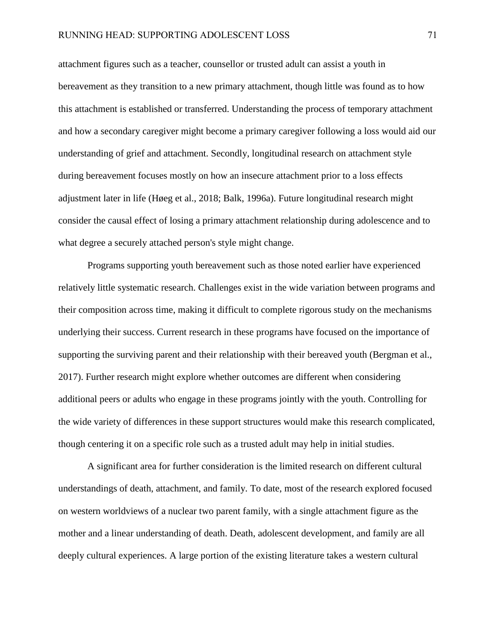attachment figures such as a teacher, counsellor or trusted adult can assist a youth in bereavement as they transition to a new primary attachment, though little was found as to how this attachment is established or transferred. Understanding the process of temporary attachment and how a secondary caregiver might become a primary caregiver following a loss would aid our understanding of grief and attachment. Secondly, longitudinal research on attachment style during bereavement focuses mostly on how an insecure attachment prior to a loss effects adjustment later in life (Høeg et al., 2018; Balk, 1996a). Future longitudinal research might consider the causal effect of losing a primary attachment relationship during adolescence and to what degree a securely attached person's style might change.

Programs supporting youth bereavement such as those noted earlier have experienced relatively little systematic research. Challenges exist in the wide variation between programs and their composition across time, making it difficult to complete rigorous study on the mechanisms underlying their success. Current research in these programs have focused on the importance of supporting the surviving parent and their relationship with their bereaved youth (Bergman et al., 2017). Further research might explore whether outcomes are different when considering additional peers or adults who engage in these programs jointly with the youth. Controlling for the wide variety of differences in these support structures would make this research complicated, though centering it on a specific role such as a trusted adult may help in initial studies.

A significant area for further consideration is the limited research on different cultural understandings of death, attachment, and family. To date, most of the research explored focused on western worldviews of a nuclear two parent family, with a single attachment figure as the mother and a linear understanding of death. Death, adolescent development, and family are all deeply cultural experiences. A large portion of the existing literature takes a western cultural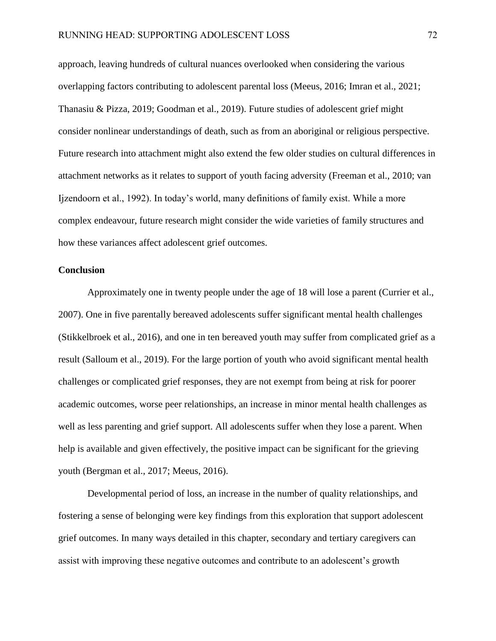approach, leaving hundreds of cultural nuances overlooked when considering the various overlapping factors contributing to adolescent parental loss (Meeus, 2016; Imran et al., 2021; Thanasiu & Pizza, 2019; Goodman et al., 2019). Future studies of adolescent grief might consider nonlinear understandings of death, such as from an aboriginal or religious perspective. Future research into attachment might also extend the few older studies on cultural differences in attachment networks as it relates to support of youth facing adversity (Freeman et al., 2010; van Ijzendoorn et al., 1992). In today's world, many definitions of family exist. While a more complex endeavour, future research might consider the wide varieties of family structures and how these variances affect adolescent grief outcomes.

### **Conclusion**

Approximately one in twenty people under the age of 18 will lose a parent (Currier et al., 2007). One in five parentally bereaved adolescents suffer significant mental health challenges (Stikkelbroek et al., 2016), and one in ten bereaved youth may suffer from complicated grief as a result (Salloum et al., 2019). For the large portion of youth who avoid significant mental health challenges or complicated grief responses, they are not exempt from being at risk for poorer academic outcomes, worse peer relationships, an increase in minor mental health challenges as well as less parenting and grief support. All adolescents suffer when they lose a parent. When help is available and given effectively, the positive impact can be significant for the grieving youth (Bergman et al., 2017; Meeus, 2016).

Developmental period of loss, an increase in the number of quality relationships, and fostering a sense of belonging were key findings from this exploration that support adolescent grief outcomes. In many ways detailed in this chapter, secondary and tertiary caregivers can assist with improving these negative outcomes and contribute to an adolescent's growth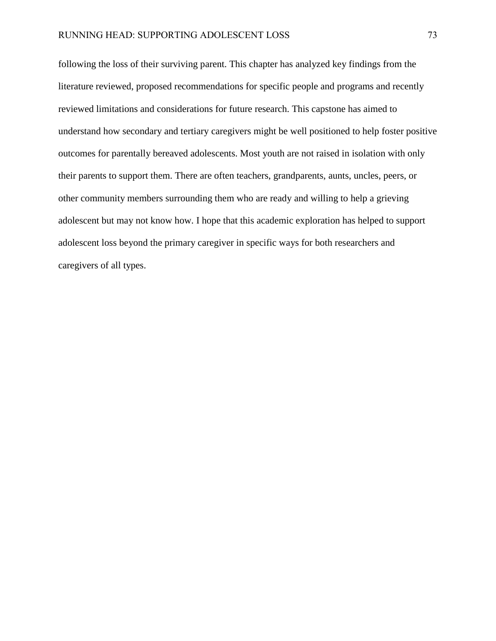following the loss of their surviving parent. This chapter has analyzed key findings from the literature reviewed, proposed recommendations for specific people and programs and recently reviewed limitations and considerations for future research. This capstone has aimed to understand how secondary and tertiary caregivers might be well positioned to help foster positive outcomes for parentally bereaved adolescents. Most youth are not raised in isolation with only their parents to support them. There are often teachers, grandparents, aunts, uncles, peers, or other community members surrounding them who are ready and willing to help a grieving adolescent but may not know how. I hope that this academic exploration has helped to support adolescent loss beyond the primary caregiver in specific ways for both researchers and caregivers of all types.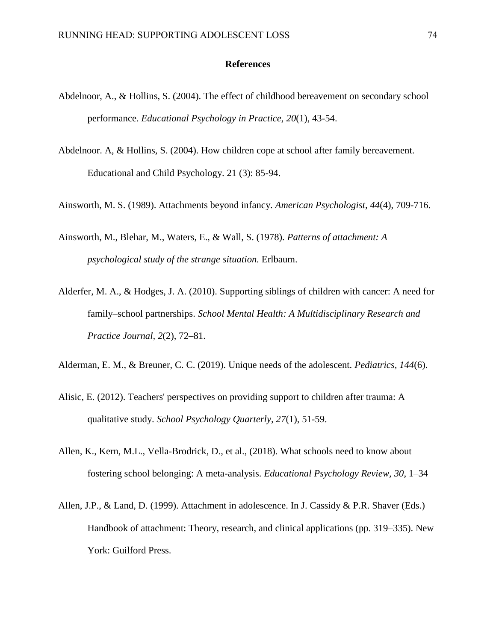### **References**

- Abdelnoor, A., & Hollins, S. (2004). The effect of childhood bereavement on secondary school performance. *Educational Psychology in Practice, 20*(1), 43-54.
- Abdelnoor. A, & Hollins, S. (2004). How children cope at school after family bereavement. Educational and Child Psychology. 21 (3): 85-94.
- Ainsworth, M. S. (1989). Attachments beyond infancy. *American Psychologist, 44*(4), 709-716.
- Ainsworth, M., Blehar, M., Waters, E., & Wall, S. (1978). *Patterns of attachment: A psychological study of the strange situation.* Erlbaum.
- Alderfer, M. A., & Hodges, J. A. (2010). Supporting siblings of children with cancer: A need for family–school partnerships. *School Mental Health: A Multidisciplinary Research and Practice Journal, 2*(2), 72–81.
- Alderman, E. M., & Breuner, C. C. (2019). Unique needs of the adolescent. *Pediatrics, 144*(6).
- Alisic, E. (2012). Teachers' perspectives on providing support to children after trauma: A qualitative study. *School Psychology Quarterly, 27*(1), 51-59.
- Allen, K., Kern, M.L., Vella-Brodrick, D., et al., (2018). What schools need to know about fostering school belonging: A meta-analysis. *Educational Psychology Review, 30*, 1–34
- Allen, J.P., & Land, D. (1999). Attachment in adolescence. In J. Cassidy & P.R. Shaver (Eds.) Handbook of attachment: Theory, research, and clinical applications (pp. 319–335). New York: Guilford Press.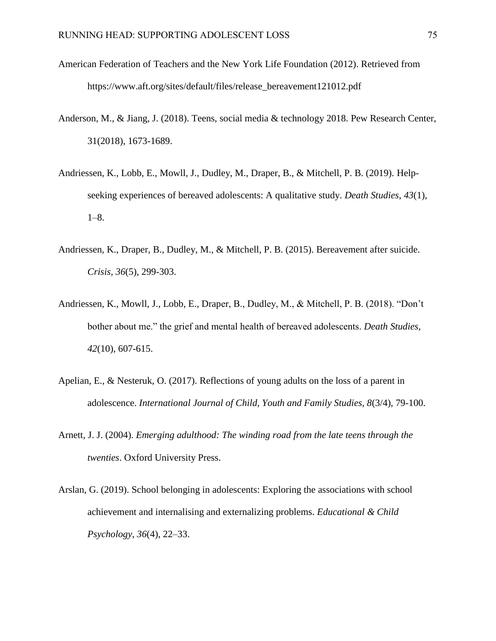- American Federation of Teachers and the New York Life Foundation (2012). Retrieved from https://www.aft.org/sites/default/files/release\_bereavement121012.pdf
- Anderson, M., & Jiang, J. (2018). Teens, social media & technology 2018. Pew Research Center, 31(2018), 1673-1689.
- Andriessen, K., Lobb, E., Mowll, J., Dudley, M., Draper, B., & Mitchell, P. B. (2019). Helpseeking experiences of bereaved adolescents: A qualitative study. *Death Studies*, *43*(1), 1–8.
- Andriessen, K., Draper, B., Dudley, M., & Mitchell, P. B. (2015). Bereavement after suicide. *Crisis, 36*(5), 299-303.
- Andriessen, K., Mowll, J., Lobb, E., Draper, B., Dudley, M., & Mitchell, P. B. (2018). "Don't bother about me." the grief and mental health of bereaved adolescents. *Death Studies, 42*(10), 607-615.
- Apelian, E., & Nesteruk, O. (2017). Reflections of young adults on the loss of a parent in adolescence. *International Journal of Child, Youth and Family Studies, 8*(3/4), 79-100.
- Arnett, J. J. (2004). *Emerging adulthood: The winding road from the late teens through the twenties*. Oxford University Press.
- Arslan, G. (2019). School belonging in adolescents: Exploring the associations with school achievement and internalising and externalizing problems. *Educational & Child Psychology*, *36*(4), 22–33.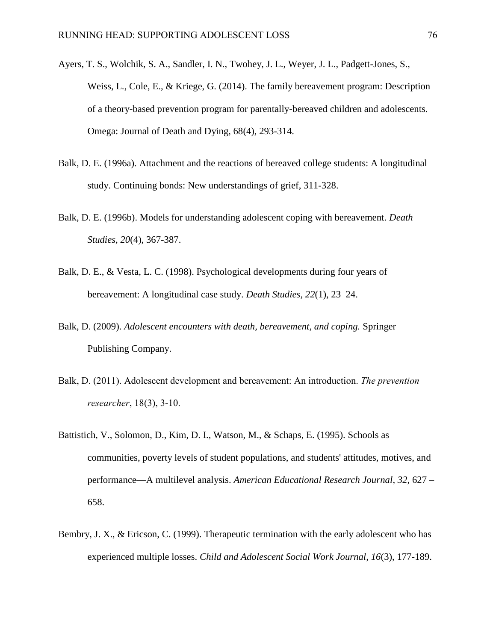- Ayers, T. S., Wolchik, S. A., Sandler, I. N., Twohey, J. L., Weyer, J. L., Padgett-Jones, S., Weiss, L., Cole, E., & Kriege, G. (2014). The family bereavement program: Description of a theory-based prevention program for parentally-bereaved children and adolescents. Omega: Journal of Death and Dying, 68(4), 293-314.
- Balk, D. E. (1996a). Attachment and the reactions of bereaved college students: A longitudinal study. Continuing bonds: New understandings of grief, 311-328.
- Balk, D. E. (1996b). Models for understanding adolescent coping with bereavement. *Death Studies, 20*(4), 367-387.
- Balk, D. E., & Vesta, L. C. (1998). Psychological developments during four years of bereavement: A longitudinal case study. *Death Studies, 22*(1), 23–24.
- Balk, D. (2009). *Adolescent encounters with death, bereavement, and coping.* Springer Publishing Company.
- Balk, D. (2011). Adolescent development and bereavement: An introduction. *The prevention researcher*, 18(3), 3-10.
- Battistich, V., Solomon, D., Kim, D. I., Watson, M., & Schaps, E. (1995). Schools as communities, poverty levels of student populations, and students' attitudes, motives, and performance—A multilevel analysis. *American Educational Research Journal*, *32*, 627 – 658.
- Bembry, J. X., & Ericson, C. (1999). Therapeutic termination with the early adolescent who has experienced multiple losses. *Child and Adolescent Social Work Journal, 16*(3), 177-189.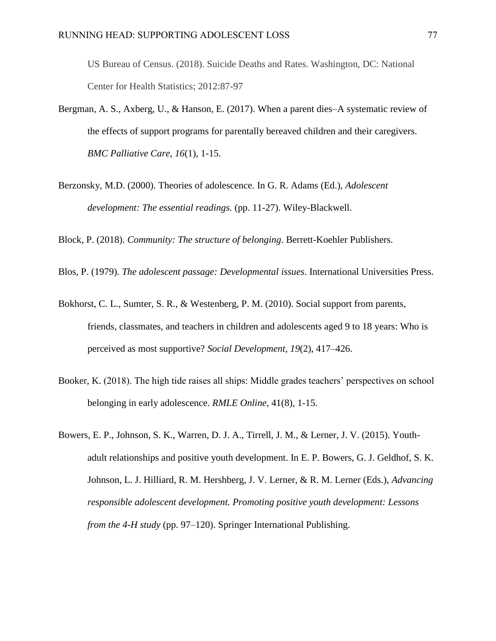US Bureau of Census. (2018). Suicide Deaths and Rates. Washington, DC: National Center for Health Statistics; 2012:87-97

- Bergman, A. S., Axberg, U., & Hanson, E. (2017). When a parent dies–A systematic review of the effects of support programs for parentally bereaved children and their caregivers. *BMC Palliative Care, 16*(1), 1-15.
- Berzonsky, M.D. (2000). Theories of adolescence. In G. R. Adams (Ed.), *Adolescent development: The essential readings.* (pp. 11-27). Wiley-Blackwell.

Block, P. (2018). *Community: The structure of belonging*. Berrett-Koehler Publishers.

- Blos, P. (1979). *The adolescent passage: Developmental issues*. International Universities Press.
- Bokhorst, C. L., Sumter, S. R., & Westenberg, P. M. (2010). Social support from parents, friends, classmates, and teachers in children and adolescents aged 9 to 18 years: Who is perceived as most supportive? *Social Development, 19*(2), 417–426.
- Booker, K. (2018). The high tide raises all ships: Middle grades teachers' perspectives on school belonging in early adolescence. *RMLE Online*, 41(8), 1-15.
- Bowers, E. P., Johnson, S. K., Warren, D. J. A., Tirrell, J. M., & Lerner, J. V. (2015). Youthadult relationships and positive youth development. In E. P. Bowers, G. J. Geldhof, S. K. Johnson, L. J. Hilliard, R. M. Hershberg, J. V. Lerner, & R. M. Lerner (Eds.), *Advancing responsible adolescent development. Promoting positive youth development: Lessons from the 4-H study* (pp. 97–120). Springer International Publishing.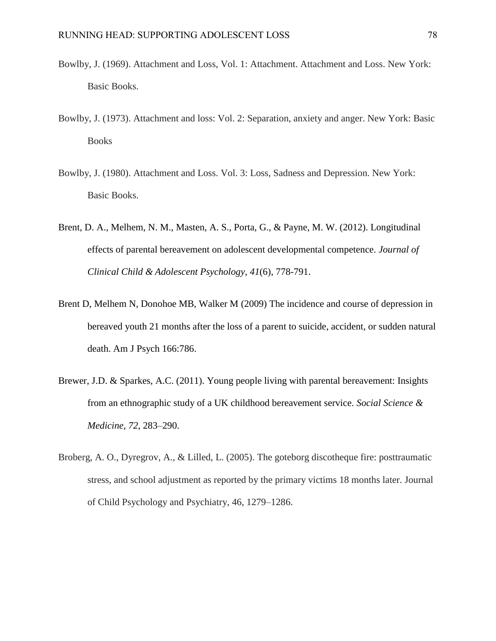- Bowlby, J. (1969). Attachment and Loss, Vol. 1: Attachment. Attachment and Loss. New York: Basic Books.
- Bowlby, J. (1973). Attachment and loss: Vol. 2: Separation, anxiety and anger. New York: Basic Books
- Bowlby, J. (1980). Attachment and Loss. Vol. 3: Loss, Sadness and Depression. New York: Basic Books.
- Brent, D. A., Melhem, N. M., Masten, A. S., Porta, G., & Payne, M. W. (2012). Longitudinal effects of parental bereavement on adolescent developmental competence. *Journal of Clinical Child & Adolescent Psychology, 41*(6), 778-791.
- Brent D, Melhem N, Donohoe MB, Walker M (2009) The incidence and course of depression in bereaved youth 21 months after the loss of a parent to suicide, accident, or sudden natural death. Am J Psych 166:786.
- Brewer, J.D. & Sparkes, A.C. (2011). Young people living with parental bereavement: Insights from an ethnographic study of a UK childhood bereavement service. *Social Science & Medicine, 72*, 283–290.
- Broberg, A. O., Dyregrov, A., & Lilled, L. (2005). The goteborg discotheque fire: posttraumatic stress, and school adjustment as reported by the primary victims 18 months later. Journal of Child Psychology and Psychiatry, 46, 1279–1286.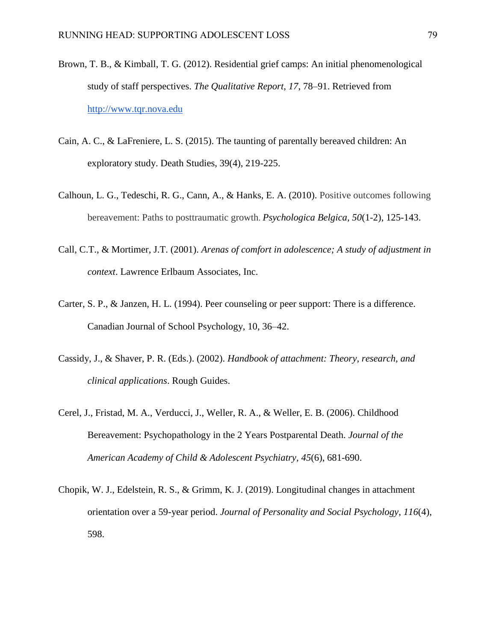- Brown, T. B., & Kimball, T. G. (2012). Residential grief camps: An initial phenomenological study of staff perspectives. *The Qualitative Report, 17*, 78–91. Retrieved from [http://www.tqr.nova.edu](about:blank)
- Cain, A. C., & LaFreniere, L. S. (2015). The taunting of parentally bereaved children: An exploratory study. Death Studies, 39(4), 219-225.
- Calhoun, L. G., Tedeschi, R. G., Cann, A., & Hanks, E. A. (2010). Positive outcomes following bereavement: Paths to posttraumatic growth. *Psychologica Belgica, 50*(1-2), 125-143.
- Call, C.T., & Mortimer, J.T. (2001). *Arenas of comfort in adolescence; A study of adjustment in context*. Lawrence Erlbaum Associates, Inc.
- Carter, S. P., & Janzen, H. L. (1994). Peer counseling or peer support: There is a difference. Canadian Journal of School Psychology, 10, 36–42.
- Cassidy, J., & Shaver, P. R. (Eds.). (2002). *Handbook of attachment: Theory, research, and clinical applications*. Rough Guides.
- Cerel, J., Fristad, M. A., Verducci, J., Weller, R. A., & Weller, E. B. (2006). Childhood Bereavement: Psychopathology in the 2 Years Postparental Death. *Journal of the American Academy of Child & Adolescent Psychiatry, 45*(6), 681-690.
- Chopik, W. J., Edelstein, R. S., & Grimm, K. J. (2019). Longitudinal changes in attachment orientation over a 59-year period. *Journal of Personality and Social Psychology*, *116*(4), 598.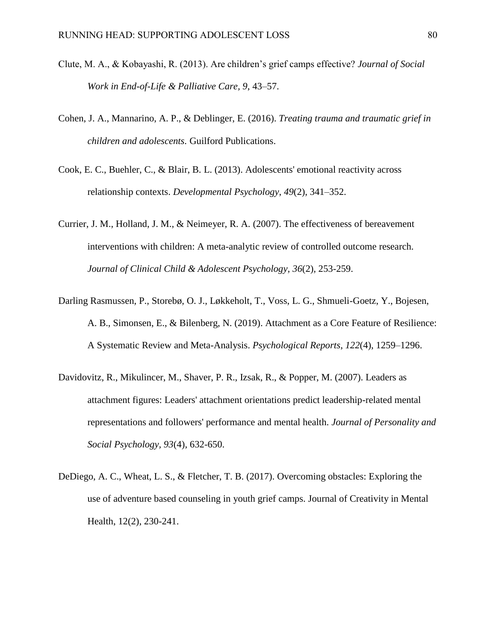- Clute, M. A., & Kobayashi, R. (2013). Are children's grief camps effective? *Journal of Social Work in End-of-Life & Palliative Care, 9*, 43–57.
- Cohen, J. A., Mannarino, A. P., & Deblinger, E. (2016). *Treating trauma and traumatic grief in children and adolescents.* Guilford Publications.
- Cook, E. C., Buehler, C., & Blair, B. L. (2013). Adolescents' emotional reactivity across relationship contexts. *Developmental Psychology*, *49*(2), 341–352.
- Currier, J. M., Holland, J. M., & Neimeyer, R. A. (2007). The effectiveness of bereavement interventions with children: A meta-analytic review of controlled outcome research. *Journal of Clinical Child & Adolescent Psychology, 36*(2), 253-259.
- Darling Rasmussen, P., Storebø, O. J., Løkkeholt, T., Voss, L. G., Shmueli-Goetz, Y., Bojesen, A. B., Simonsen, E., & Bilenberg, N. (2019). Attachment as a Core Feature of Resilience: A Systematic Review and Meta-Analysis. *Psychological Reports*, *122*(4), 1259–1296.
- Davidovitz, R., Mikulincer, M., Shaver, P. R., Izsak, R., & Popper, M. (2007). Leaders as attachment figures: Leaders' attachment orientations predict leadership-related mental representations and followers' performance and mental health. *Journal of Personality and Social Psychology, 93*(4), 632-650.
- DeDiego, A. C., Wheat, L. S., & Fletcher, T. B. (2017). Overcoming obstacles: Exploring the use of adventure based counseling in youth grief camps. Journal of Creativity in Mental Health, 12(2), 230-241.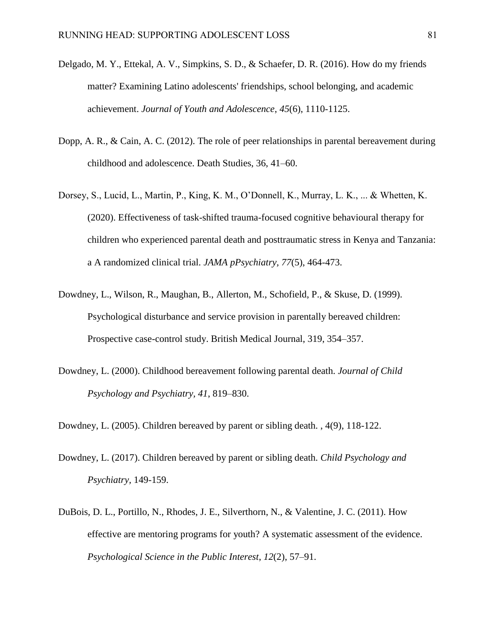- Delgado, M. Y., Ettekal, A. V., Simpkins, S. D., & Schaefer, D. R. (2016). How do my friends matter? Examining Latino adolescents' friendships, school belonging, and academic achievement. *Journal of Youth and Adolescence*, *45*(6), 1110-1125.
- Dopp, A. R., & Cain, A. C. (2012). The role of peer relationships in parental bereavement during childhood and adolescence. Death Studies, 36, 41–60.
- Dorsey, S., Lucid, L., Martin, P., King, K. M., O'Donnell, K., Murray, L. K., ... & Whetten, K. (2020). Effectiveness of task-shifted trauma-focused cognitive behavioural therapy for children who experienced parental death and posttraumatic stress in Kenya and Tanzania: a A randomized clinical trial. *JAMA pPsychiatry, 77*(5), 464-473.
- Dowdney, L., Wilson, R., Maughan, B., Allerton, M., Schofield, P., & Skuse, D. (1999). Psychological disturbance and service provision in parentally bereaved children: Prospective case-control study. British Medical Journal, 319, 354–357.
- Dowdney, L. (2000). Childhood bereavement following parental death. *Journal of Child Psychology and Psychiatry, 41*, 819–830.

Dowdney, L. (2005). Children bereaved by parent or sibling death. , 4(9), 118-122.

- Dowdney, L. (2017). Children bereaved by parent or sibling death. *Child Psychology and Psychiatry,* 149-159.
- DuBois, D. L., Portillo, N., Rhodes, J. E., Silverthorn, N., & Valentine, J. C. (2011). How effective are mentoring programs for youth? A systematic assessment of the evidence. *Psychological Science in the Public Interest*, *12*(2), 57–91.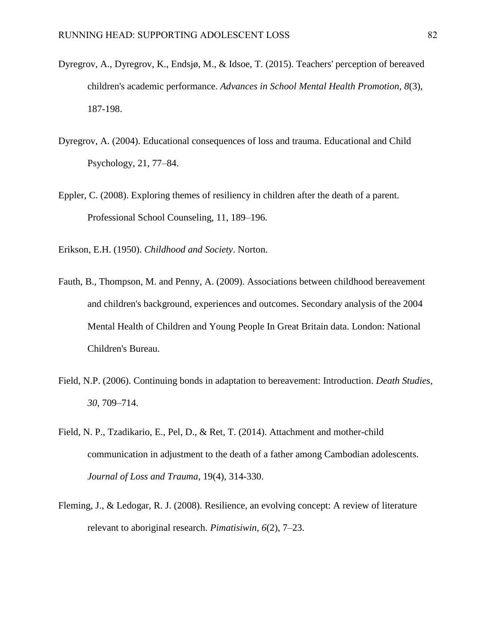- Dyregrov, A., Dyregrov, K., Endsjø, M., & Idsoe, T. (2015). Teachers' perception of bereaved children's academic performance. *Advances in School Mental Health Promotion, 8*(3), 187-198.
- Dyregrov, A. (2004). Educational consequences of loss and trauma. Educational and Child Psychology, 21, 77–84.
- Eppler, C. (2008). Exploring themes of resiliency in children after the death of a parent. Professional School Counseling, 11, 189–196.

Erikson, E.H. (1950). *Childhood and Society*. Norton.

- Fauth, B., Thompson, M. and Penny, A. (2009). Associations between childhood bereavement and children's background, experiences and outcomes. Secondary analysis of the 2004 Mental Health of Children and Young People In Great Britain data. London: National Children's Bureau.
- Field, N.P. (2006). Continuing bonds in adaptation to bereavement: Introduction. *Death Studies, 30*, 709–714.
- Field, N. P., Tzadikario, E., Pel, D., & Ret, T. (2014). Attachment and mother-child communication in adjustment to the death of a father among Cambodian adolescents. *Journal of Loss and Trauma*, 19(4), 314-330.
- Fleming, J., & Ledogar, R. J. (2008). Resilience, an evolving concept: A review of literature relevant to aboriginal research. *Pimatisiwin, 6*(2), 7–23.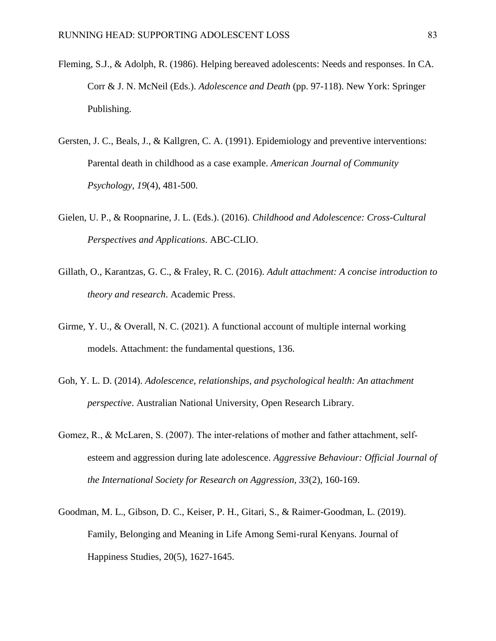- Fleming, S.J., & Adolph, R. (1986). Helping bereaved adolescents: Needs and responses. In CA. Corr & J. N. McNeil (Eds.). *Adolescence and Death* (pp. 97-118). New York: Springer Publishing.
- Gersten, J. C., Beals, J., & Kallgren, C. A. (1991). Epidemiology and preventive interventions: Parental death in childhood as a case example. *American Journal of Community Psychology, 19*(4), 481-500.
- Gielen, U. P., & Roopnarine, J. L. (Eds.). (2016). *Childhood and Adolescence: Cross-Cultural Perspectives and Applications*. ABC-CLIO.
- Gillath, O., Karantzas, G. C., & Fraley, R. C. (2016). *Adult attachment: A concise introduction to theory and research*. Academic Press.
- Girme, Y. U., & Overall, N. C. (2021). A functional account of multiple internal working models. Attachment: the fundamental questions, 136.
- Goh, Y. L. D. (2014). *Adolescence, relationships, and psychological health: An attachment perspective*. Australian National University, Open Research Library.
- Gomez, R., & McLaren, S. (2007). The inter-relations of mother and father attachment, selfesteem and aggression during late adolescence. *Aggressive Behaviour: Official Journal of the International Society for Research on Aggression, 33*(2), 160-169.
- Goodman, M. L., Gibson, D. C., Keiser, P. H., Gitari, S., & Raimer-Goodman, L. (2019). Family, Belonging and Meaning in Life Among Semi-rural Kenyans. Journal of Happiness Studies, 20(5), 1627-1645.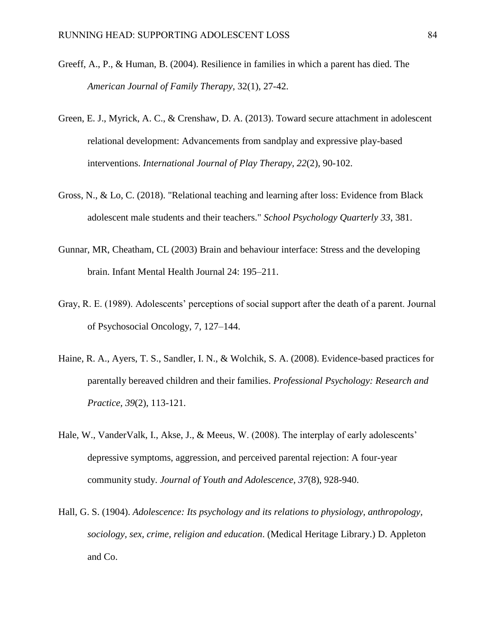- Greeff, A., P., & Human, B. (2004). Resilience in families in which a parent has died. The *American Journal of Family Therapy,* 32(1), 27-42.
- Green, E. J., Myrick, A. C., & Crenshaw, D. A. (2013). Toward secure attachment in adolescent relational development: Advancements from sandplay and expressive play-based interventions. *International Journal of Play Therapy, 22*(2), 90-102.
- Gross, N., & Lo, C. (2018). "Relational teaching and learning after loss: Evidence from Black adolescent male students and their teachers." *School Psychology Quarterly 33*, 381.
- Gunnar, MR, Cheatham, CL (2003) Brain and behaviour interface: Stress and the developing brain. Infant Mental Health Journal 24: 195–211.
- Gray, R. E. (1989). Adolescents' perceptions of social support after the death of a parent. Journal of Psychosocial Oncology, 7, 127–144.
- Haine, R. A., Ayers, T. S., Sandler, I. N., & Wolchik, S. A. (2008). Evidence-based practices for parentally bereaved children and their families. *Professional Psychology: Research and Practice, 39*(2), 113-121.
- Hale, W., VanderValk, I., Akse, J., & Meeus, W. (2008). The interplay of early adolescents' depressive symptoms, aggression, and perceived parental rejection: A four-year community study. *Journal of Youth and Adolescence, 37*(8), 928-940.
- Hall, G. S. (1904). *Adolescence: Its psychology and its relations to physiology, anthropology, sociology, sex, crime, religion and education*. (Medical Heritage Library.) D. Appleton and Co.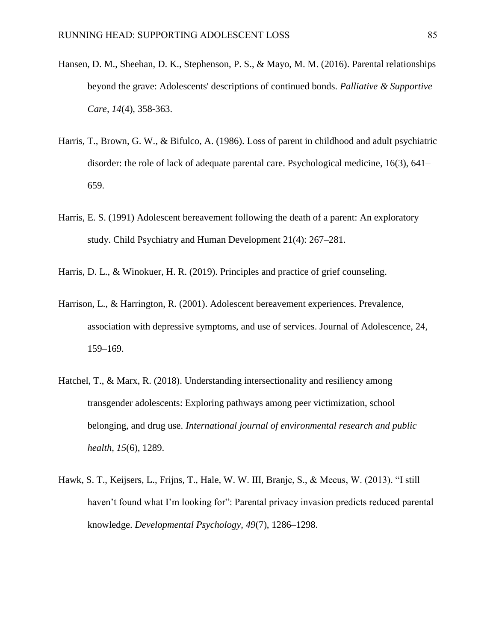- Hansen, D. M., Sheehan, D. K., Stephenson, P. S., & Mayo, M. M. (2016). Parental relationships beyond the grave: Adolescents' descriptions of continued bonds. *Palliative & Supportive Care, 14*(4), 358-363.
- Harris, T., Brown, G. W., & Bifulco, A. (1986). Loss of parent in childhood and adult psychiatric disorder: the role of lack of adequate parental care. Psychological medicine, 16(3), 641– 659.
- Harris, E. S. (1991) Adolescent bereavement following the death of a parent: An exploratory study. Child Psychiatry and Human Development 21(4): 267–281.
- Harris, D. L., & Winokuer, H. R. (2019). Principles and practice of grief counseling.
- Harrison, L., & Harrington, R. (2001). Adolescent bereavement experiences. Prevalence, association with depressive symptoms, and use of services. Journal of Adolescence, 24, 159–169.
- Hatchel, T., & Marx, R. (2018). Understanding intersectionality and resiliency among transgender adolescents: Exploring pathways among peer victimization, school belonging, and drug use. *International journal of environmental research and public health, 15*(6), 1289.
- Hawk, S. T., Keijsers, L., Frijns, T., Hale, W. W. III, Branje, S., & Meeus, W. (2013). "I still haven't found what I'm looking for": Parental privacy invasion predicts reduced parental knowledge. *Developmental Psychology, 49*(7), 1286–1298.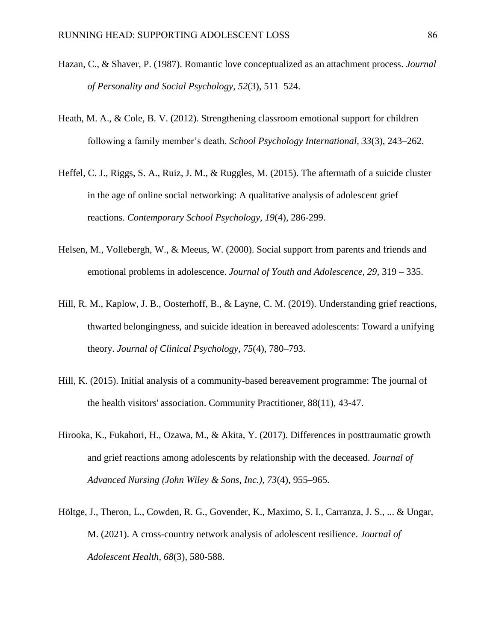- Hazan, C., & Shaver, P. (1987). Romantic love conceptualized as an attachment process. *Journal of Personality and Social Psychology, 52*(3), 511–524.
- Heath, M. A., & Cole, B. V. (2012). Strengthening classroom emotional support for children following a family member's death. *School Psychology International, 33*(3), 243–262.
- Heffel, C. J., Riggs, S. A., Ruiz, J. M., & Ruggles, M. (2015). The aftermath of a suicide cluster in the age of online social networking: A qualitative analysis of adolescent grief reactions. *Contemporary School Psychology, 19*(4), 286-299.
- Helsen, M., Vollebergh, W., & Meeus, W. (2000). Social support from parents and friends and emotional problems in adolescence. *Journal of Youth and Adolescence, 29*, 319 – 335.
- Hill, R. M., Kaplow, J. B., Oosterhoff, B., & Layne, C. M. (2019). Understanding grief reactions, thwarted belongingness, and suicide ideation in bereaved adolescents: Toward a unifying theory. *Journal of Clinical Psychology, 75*(4), 780–793.
- Hill, K. (2015). Initial analysis of a community-based bereavement programme: The journal of the health visitors' association. Community Practitioner, 88(11), 43-47.
- Hirooka, K., Fukahori, H., Ozawa, M., & Akita, Y. (2017). Differences in posttraumatic growth and grief reactions among adolescents by relationship with the deceased. *Journal of Advanced Nursing (John Wiley & Sons, Inc.), 73*(4), 955–965.
- Höltge, J., Theron, L., Cowden, R. G., Govender, K., Maximo, S. I., Carranza, J. S., ... & Ungar, M. (2021). A cross-country network analysis of adolescent resilience. *Journal of Adolescent Health, 68*(3), 580-588.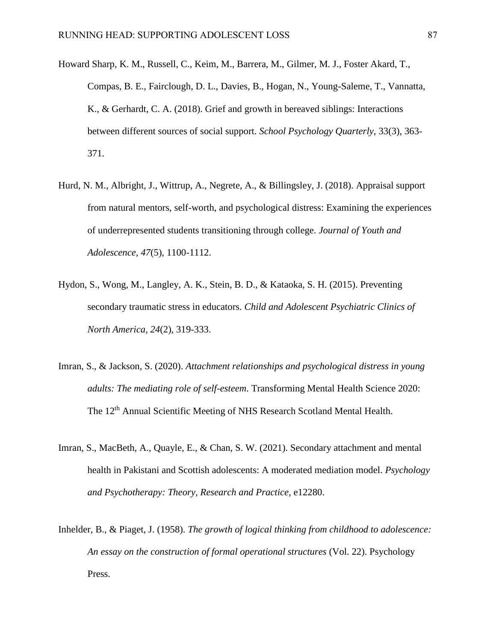- Howard Sharp, K. M., Russell, C., Keim, M., Barrera, M., Gilmer, M. J., Foster Akard, T., Compas, B. E., Fairclough, D. L., Davies, B., Hogan, N., Young-Saleme, T., Vannatta, K., & Gerhardt, C. A. (2018). Grief and growth in bereaved siblings: Interactions between different sources of social support. *School Psychology Quarterly*, 33(3), 363- 371.
- Hurd, N. M., Albright, J., Wittrup, A., Negrete, A., & Billingsley, J. (2018). Appraisal support from natural mentors, self-worth, and psychological distress: Examining the experiences of underrepresented students transitioning through college. *Journal of Youth and Adolescence, 47*(5), 1100-1112.
- Hydon, S., Wong, M., Langley, A. K., Stein, B. D., & Kataoka, S. H. (2015). Preventing secondary traumatic stress in educators. *Child and Adolescent Psychiatric Clinics of North America, 24*(2), 319-333.
- Imran, S., & Jackson, S. (2020). *Attachment relationships and psychological distress in young adults: The mediating role of self-esteem*. Transforming Mental Health Science 2020: The 12<sup>th</sup> Annual Scientific Meeting of NHS Research Scotland Mental Health.
- Imran, S., MacBeth, A., Quayle, E., & Chan, S. W. (2021). Secondary attachment and mental health in Pakistani and Scottish adolescents: A moderated mediation model. *Psychology and Psychotherapy: Theory, Research and Practice*, e12280.
- Inhelder, B., & Piaget, J. (1958). *The growth of logical thinking from childhood to adolescence: An essay on the construction of formal operational structures* (Vol. 22). Psychology Press.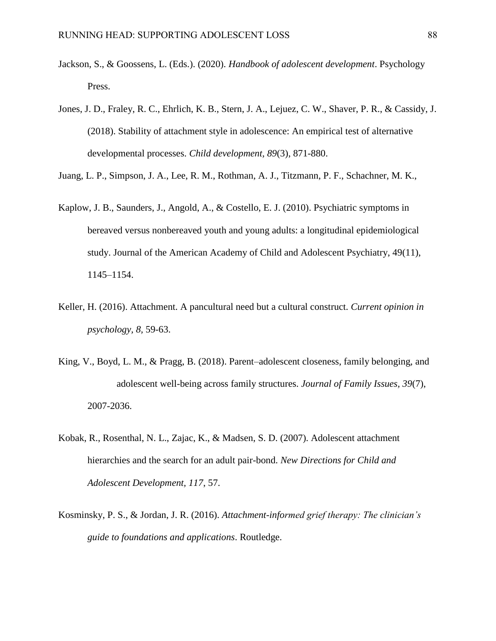- Jackson, S., & Goossens, L. (Eds.). (2020). *Handbook of adolescent development*. Psychology Press.
- Jones, J. D., Fraley, R. C., Ehrlich, K. B., Stern, J. A., Lejuez, C. W., Shaver, P. R., & Cassidy, J. (2018). Stability of attachment style in adolescence: An empirical test of alternative developmental processes. *Child development, 89*(3), 871-880.

Juang, L. P., Simpson, J. A., Lee, R. M., Rothman, A. J., Titzmann, P. F., Schachner, M. K.,

- Kaplow, J. B., Saunders, J., Angold, A., & Costello, E. J. (2010). Psychiatric symptoms in bereaved versus nonbereaved youth and young adults: a longitudinal epidemiological study. Journal of the American Academy of Child and Adolescent Psychiatry, 49(11), 1145–1154.
- Keller, H. (2016). Attachment. A pancultural need but a cultural construct. *Current opinion in psychology, 8,* 59-63.
- King, V., Boyd, L. M., & Pragg, B. (2018). Parent–adolescent closeness, family belonging, and adolescent well-being across family structures. *Journal of Family Issues, 39*(7), 2007-2036.
- Kobak, R., Rosenthal, N. L., Zajac, K., & Madsen, S. D. (2007). Adolescent attachment hierarchies and the search for an adult pair-bond. *New Directions for Child and Adolescent Development, 117*, 57.
- Kosminsky, P. S., & Jordan, J. R. (2016). *Attachment-informed grief therapy: The clinician's guide to foundations and applications*. Routledge.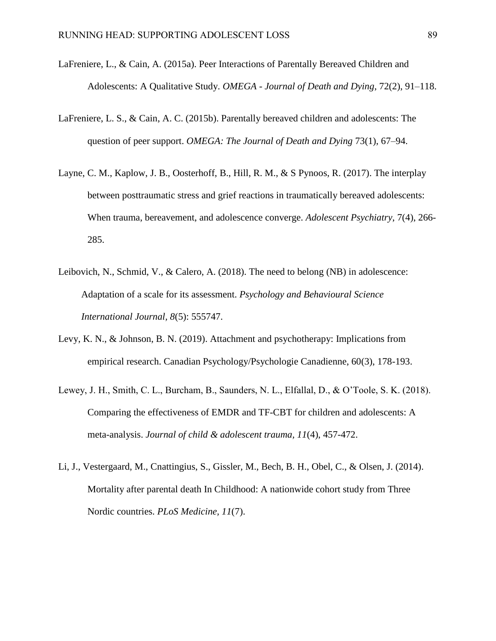- LaFreniere, L., & Cain, A. (2015a). Peer Interactions of Parentally Bereaved Children and Adolescents: A Qualitative Study. *OMEGA - Journal of Death and Dying*, 72(2), 91–118.
- LaFreniere, L. S., & Cain, A. C. (2015b). Parentally bereaved children and adolescents: The question of peer support. *OMEGA: The Journal of Death and Dying* 73(1), 67–94.
- Layne, C. M., Kaplow, J. B., Oosterhoff, B., Hill, R. M., & S Pynoos, R. (2017). The interplay between posttraumatic stress and grief reactions in traumatically bereaved adolescents: When trauma, bereavement, and adolescence converge. *Adolescent Psychiatry*, 7(4), 266- 285.
- Leibovich, N., Schmid, V., & Calero, A. (2018). The need to belong (NB) in adolescence: Adaptation of a scale for its assessment. *Psychology and Behavioural Science International Journal, 8*(5): 555747.
- Levy, K. N., & Johnson, B. N. (2019). Attachment and psychotherapy: Implications from empirical research. Canadian Psychology/Psychologie Canadienne, 60(3), 178-193.
- Lewey, J. H., Smith, C. L., Burcham, B., Saunders, N. L., Elfallal, D., & O'Toole, S. K. (2018). Comparing the effectiveness of EMDR and TF-CBT for children and adolescents: A meta-analysis. *Journal of child & adolescent trauma, 11*(4), 457-472.
- Li, J., Vestergaard, M., Cnattingius, S., Gissler, M., Bech, B. H., Obel, C., & Olsen, J. (2014). Mortality after parental death In Childhood: A nationwide cohort study from Three Nordic countries. *PLoS Medicine, 11*(7).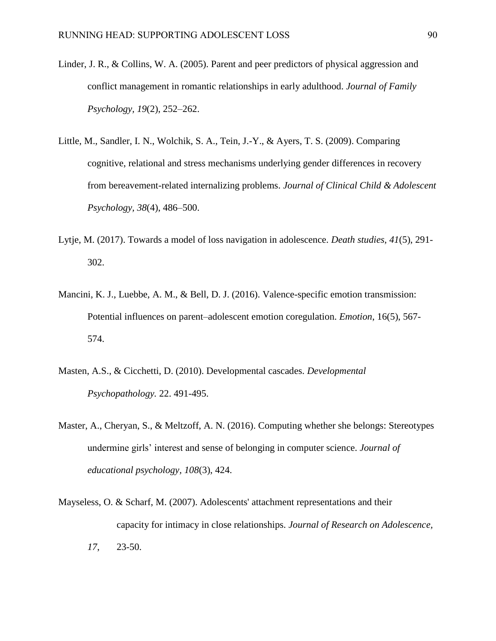- Linder, J. R., & Collins, W. A. (2005). Parent and peer predictors of physical aggression and conflict management in romantic relationships in early adulthood. *Journal of Family Psychology, 19*(2), 252–262.
- Little, M., Sandler, I. N., Wolchik, S. A., Tein, J.-Y., & Ayers, T. S. (2009). Comparing cognitive, relational and stress mechanisms underlying gender differences in recovery from bereavement-related internalizing problems. *Journal of Clinical Child & Adolescent Psychology, 38*(4), 486–500.
- Lytje, M. (2017). Towards a model of loss navigation in adolescence. *Death studies, 41*(5), 291- 302.
- Mancini, K. J., Luebbe, A. M., & Bell, D. J. (2016). Valence-specific emotion transmission: Potential influences on parent–adolescent emotion coregulation. *Emotion*, 16(5), 567- 574.
- Masten, A.S., & Cicchetti, D. (2010). Developmental cascades. *Developmental Psychopathology.* 22. 491-495.
- Master, A., Cheryan, S., & Meltzoff, A. N. (2016). Computing whether she belongs: Stereotypes undermine girls' interest and sense of belonging in computer science. *Journal of educational psychology, 108*(3), 424.
- Mayseless, O. & Scharf, M. (2007). Adolescents' attachment representations and their capacity for intimacy in close relationships. *Journal of Research on Adolescence, 17*, 23-50.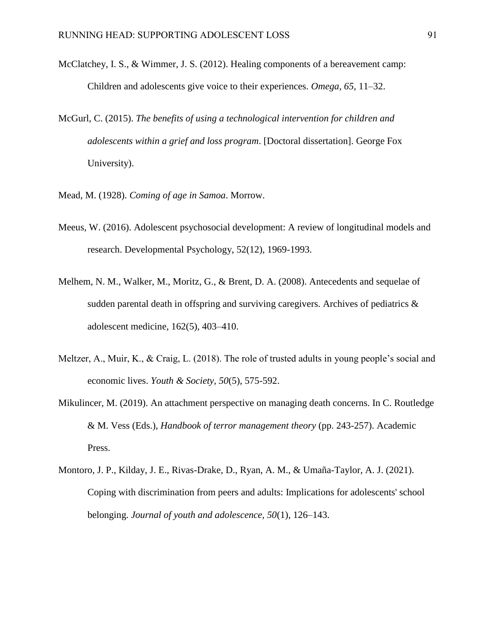- McClatchey, I. S., & Wimmer, J. S. (2012). Healing components of a bereavement camp: Children and adolescents give voice to their experiences. *Omega, 65*, 11–32.
- McGurl, C. (2015). *The benefits of using a technological intervention for children and adolescents within a grief and loss program*. [Doctoral dissertation]. George Fox University).
- Mead, M. (1928). *Coming of age in Samoa*. Morrow.
- Meeus, W. (2016). Adolescent psychosocial development: A review of longitudinal models and research. Developmental Psychology, 52(12), 1969-1993.
- Melhem, N. M., Walker, M., Moritz, G., & Brent, D. A. (2008). Antecedents and sequelae of sudden parental death in offspring and surviving caregivers. Archives of pediatrics & adolescent medicine, 162(5), 403–410.
- Meltzer, A., Muir, K., & Craig, L. (2018). The role of trusted adults in young people's social and economic lives. *Youth & Society, 50*(5), 575-592.
- Mikulincer, M. (2019). An attachment perspective on managing death concerns. In C. Routledge & M. Vess (Eds.), *Handbook of terror management theory* (pp. 243-257). Academic Press.
- Montoro, J. P., Kilday, J. E., Rivas-Drake, D., Ryan, A. M., & Umaña-Taylor, A. J. (2021). Coping with discrimination from peers and adults: Implications for adolescents' school belonging. *Journal of youth and adolescence, 50*(1), 126–143.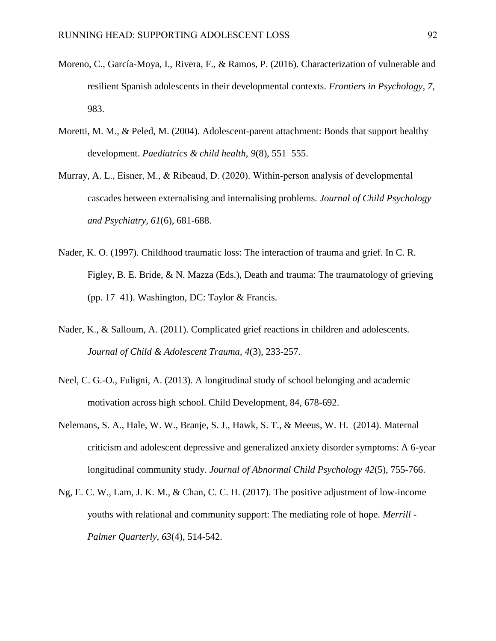- Moreno, C., García-Moya, I., Rivera, F., & Ramos, P. (2016). Characterization of vulnerable and resilient Spanish adolescents in their developmental contexts. *Frontiers in Psychology, 7*, 983.
- Moretti, M. M., & Peled, M. (2004). Adolescent-parent attachment: Bonds that support healthy development. *Paediatrics & child health, 9*(8), 551–555.
- Murray, A. L., Eisner, M., & Ribeaud, D. (2020). Within-person analysis of developmental cascades between externalising and internalising problems. *Journal of Child Psychology and Psychiatry, 61*(6), 681-688.
- Nader, K. O. (1997). Childhood traumatic loss: The interaction of trauma and grief. In C. R. Figley, B. E. Bride, & N. Mazza (Eds.), Death and trauma: The traumatology of grieving (pp. 17–41). Washington, DC: Taylor & Francis.
- Nader, K., & Salloum, A. (2011). Complicated grief reactions in children and adolescents. *Journal of Child & Adolescent Trauma, 4*(3), 233-257.
- Neel, C. G.-O., Fuligni, A. (2013). A longitudinal study of school belonging and academic motivation across high school. Child Development, 84, 678-692.
- Nelemans, S. A., Hale, W. W., Branje, S. J., Hawk, S. T., & Meeus, W. H. (2014). Maternal criticism and adolescent depressive and generalized anxiety disorder symptoms: A 6-year longitudinal community study. *Journal of Abnormal Child Psychology 42*(5), 755-766.
- Ng, E. C. W., Lam, J. K. M., & Chan, C. C. H. (2017). The positive adjustment of low-income youths with relational and community support: The mediating role of hope. *Merrill - Palmer Quarterly, 63*(4), 514-542.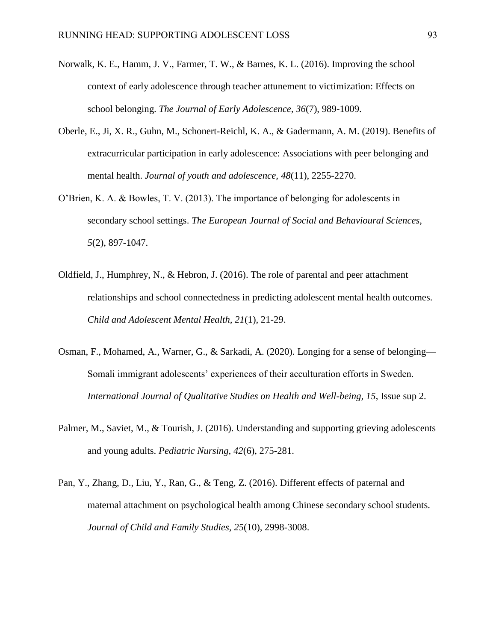- Norwalk, K. E., Hamm, J. V., Farmer, T. W., & Barnes, K. L. (2016). Improving the school context of early adolescence through teacher attunement to victimization: Effects on school belonging. *The Journal of Early Adolescence, 36*(7), 989-1009.
- Oberle, E., Ji, X. R., Guhn, M., Schonert-Reichl, K. A., & Gadermann, A. M. (2019). Benefits of extracurricular participation in early adolescence: Associations with peer belonging and mental health. *Journal of youth and adolescence, 48*(11), 2255-2270.
- O'Brien, K. A. & Bowles, T. V. (2013). The importance of belonging for adolescents in secondary school settings. *The European Journal of Social and Behavioural Sciences, 5*(2), 897-1047.
- Oldfield, J., Humphrey, N., & Hebron, J. (2016). The role of parental and peer attachment relationships and school connectedness in predicting adolescent mental health outcomes. *Child and Adolescent Mental Health, 21*(1), 21-29.
- Osman, F., Mohamed, A., Warner, G., & Sarkadi, A. (2020). Longing for a sense of belonging— Somali immigrant adolescents' experiences of their acculturation efforts in Sweden. *International Journal of Qualitative Studies on Health and Well-being, 15*, Issue sup 2.
- Palmer, M., Saviet, M., & Tourish, J. (2016). Understanding and supporting grieving adolescents and young adults. *Pediatric Nursing, 42*(6), 275-281.
- Pan, Y., Zhang, D., Liu, Y., Ran, G., & Teng, Z. (2016). Different effects of paternal and maternal attachment on psychological health among Chinese secondary school students. *Journal of Child and Family Studies, 25*(10), 2998-3008.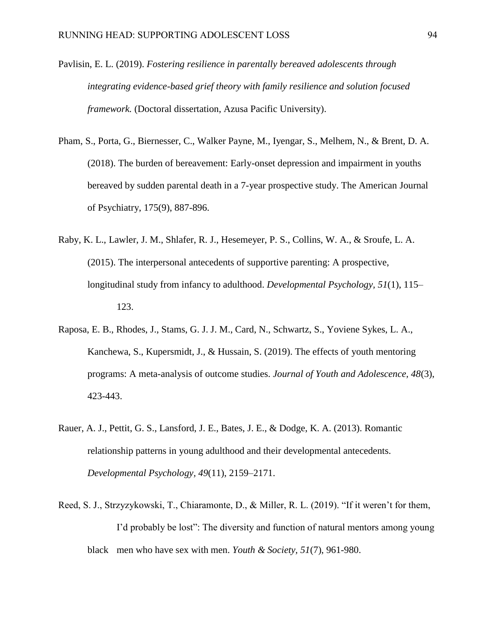- Pavlisin, E. L. (2019). *Fostering resilience in parentally bereaved adolescents through integrating evidence-based grief theory with family resilience and solution focused framework.* (Doctoral dissertation, Azusa Pacific University).
- Pham, S., Porta, G., Biernesser, C., Walker Payne, M., Iyengar, S., Melhem, N., & Brent, D. A. (2018). The burden of bereavement: Early-onset depression and impairment in youths bereaved by sudden parental death in a 7-year prospective study. The American Journal of Psychiatry, 175(9), 887-896.
- Raby, K. L., Lawler, J. M., Shlafer, R. J., Hesemeyer, P. S., Collins, W. A., & Sroufe, L. A. (2015). The interpersonal antecedents of supportive parenting: A prospective, longitudinal study from infancy to adulthood. *Developmental Psychology, 51*(1), 115– 123.
- Raposa, E. B., Rhodes, J., Stams, G. J. J. M., Card, N., Schwartz, S., Yoviene Sykes, L. A., Kanchewa, S., Kupersmidt, J., & Hussain, S. (2019). The effects of youth mentoring programs: A meta-analysis of outcome studies. *Journal of Youth and Adolescence, 48*(3), 423-443.
- Rauer, A. J., Pettit, G. S., Lansford, J. E., Bates, J. E., & Dodge, K. A. (2013). Romantic relationship patterns in young adulthood and their developmental antecedents. *Developmental Psychology, 49*(11), 2159–2171.
- Reed, S. J., Strzyzykowski, T., Chiaramonte, D., & Miller, R. L. (2019). "If it weren't for them, I'd probably be lost": The diversity and function of natural mentors among young black men who have sex with men. *Youth & Society, 51*(7), 961-980.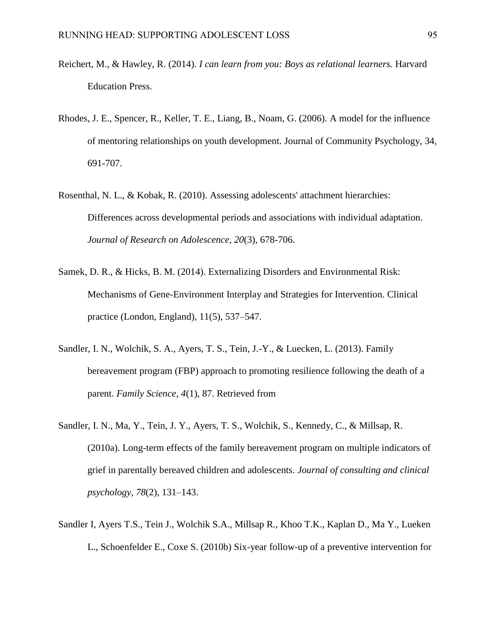- Reichert, M., & Hawley, R. (2014). *I can learn from you: Boys as relational learners.* Harvard Education Press.
- Rhodes, J. E., Spencer, R., Keller, T. E., Liang, B., Noam, G. (2006). A model for the influence of mentoring relationships on youth development. Journal of Community Psychology, 34, 691-707.
- Rosenthal, N. L., & Kobak, R. (2010). Assessing adolescents' attachment hierarchies: Differences across developmental periods and associations with individual adaptation. *Journal of Research on Adolescence, 20*(3), 678-706.
- Samek, D. R., & Hicks, B. M. (2014). Externalizing Disorders and Environmental Risk: Mechanisms of Gene-Environment Interplay and Strategies for Intervention. Clinical practice (London, England), 11(5), 537–547.
- Sandler, I. N., Wolchik, S. A., Ayers, T. S., Tein, J.-Y., & Luecken, L. (2013). Family bereavement program (FBP) approach to promoting resilience following the death of a parent. *Family Science, 4*(1), 87. Retrieved from
- Sandler, I. N., Ma, Y., Tein, J. Y., Ayers, T. S., Wolchik, S., Kennedy, C., & Millsap, R. (2010a). Long-term effects of the family bereavement program on multiple indicators of grief in parentally bereaved children and adolescents. *Journal of consulting and clinical psychology, 78*(2), 131–143.
- Sandler I, Ayers T.S., Tein J., Wolchik S.A., Millsap R., Khoo T.K., Kaplan D., Ma Y., Lueken L., Schoenfelder E., Coxe S. (2010b) Six-year follow-up of a preventive intervention for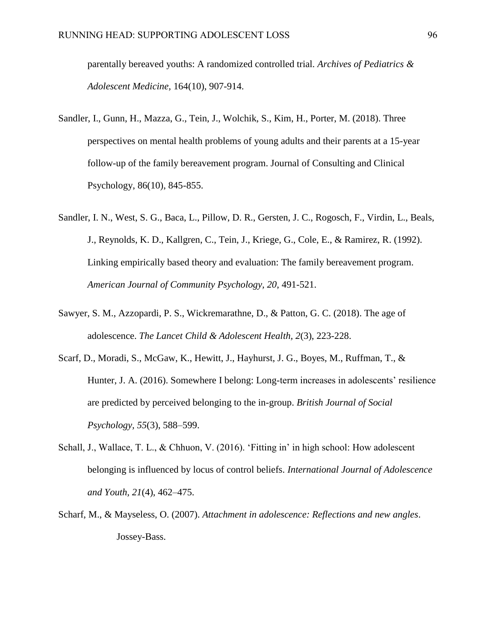parentally bereaved youths: A randomized controlled trial. *Archives of Pediatrics & Adolescent Medicine,* 164(10), 907-914.

- Sandler, I., Gunn, H., Mazza, G., Tein, J., Wolchik, S., Kim, H., Porter, M. (2018). Three perspectives on mental health problems of young adults and their parents at a 15-year follow-up of the family bereavement program. Journal of Consulting and Clinical Psychology, 86(10), 845-855.
- Sandler, I. N., West, S. G., Baca, L., Pillow, D. R., Gersten, J. C., Rogosch, F., Virdin, L., Beals, J., Reynolds, K. D., Kallgren, C., Tein, J., Kriege, G., Cole, E., & Ramirez, R. (1992). Linking empirically based theory and evaluation: The family bereavement program. *American Journal of Community Psychology, 20*, 491-521.
- Sawyer, S. M., Azzopardi, P. S., Wickremarathne, D., & Patton, G. C. (2018). The age of adolescence. *The Lancet Child & Adolescent Health, 2*(3), 223-228.
- Scarf, D., Moradi, S., McGaw, K., Hewitt, J., Hayhurst, J. G., Boyes, M., Ruffman, T., & Hunter, J. A. (2016). Somewhere I belong: Long-term increases in adolescents' resilience are predicted by perceived belonging to the in-group. *British Journal of Social Psychology, 55*(3), 588–599.
- Schall, J., Wallace, T. L., & Chhuon, V. (2016). 'Fitting in' in high school: How adolescent belonging is influenced by locus of control beliefs. *International Journal of Adolescence and Youth, 21*(4), 462–475.
- Scharf, M., & Mayseless, O. (2007). *Attachment in adolescence: Reflections and new angles*. Jossey-Bass.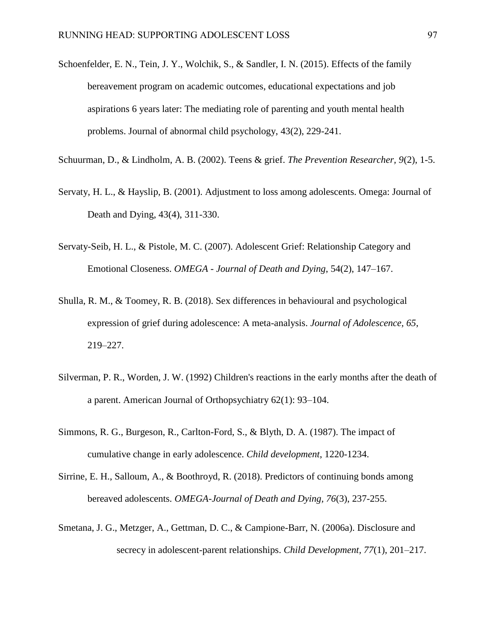- Schoenfelder, E. N., Tein, J. Y., Wolchik, S., & Sandler, I. N. (2015). Effects of the family bereavement program on academic outcomes, educational expectations and job aspirations 6 years later: The mediating role of parenting and youth mental health problems. Journal of abnormal child psychology, 43(2), 229-241.
- Schuurman, D., & Lindholm, A. B. (2002). Teens & grief. *The Prevention Researcher, 9*(2), 1-5.
- Servaty, H. L., & Hayslip, B. (2001). Adjustment to loss among adolescents. Omega: Journal of Death and Dying, 43(4), 311-330.
- Servaty-Seib, H. L., & Pistole, M. C. (2007). Adolescent Grief: Relationship Category and Emotional Closeness. *OMEGA - Journal of Death and Dying*, 54(2), 147–167.
- Shulla, R. M., & Toomey, R. B. (2018). Sex differences in behavioural and psychological expression of grief during adolescence: A meta-analysis. *Journal of Adolescence, 65*, 219–227.
- Silverman, P. R., Worden, J. W. (1992) Children's reactions in the early months after the death of a parent. American Journal of Orthopsychiatry 62(1): 93–104.
- Simmons, R. G., Burgeson, R., Carlton-Ford, S., & Blyth, D. A. (1987). The impact of cumulative change in early adolescence. *Child development*, 1220-1234.
- Sirrine, E. H., Salloum, A., & Boothroyd, R. (2018). Predictors of continuing bonds among bereaved adolescents. *OMEGA-Journal of Death and Dying, 76*(3), 237-255.
- Smetana, J. G., Metzger, A., Gettman, D. C., & Campione-Barr, N. (2006a). Disclosure and secrecy in adolescent-parent relationships. *Child Development, 77*(1), 201–217.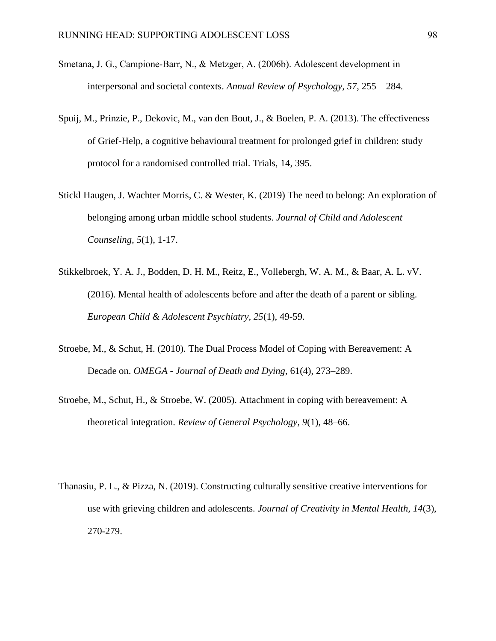- Smetana, J. G., Campione‐Barr, N., & Metzger, A. (2006b). Adolescent development in interpersonal and societal contexts. *Annual Review of Psychology, 57*, 255 – 284.
- Spuij, M., Prinzie, P., Dekovic, M., van den Bout, J., & Boelen, P. A. (2013). The effectiveness of Grief-Help, a cognitive behavioural treatment for prolonged grief in children: study protocol for a randomised controlled trial. Trials, 14, 395.
- Stickl Haugen, J. Wachter Morris, C. & Wester, K. (2019) The need to belong: An exploration of belonging among urban middle school students. *Journal of Child and Adolescent Counseling, 5*(1), 1-17.
- Stikkelbroek, Y. A. J., Bodden, D. H. M., Reitz, E., Vollebergh, W. A. M., & Baar, A. L. vV. (2016). Mental health of adolescents before and after the death of a parent or sibling. *European Child & Adolescent Psychiatry, 25*(1), 49-59.
- Stroebe, M., & Schut, H. (2010). The Dual Process Model of Coping with Bereavement: A Decade on. *OMEGA - Journal of Death and Dying*, 61(4), 273–289.
- Stroebe, M., Schut, H., & Stroebe, W. (2005). Attachment in coping with bereavement: A theoretical integration. *Review of General Psychology, 9*(1), 48–66.
- Thanasiu, P. L., & Pizza, N. (2019). Constructing culturally sensitive creative interventions for use with grieving children and adolescents. *Journal of Creativity in Mental Health, 14*(3), 270-279.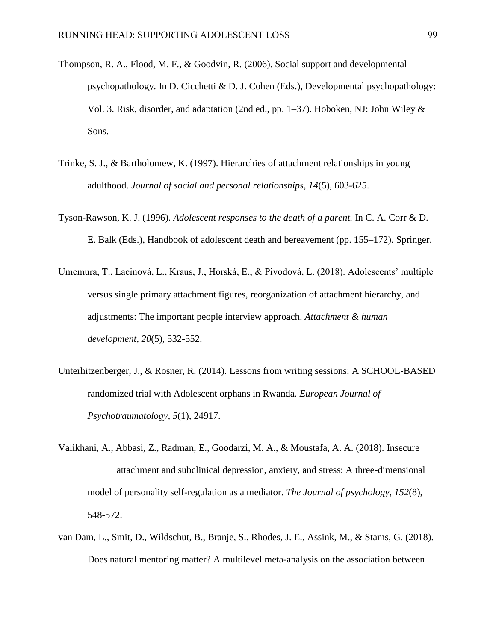- Thompson, R. A., Flood, M. F., & Goodvin, R. (2006). Social support and developmental psychopathology. In D. Cicchetti & D. J. Cohen (Eds.), Developmental psychopathology: Vol. 3. Risk, disorder, and adaptation (2nd ed., pp.  $1-37$ ). Hoboken, NJ: John Wiley  $\&$ Sons.
- Trinke, S. J., & Bartholomew, K. (1997). Hierarchies of attachment relationships in young adulthood. *Journal of social and personal relationships, 14*(5), 603-625.
- Tyson-Rawson, K. J. (1996). *Adolescent responses to the death of a parent.* In C. A. Corr & D. E. Balk (Eds.), Handbook of adolescent death and bereavement (pp. 155–172). Springer.
- Umemura, T., Lacinová, L., Kraus, J., Horská, E., & Pivodová, L. (2018). Adolescents' multiple versus single primary attachment figures, reorganization of attachment hierarchy, and adjustments: The important people interview approach. *Attachment & human development, 20*(5), 532-552.
- Unterhitzenberger, J., & Rosner, R. (2014). Lessons from writing sessions: A SCHOOL-BASED randomized trial with Adolescent orphans in Rwanda. *European Journal of Psychotraumatology, 5*(1), 24917.
- Valikhani, A., Abbasi, Z., Radman, E., Goodarzi, M. A., & Moustafa, A. A. (2018). Insecure attachment and subclinical depression, anxiety, and stress: A three-dimensional model of personality self-regulation as a mediator. *The Journal of psychology, 152*(8), 548-572.
- van Dam, L., Smit, D., Wildschut, B., Branje, S., Rhodes, J. E., Assink, M., & Stams, G. (2018). Does natural mentoring matter? A multilevel meta-analysis on the association between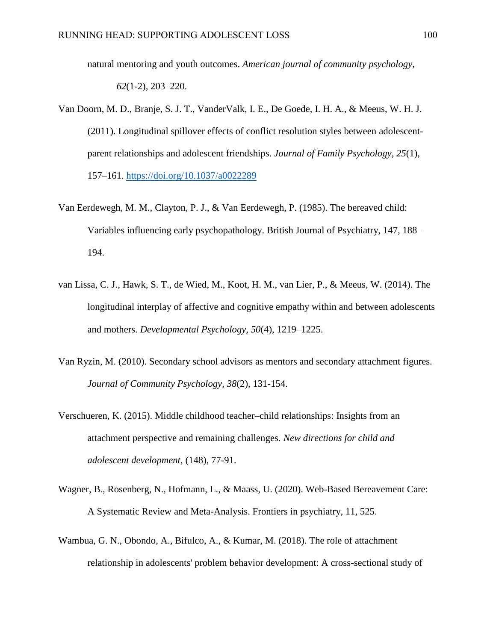natural mentoring and youth outcomes. *American journal of community psychology, 62*(1-2), 203–220.

- Van Doorn, M. D., Branje, S. J. T., VanderValk, I. E., De Goede, I. H. A., & Meeus, W. H. J. (2011). Longitudinal spillover effects of conflict resolution styles between adolescentparent relationships and adolescent friendships. *Journal of Family Psychology, 25*(1), 157–161. [https://doi.org/10.1037/a0022289](https://psycnet.apa.org/doi/10.1037/a0022289)
- Van Eerdewegh, M. M., Clayton, P. J., & Van Eerdewegh, P. (1985). The bereaved child: Variables influencing early psychopathology. British Journal of Psychiatry, 147, 188– 194.
- van Lissa, C. J., Hawk, S. T., de Wied, M., Koot, H. M., van Lier, P., & Meeus, W. (2014). The longitudinal interplay of affective and cognitive empathy within and between adolescents and mothers. *Developmental Psychology, 50*(4), 1219–1225.
- Van Ryzin, M. (2010). Secondary school advisors as mentors and secondary attachment figures. *Journal of Community Psychology, 38*(2), 131-154.
- Verschueren, K. (2015). Middle childhood teacher–child relationships: Insights from an attachment perspective and remaining challenges. *New directions for child and adolescent development,* (148), 77-91.
- Wagner, B., Rosenberg, N., Hofmann, L., & Maass, U. (2020). Web-Based Bereavement Care: A Systematic Review and Meta-Analysis. Frontiers in psychiatry, 11, 525.
- Wambua, G. N., Obondo, A., Bifulco, A., & Kumar, M. (2018). The role of attachment relationship in adolescents' problem behavior development: A cross-sectional study of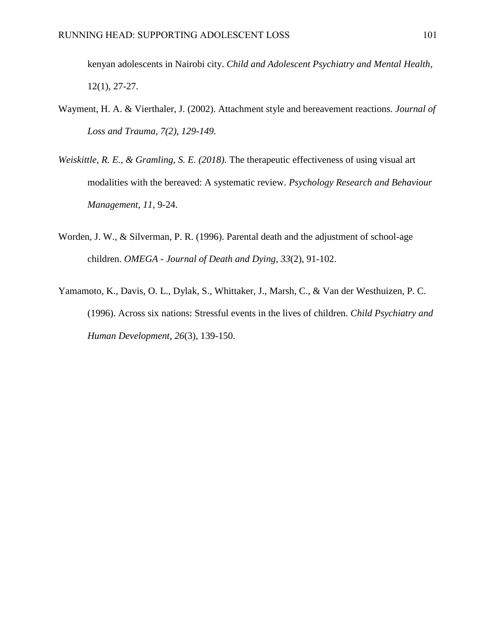kenyan adolescents in Nairobi city. *Child and Adolescent Psychiatry and Mental Health*, 12(1), 27-27.

- Wayment, H. A. & Vierthaler, J. (2002). Attachment style and bereavement reactions*. Journal of Loss and Trauma, 7(2), 129-149.*
- *Weiskittle, R. E., & Gramling, S. E. (2018).* The therapeutic effectiveness of using visual art modalities with the bereaved: A systematic review. *Psychology Research and Behaviour Management, 11*, 9-24.
- Worden, J. W., & Silverman, P. R. (1996). Parental death and the adjustment of school-age children. *OMEGA - Journal of Death and Dying, 33*(2), 91-102.
- Yamamoto, K., Davis, O. L., Dylak, S., Whittaker, J., Marsh, C., & Van der Westhuizen, P. C. (1996). Across six nations: Stressful events in the lives of children. *Child Psychiatry and Human Development, 26*(3), 139-150.